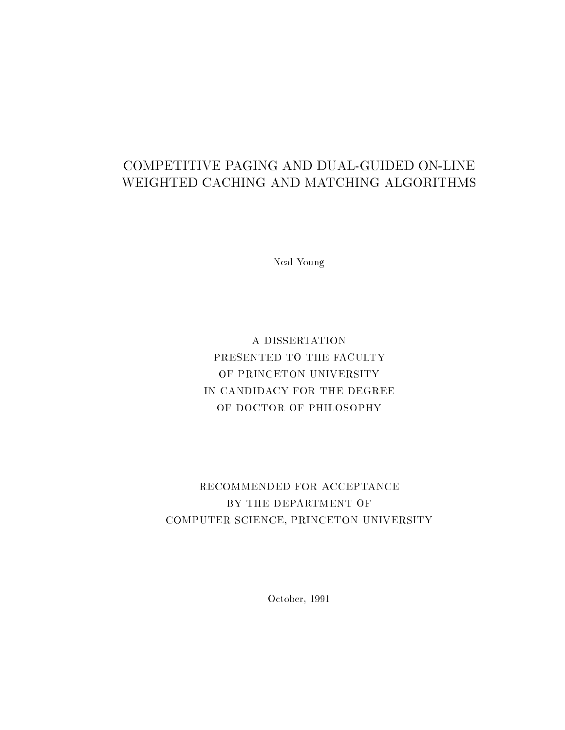## COMPETITIVE PAGING AND DUAL-GUIDED ON-LINE WEIGHTED CACHING AND MATCHING ALGORITHMS

Neal Young

A DISSERTATION PRESENTED TO THE FACULTY OF PRINCETON UNIVERSITY IN CANDIDACY FOR THE DEGREE OF DOCTOR OF PHILOSOPHY

## RECOMMENDED FOR ACCEPTANCE BY THE DEPARTMENT OF COMPUTER SCIENCE, PRINCETON UNIVERSITY

October, 1991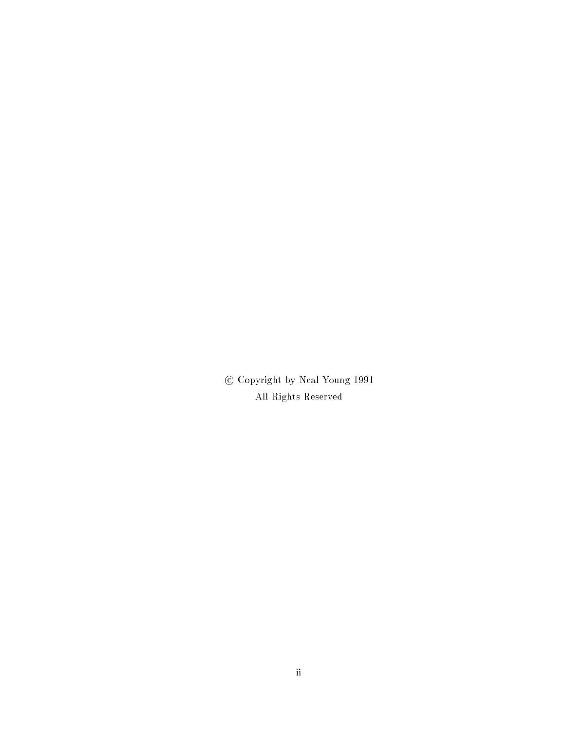<sup>c</sup> Copyright by Neal Young 1991 All Rights Reserved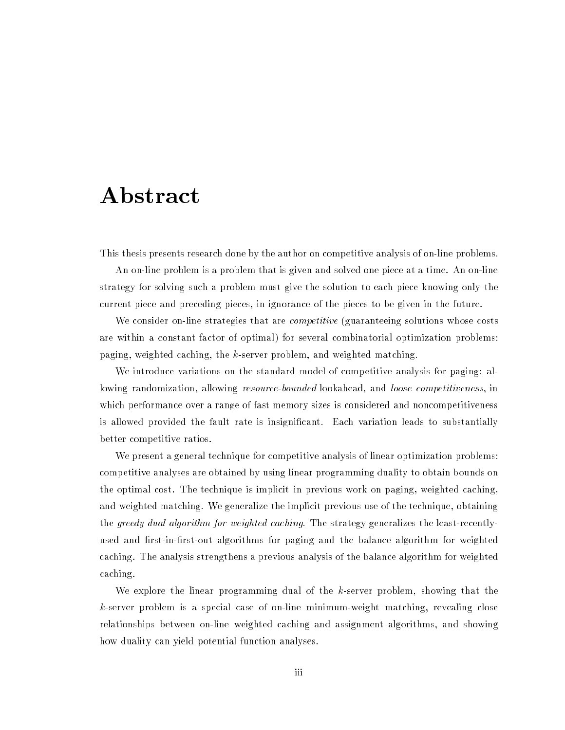## Abstract

This thesis presents research done by the author on competitive analysis of on-line problems.

An on-line problem is a problem that is given and solved one piece at a time. An on-line strategy for solving such a problem must give the solution to each piece knowing only the current piece and preceding pieces, in ignorance of the pieces to be given in the future.

We consider on-line strategies that are *competitive* (guaranteeing solutions whose costs are within a constant factor of optimal) for several combinatorial optimization problems: paging, weighted caching, the  $k$ -server problem, and weighted matching.

We introduce variations on the standard model of competitive analysis for paging: allowing randomization, allowing *resource-bounded* lookahead, and *loose competitiveness*, in which performance over a range of fast memory sizes is considered and noncompetitiveness is allowed provided the fault rate is insignicant. Each variation leads to substantially better competitive ratios.

We present a general technique for competitive analysis of linear optimization problems: competitive analyses are obtained by using linear programming duality to obtain bounds on the optimal cost. The technique is implicit in previous work on paging, weighted caching, and weighted matching. We generalize the implicit previous use of the technique, obtaining the greedy dual algorithm for weighted caching. The strategy generalizes the least-recentlyused and first-in-first-out algorithms for paging and the balance algorithm for weighted caching. The analysis strengthens a previous analysis of the balance algorithm for weighted caching.

We explore the linear programming dual of the  $k$ -server problem, showing that the k-server problem is a special case of on-line minimum-weight matching, revealing close relationships between on-line weighted caching and assignment algorithms, and showing how duality can yield potential function analyses.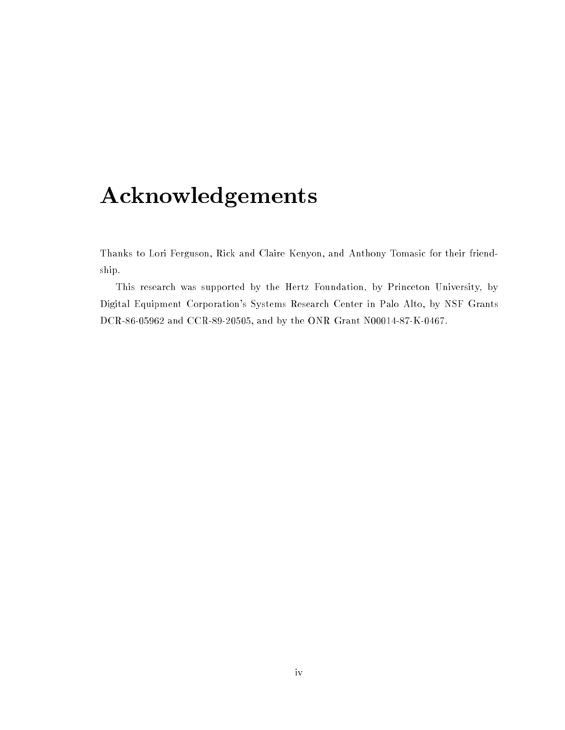# Acknowledgements

Thanks to Lori Ferguson, Rick and Claire Kenyon, and Anthony Tomasic for their friendship.

This research was supported by the Hertz Foundation, by Princeton University, by Digital Equipment Corporation's Systems Research Center in Palo Alto, by NSF Grants DCR-86-05962 and CCR-89-20505, and by the ONR Grant N00014-87-K-0467.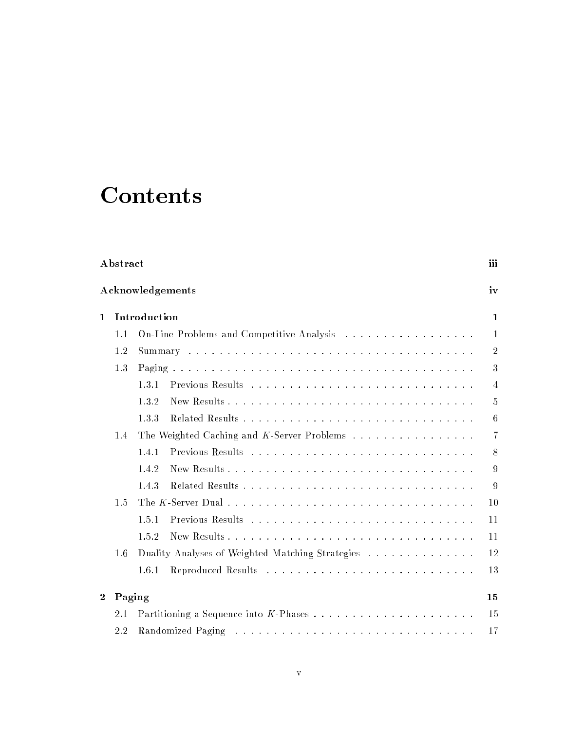# **Contents**

| Abstract         |        |                                                  |                |  |  |
|------------------|--------|--------------------------------------------------|----------------|--|--|
| Acknowledgements |        |                                                  |                |  |  |
| $\mathbf{1}$     |        | Introduction                                     | $\mathbf{1}$   |  |  |
|                  | 1.1    | On-Line Problems and Competitive Analysis        | $\mathbf{1}$   |  |  |
|                  | 1.2    |                                                  | $\overline{2}$ |  |  |
|                  | 1.3    |                                                  | 3              |  |  |
|                  |        | 1.3.1                                            | $\overline{4}$ |  |  |
|                  |        | 1.3.2                                            | 5              |  |  |
|                  |        | 1.3.3                                            | 6              |  |  |
|                  | 1.4    | The Weighted Caching and K-Server Problems       | $\overline{7}$ |  |  |
|                  |        | 1.4.1                                            | 8              |  |  |
|                  |        | 1.4.2                                            | 9              |  |  |
|                  |        | 1.4.3                                            | 9              |  |  |
|                  | 1.5    |                                                  | 10             |  |  |
|                  |        | 1.5.1                                            | 11             |  |  |
|                  |        | 1.5.2                                            | 11             |  |  |
|                  | 1.6    | Duality Analyses of Weighted Matching Strategies | 12             |  |  |
|                  |        | 1.6.1                                            | 13             |  |  |
| $\mathbf{2}$     | Paging |                                                  | 15             |  |  |
|                  | 2.1    |                                                  | 15             |  |  |
|                  | 2.2    |                                                  | 17             |  |  |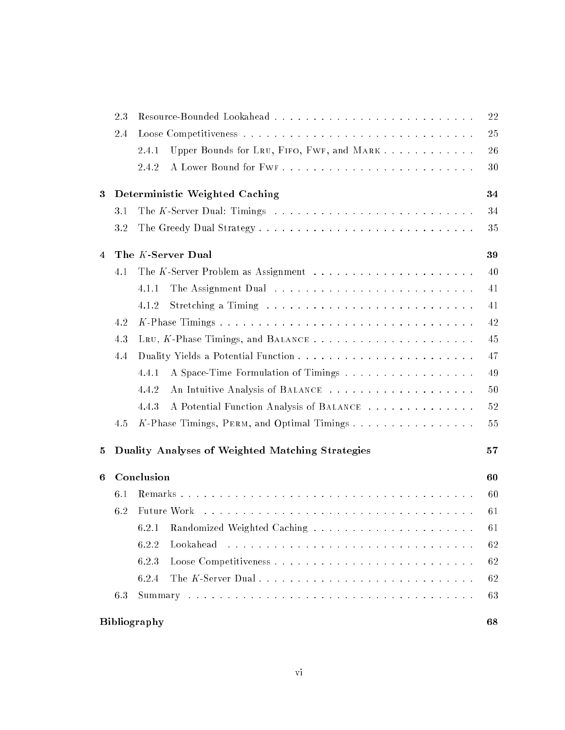|   | 2.3                |                                                                                                                                                                                                                               | 22 |  |  |  |
|---|--------------------|-------------------------------------------------------------------------------------------------------------------------------------------------------------------------------------------------------------------------------|----|--|--|--|
|   | 2.4                |                                                                                                                                                                                                                               | 25 |  |  |  |
|   |                    | Upper Bounds for LRU, FIFO, FWF, and MARK<br>2.4.1                                                                                                                                                                            | 26 |  |  |  |
|   |                    | 2.4.2                                                                                                                                                                                                                         | 30 |  |  |  |
| 3 |                    | Deterministic Weighted Caching                                                                                                                                                                                                | 34 |  |  |  |
|   | 3.1                |                                                                                                                                                                                                                               | 34 |  |  |  |
|   | 3.2                |                                                                                                                                                                                                                               | 35 |  |  |  |
| 4 |                    | The K-Server Dual                                                                                                                                                                                                             | 39 |  |  |  |
|   | 4.1                |                                                                                                                                                                                                                               | 40 |  |  |  |
|   |                    | 4.1.1                                                                                                                                                                                                                         | 41 |  |  |  |
|   |                    | 4.1.2                                                                                                                                                                                                                         | 41 |  |  |  |
|   | 4.2                |                                                                                                                                                                                                                               | 42 |  |  |  |
|   | 4.3                | LRU, K-Phase Timings, and BALANCE                                                                                                                                                                                             | 45 |  |  |  |
|   | 4.4                |                                                                                                                                                                                                                               | 47 |  |  |  |
|   |                    | A Space-Time Formulation of Timings<br>4.4.1                                                                                                                                                                                  | 49 |  |  |  |
|   |                    | An Intuitive Analysis of BALANCE<br>4.4.2                                                                                                                                                                                     | 50 |  |  |  |
|   |                    | A Potential Function Analysis of BALANCE<br>4.4.3                                                                                                                                                                             | 52 |  |  |  |
|   | 4.5                |                                                                                                                                                                                                                               | 55 |  |  |  |
| 5 |                    | Duality Analyses of Weighted Matching Strategies                                                                                                                                                                              | 57 |  |  |  |
| 6 |                    | Conclusion                                                                                                                                                                                                                    | 60 |  |  |  |
|   | 6.1                |                                                                                                                                                                                                                               | 60 |  |  |  |
|   | 6.2                | Future Work (Allergence Allergence Allergence Allergence Allergence Allergence Allergence Allergence Allergence Allergence Allergence Allergence Allergence Allergence Allergence Allergence Allergence Allergence Allergence | 61 |  |  |  |
|   |                    | 6.2.1                                                                                                                                                                                                                         | 61 |  |  |  |
|   |                    | 6.2.2<br>Lookahead                                                                                                                                                                                                            | 62 |  |  |  |
|   |                    | 6.2.3                                                                                                                                                                                                                         | 62 |  |  |  |
|   |                    | 6.2.4                                                                                                                                                                                                                         | 62 |  |  |  |
|   | 6.3                |                                                                                                                                                                                                                               | 63 |  |  |  |
|   | Bibliography<br>68 |                                                                                                                                                                                                                               |    |  |  |  |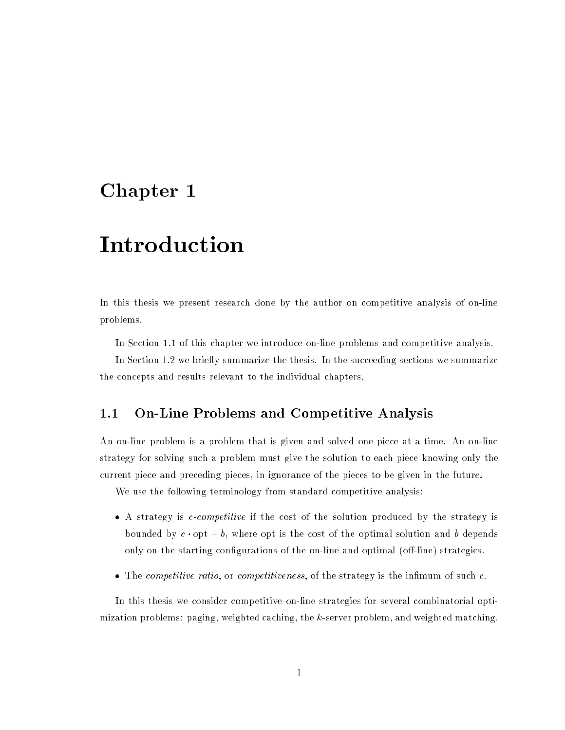## Chapter <sup>1</sup>

## Introduction

In this thesis we present research done by the author on competitive analysis of on-line problems.

In Section 1.1 of this chapter we introduce on-line problems and competitive analysis.

In Section 1.2 we briefly summarize the thesis. In the succeeding sections we summarize the concepts and results relevant to the individual chapters.

### 1.1 On-Line Problems and Competitive Analysis

An on-line problem is a problem that is given and solved one piece at a time. An on-line strategy for solving such a problem must give the solution to each piece knowing only the current piece and preceding pieces, in ignorance of the pieces to be given in the future.

We use the following terminology from standard competitive analysis:

- $\bullet$  A strategy is *c-competitive* if the cost of the solution produced by the strategy is bounded by  $c \cdot \mathrm{opt} + b$ , where opt is the cost of the optimal solution and b depends only on the starting configurations of the on-line and optimal (off-line) strategies.
- $\bullet$  The *competitive ratio*, or *competitiveness*, of the strategy is the infimum of such  $c$ .

In this thesis we consider competitive on-line strategies for several combinatorial optimization problems: paging, weighted caching, the k-server problem, and weighted matching.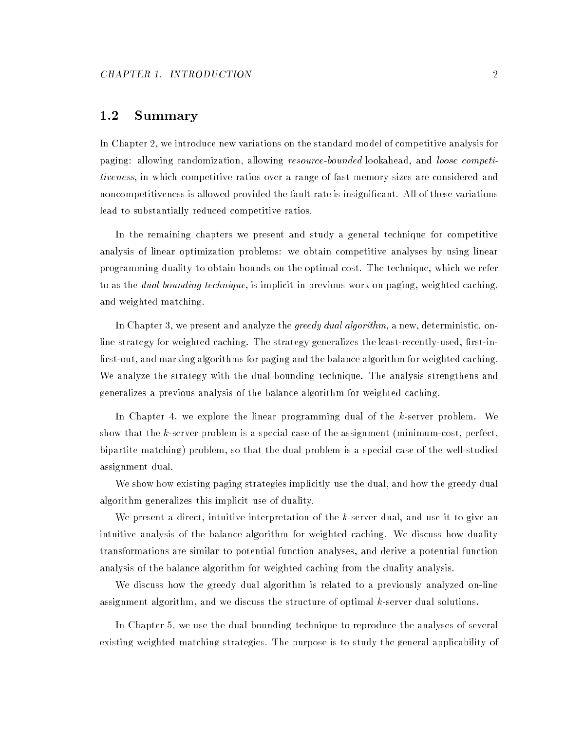### 1.2 Summary

In Chapter 2, we introduce new variations on the standard model of competitive analysis for paging: allowing randomization, allowing resource-bounded lookahead, and loose competitiveness, in which competitive ratios over a range of fast memory sizes are considered and noncompetitiveness is allowed provided the fault rate is insignificant. All of these variations lead to substantially reduced competitive ratios.

In the remaining chapters we present and study a general technique for competitive analysis of linear optimization problems: we obtain competitive analyses by using linear programming duality to obtain bounds on the optimal cost. The technique, which we refer to as the *dual bounding technique*, is implicit in previous work on paging, weighted caching, and weighted matching.

In Chapter 3, we present and analyze the *greedy dual algorithm*, a new, deterministic, online strategy for weighted caching. The strategy generalizes the least-recently-used, first-infirst-out, and marking algorithms for paging and the balance algorithm for weighted caching. We analyze the strategy with the dual bounding technique. The analysis strengthens and generalizes a previous analysis of the balance algorithm for weighted caching.

In Chapter 4, we explore the linear programming dual of the k-server problem. We show that the k-server problem is a special case of the assignment (minimum-cost, perfect, bipartite matching) problem, so that the dual problem is a special case of the well-studied assignment dual.

We show how existing paging strategies implicitly use the dual, and how the greedy dual algorithm generalizes this implicit use of duality.

We present a direct, intuitive interpretation of the k-server dual, and use it to give an intuitive analysis of the balance algorithm for weighted caching. We discuss how duality transformations are similar to potential function analyses, and derive a potential function analysis of the balance algorithm for weighted caching from the duality analysis.

We discuss how the greedy dual algorithm is related to a previously analyzed on-line assignment algorithm, and we discuss the structure of optimal k-server dual solutions.

In Chapter 5, we use the dual bounding technique to reproduce the analyses of several existing weighted matching strategies. The purpose is to study the general applicability of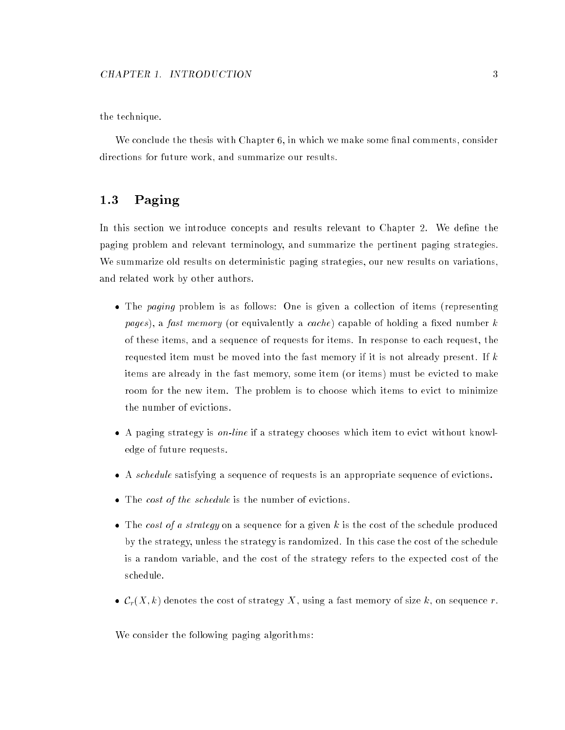the technique.

We conclude the thesis with Chapter  $6$ , in which we make some final comments, consider directions for future work, and summarize our results.

#### Paging  $1.3$

In this section we introduce concepts and results relevant to Chapter 2. We define the paging problem and relevant terminology, and summarize the pertinent paging strategies. We summarize old results on deterministic paging strategies, our new results on variations, and related work by other authors.

- The paging problem is as follows: One is given a collection of items (representing pages), a fast memory (or equivalently a cache) capable of holding a fixed number  $k$ of these items, and a sequence of requests for items. In response to each request, the requested item must be moved into the fast memory if it is not already present. If k items are already in the fast memory, some item (or items) must be evicted to make room for the new item. The problem is to choose which items to evict to minimize the number of evictions.
- A paging strategy is on-line if a strategy chooses which item to evict without knowledge of future requests.
- A schedule satisfying a sequence of requests is an appropriate sequence of evictions.
- The cost of the schedule is the number of evictions.
- The cost of a strategy on a sequence for a given k is the cost of the schedule produced by the strategy, unless the strategy is randomized. In this case the cost of the schedule is a random variable, and the cost of the strategy refers to the expected cost of the schedule.
- $\mathcal{C}_r(X, k)$  denotes the cost of strategy X, using a fast memory of size k, on sequence r.

We consider the following paging algorithms: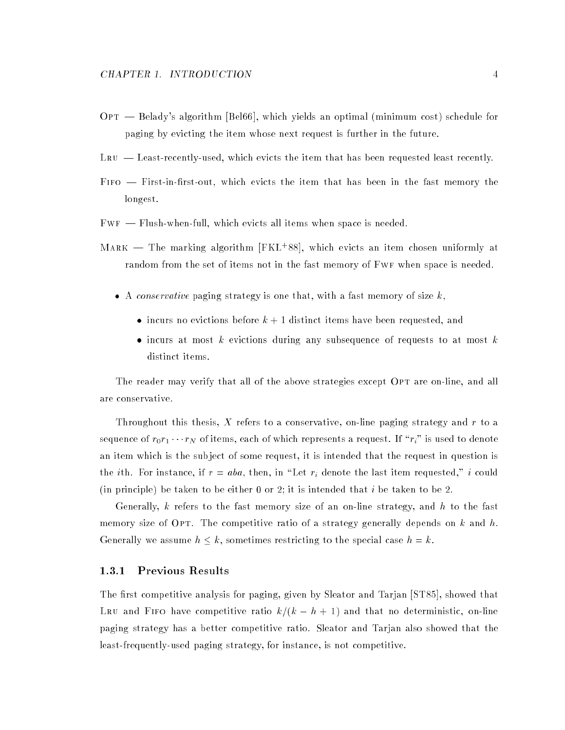- $OPT$   $-$  Belady's algorithm [Bel66], which yields an optimal (minimum cost) schedule for paging by evicting the item whose next request is further in the future.
- $L$ RU  $-$  Least-recently-used, which evicts the item that has been requested least recently.
- FIFO First-in-first-out, which evicts the item that has been in the fast memory the longest.
- $FWF$  Flush-when-full, which evicts all items when space is needed.
- MARK The marking algorithm [FKL+88], which evicts an item chosen uniformly at random from the set of items not in the fast memory of Fwf when space is needed.
	- $\bullet$  A conservative paging strategy is one that, with a fast memory of size k,
		- incurs no evictions before  $k + 1$  distinct items have been requested, and
		- incurs at most k evictions during any subsequence of requests to at most k distinct items.

The reader may verify that all of the above strategies except OPT are on-line, and all are conservative.

Throughout this thesis, X refers to a conservative, on-line paging strategy and  $r$  to a sequence of  $r_0r_1 \cdots r_N$  of items, each of which represents a request. If  $\lceil r_i \rceil$  is used to denote an item which is the sub ject of some request, it is intended that the request in question is the *i*th. For instance, if  $r = aba$ , then, in "Let  $r_i$  denote the last item requested," *i* could (in principle) be taken to be either 0 or 2; it is intended that i be taken to be 2.

Generally,  $k$  refers to the fast memory size of an on-line strategy, and  $h$  to the fast memory size of OPT. The competitive ratio of a strategy generally depends on k and h. Generally we assume  $h \leq k$ , sometimes restricting to the special case  $h = k$ .

#### 1.3.1 Previous Results

The first competitive analysis for paging, given by Sleator and Tarjan [ST85], showed that LRU and FIFO have competitive ratio  $k/(k - h + 1)$  and that no deterministic, on-line paging strategy has a better competitive ratio. Sleator and Tarjan also showed that the least-frequently-used paging strategy, for instance, is not competitive.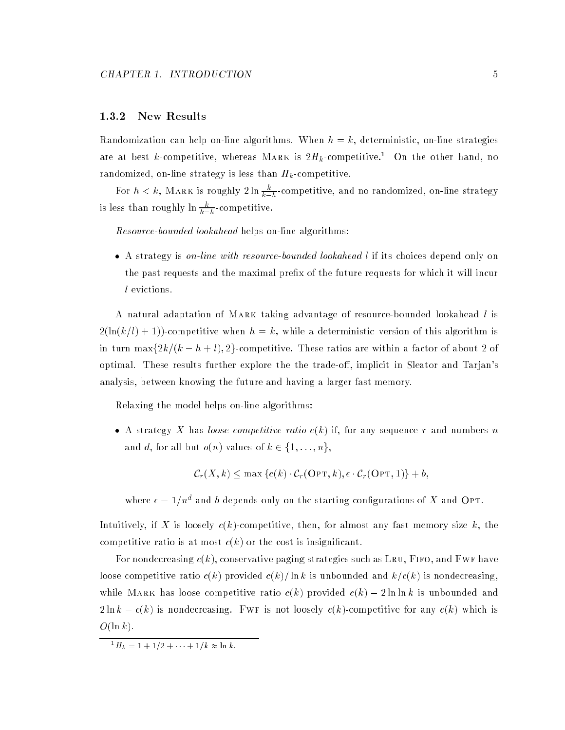#### 1.3.2 New Results

Randomization can help on-line algorithms. When  $h = k$ , deterministic, on-line strategies are at best k-competitive, whereas MARK is  $2H_k$ -competitive.<sup>1</sup> On the other hand, no randomized, on-line strategy is less than  $H_k$ -competitive.

For  $h < k$ , MARK is roughly  $2 \ln \frac{\kappa}{k-h}$ -competitive, and no randomized, on-line strategy is less than roughly in  $\frac{r}{k-h}$ -competitive.

Resource-bounded lookahead helps on-line algorithms:

• A strategy is on-line with resource-bounded lookahead l if its choices depend only on the past requests and the maximal prefix of the future requests for which it will incur l evictions.

A natural adaptation of Mark taking advantage of resource-bounded lookahead l is  $2(\ln(k/l) + 1)$ -competitive when  $h = k$ , while a deterministic version of this algorithm is in turn max $\left\{2k/(k - h + l), 2\right\}$ -competitive. These ratios are within a factor of about 2 of optimal. These results further explore the the trade-off, implicit in Sleator and Tarjan's analysis, between knowing the future and having a larger fast memory.

Relaxing the model helps on-line algorithms:

• A strategy X has loose competitive ratio  $c(k)$  if, for any sequence r and numbers n and d, for all but  $o(n)$  values of  $k \in \{1, \ldots, n\},$ 

$$
C_r(X, k) \le \max \{c(k) \cdot C_r(\text{OPT}, k), \epsilon \cdot C_r(\text{OPT}, 1)\} + b,
$$

where  $\epsilon = 1/n^d$  and b depends only on the starting configurations of X and Opt.

Intuitively, if X is loosely  $c(k)$ -competitive, then, for almost any fast memory size k, the competitive ratio is at most  $c(k)$  or the cost is insignificant.

For nondecreasing  $c(k)$ , conservative paging strategies such as LRU, FIFO, and FWF have loose competitive ratio  $c(k)$  provided  $c(k)/\ln k$  is unbounded and  $k/c(k)$  is nondecreasing, while MARK has loose competitive ratio  $c(k)$  provided  $c(k) - 2 \ln \ln k$  is unbounded and  $2 \ln k - c(k)$  is nondecreasing. FWF is not loosely  $c(k)$ -competitive for any  $c(k)$  which is  $O(\ln k)$ .

 ${}^{1}H_{k} = 1 + 1/2 + \cdots + 1/k \approx \ln k.$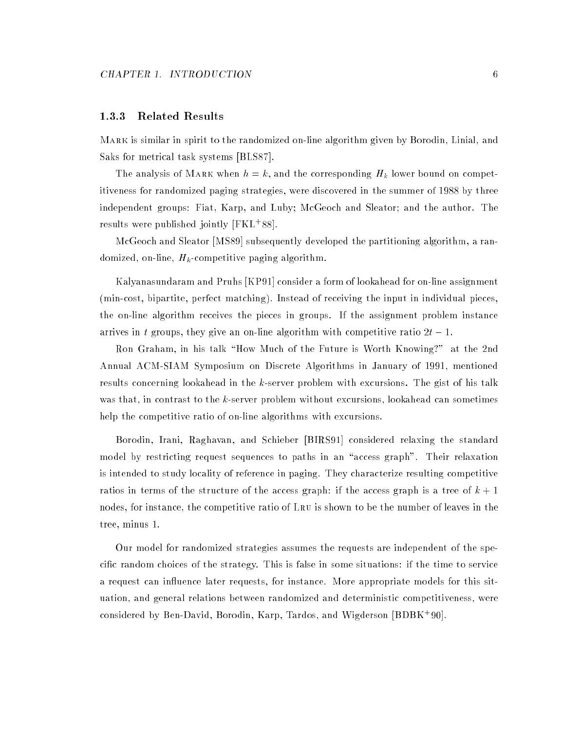#### 1.3.3 Related Results

Mark is similar in spirit to the randomized on-line algorithm given by Borodin, Linial, and Saks for metrical task systems [BLS87].

The analysis of MARK when  $h=k,$  and the corresponding  $H_k$  lower bound on competitiveness for randomized paging strategies, were discovered in the summer of 1988 by three independent groups: Fiat, Karp, and Luby; McGeoch and Sleator; and the author. The results were published jointly [FKL+ 88].

McGeoch and Sleator [MS89] subsequently developed the partitioning algorithm, a randomized, on-line,  $H_k$ -competitive paging algorithm.

Kalyanasundaram and Pruhs [KP91] consider a form of lookahead for on-line assignment (min-cost, bipartite, perfect matching). Instead of receiving the input in individual pieces, the on-line algorithm receives the pieces in groups. If the assignment problem instance arrives in t groups, they give an on-line algorithm with competitive ratio  $2t - 1$ .

Ron Graham, in his talk "How Much of the Future is Worth Knowing?" at the 2nd Annual ACM-SIAM Symposium on Discrete Algorithms in January of 1991, mentioned results concerning lookahead in the k-server problem with excursions. The gist of his talk was that, in contrast to the k-server problem without excursions, lookahead can sometimes help the competitive ratio of on-line algorithms with excursions.

Borodin, Irani, Raghavan, and Schieber [BIRS91] considered relaxing the standard model by restricting request sequences to paths in an "access graph". Their relaxation is intended to study locality of reference in paging. They characterize resulting competitive ratios in terms of the structure of the access graph: if the access graph is a tree of  $k + 1$ nodes, for instance, the competitive ratio of Lru is shown to be the number of leaves in the tree, minus 1.

Our model for randomized strategies assumes the requests are independent of the specific random choices of the strategy. This is false in some situations: if the time to service a request can influence later requests, for instance. More appropriate models for this situation, and general relations between randomized and deterministic competitiveness, were considered by Ben-David, Borodin, Karp, Tardos, and Wigderson [BDBK+ 90].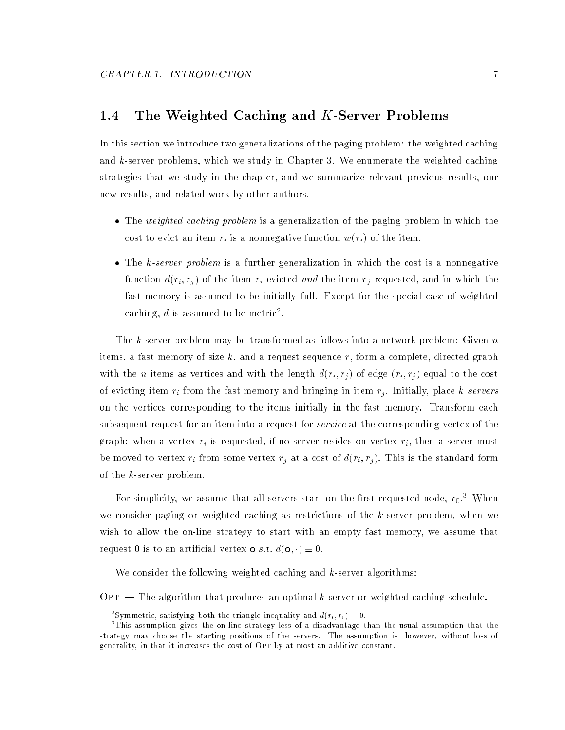### 1.4 The Weighted Caching and K-Server Problems

In this section we introduce two generalizations of the paging problem: the weighted caching and  $k$ -server problems, which we study in Chapter 3. We enumerate the weighted caching strategies that we study in the chapter, and we summarize relevant previous results, our new results, and related work by other authors.

- The weighted caching problem is a generalization of the paging problem in which the cost to evict an item  $r_i$  is a nonnegative function  $w(r_i)$  of the item.
- The k-server problem is a further generalization in which the cost is a nonnegative function  $d(r_i, r_j)$  of the item  $r_i$  evicted and the item  $r_j$  requested, and in which the fast memory is assumed to be initially full. Except for the special case of weighted caching, d is assumed to be metric<sup>2</sup>.

The k-server problem may be transformed as follows into a network problem: Given  $n$ items, a fast memory of size  $k$ , and a request sequence r, form a complete, directed graph with the *n* items as vertices and with the length  $d(r_i, r_j)$  of edge  $(r_i, r_j)$  equal to the cost of evicting item  $r_i$  from the fast memory and bringing in item  $r_j$ . Initially, place k servers on the vertices corresponding to the items initially in the fast memory. Transform each subsequent request for an item into a request for *service* at the corresponding vertex of the graph: when a vertex  $r_i$  is requested, if no server resides on vertex  $r_i$ , then a server must be moved to vertex  $r_i$  from some vertex  $r_j$  at a cost of  $d(r_i, r_j)$ . This is the standard form of the k-server problem.

For simplicity, we assume that all servers start on the first requested node,  $r_0$ . When we consider paging or weighted caching as restrictions of the  $k$ -server problem, when we wish to allow the on-line strategy to start with an empty fast memory, we assume that request 0 is to an artificial vertex **o** *s.t.*  $d(\mathbf{o}, \cdot) \equiv 0$ .

We consider the following weighted caching and  $k$ -server algorithms:

 $\text{OPT}$  - The algorithm that produces an optimal k-server or weighted caching schedule.

Symmetric, satisfying both the triangle inequality and  $d(r_i, r_i) = 0$ .

this assumption gives the on-line strategy less of a disadvantage than the usual assumption that the t strategy may choose the starting positions of the servers. The assumption is, however, without loss of generality, in that it increases the cost of OPT by at most an additive constant.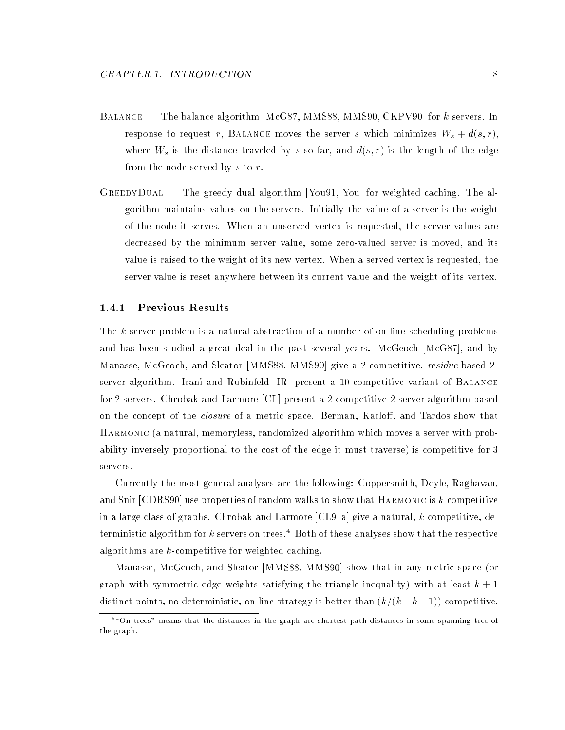- BALANCE The balance algorithm [McG87, MMS88, MMS90, CKPV90] for  $k$  servers. In response to request r, BALANCE moves the server s which minimizes  $W_s + d(s,r)$ , where  $W_s$  is the distance traveled by s so far, and  $d(s, r)$  is the length of the edge from the node served by s to r.
- $G$ REEDY $D$ UAL  $-$  The greedy dual algorithm [You91, You] for weighted caching. The algorithm maintains values on the servers. Initially the value of a server is the weight of the node it serves. When an unserved vertex is requested, the server values are decreased by the minimum server value, some zero-valued server is moved, and its value is raised to the weight of its new vertex. When a served vertex is requested, the server value is reset anywhere between its current value and the weight of its vertex.

#### 1.4.1 Previous Results

The k-server problem is a natural abstraction of a number of on-line scheduling problems and has been studied a great deal in the past several years. McGeoch [McG87], and by Manasse, McGeoch, and Sleator [MMS88, MMS90] give a 2-competitive, *residue-based* 2server algorithm. Irani and Rubinfeld [IR] present a 10-competitive variant of Balance for 2 servers. Chrobak and Larmore [CL] present a 2-competitive 2-server algorithm based on the concept of the *closure* of a metric space. Berman, Karloff, and Tardos show that Harmonic (a natural, memoryless, randomized algorithm which moves a server with probability inversely proportional to the cost of the edge it must traverse) is competitive for 3 servers.

Currently the most general analyses are the following: Coppersmith, Doyle, Raghavan, and Snir [CDRS90] use properties of random walks to show that Harmonic is k-competitive in a large class of graphs. Chrobak and Larmore  $[CL91a]$  give a natural, k-competitive, deterministic algorithm for k servers on trees.<sup>4</sup> Both of these analyses show that the respective algorithms are  $k$ -competitive for weighted caching.

Manasse, McGeoch, and Sleator [MMS88, MMS90] show that in any metric space (or graph with symmetric edge weights satisfying the triangle inequality) with at least  $k + 1$ distinct points, no deterministic, on-line strategy is better than  $(k/(k - h + 1))$ -competitive.

 $\tilde{\phantom{a}}$  on trees" means that the distances in the graph are shortest path distances in some spanning tree of the graph.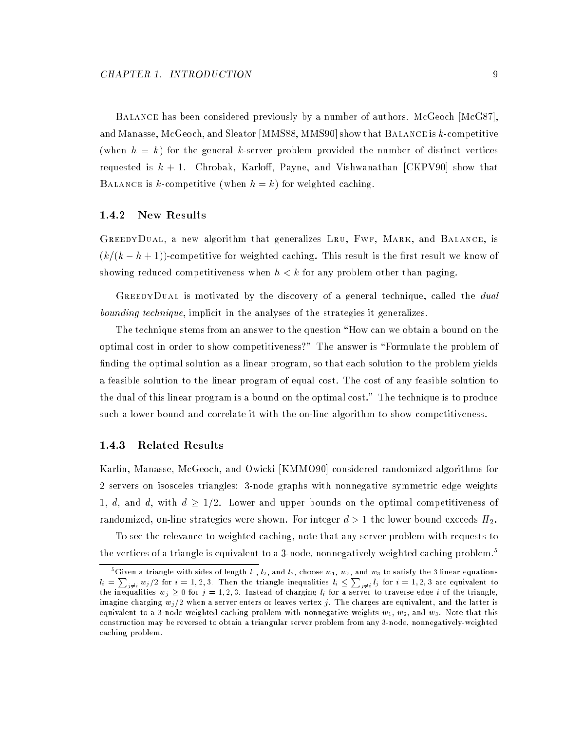Balance has been considered previously by a number of authors. McGeoch [McG87], and Manasse, McGeoch, and Sleator [MMS88, MMS90] show that Balance is k-competitive (when  $h = k$ ) for the general k-server problem provided the number of distinct vertices requested is  $k + 1$ . Chrobak, Karloff, Payne, and Vishwanathan [CKPV90] show that BALANCE is k-competitive (when  $h = k$ ) for weighted caching.

#### 1.4.2 New Results

GREEDYDUAL, a new algorithm that generalizes LRU, FWF, MARK, and BALANCE, is  $(k/(k-h+1))$ -competitive for weighted caching. This result is the first result we know of showing reduced competitiveness when  $h < k$  for any problem other than paging.

GREEDYDUAL is motivated by the discovery of a general technique, called the *dual* bounding technique, implicit in the analyses of the strategies it generalizes.

The technique stems from an answer to the question "How can we obtain a bound on the optimal cost in order to show competitiveness?" The answer is \Formulate the problem of finding the optimal solution as a linear program, so that each solution to the problem yields a feasible solution to the linear program of equal cost. The cost of any feasible solution to the dual of this linear program is a bound on the optimal cost." The technique is to produce such a lower bound and correlate it with the on-line algorithm to show competitiveness.

#### 1.4.3 Related Results

Karlin, Manasse, McGeoch, and Owicki [KMMO90] considered randomized algorithms for 2 servers on isosceles triangles: 3-node graphs with nonnegative symmetric edge weights 1, d, and d, with  $d \geq 1/2$ . Lower and upper bounds on the optimal competitiveness of randomized, on-line strategies were shown. For integer  $d > 1$  the lower bound exceeds  $H_2$ .

To see the relevance to weighted caching, note that any server problem with requests to the vertices of a triangle is equivalent to a 3-node, nonnegatively weighted caching problem.<sup>5</sup>

<sup>&</sup>quot;Given a triangle with sides of length  $l_1,~l_2,~\text{and}~l_3,~\text{choose}~w_1,~w_2,~\text{and}~w_3$  to satisfy the 3 linear equations  $l_i = \sum_{j\neq i} w_j/2$  for  $i = 1, 2, 3$ . Then the triangle inequalities  $l_i \leq \sum_{j\neq i} l_j$  for  $i = 1, 2, 3$  are equivalent to the inequalities wj 0 for <sup>j</sup> = 1; <sup>2</sup>; 3. Instead of charging li for a server to traverse edge <sup>i</sup> of the triangle, imagine charging  $w_j/2$  when a server enters or leaves vertex j. The charges are equivalent, and the latter is equivalent to a 3-node weighted caching problem with nonnegative weights  $w_1$ ,  $w_2$ , and  $w_3$ . Note that this construction may be reversed to obtain a triangular server problem from any 3-node, nonnegatively-weighted caching problem.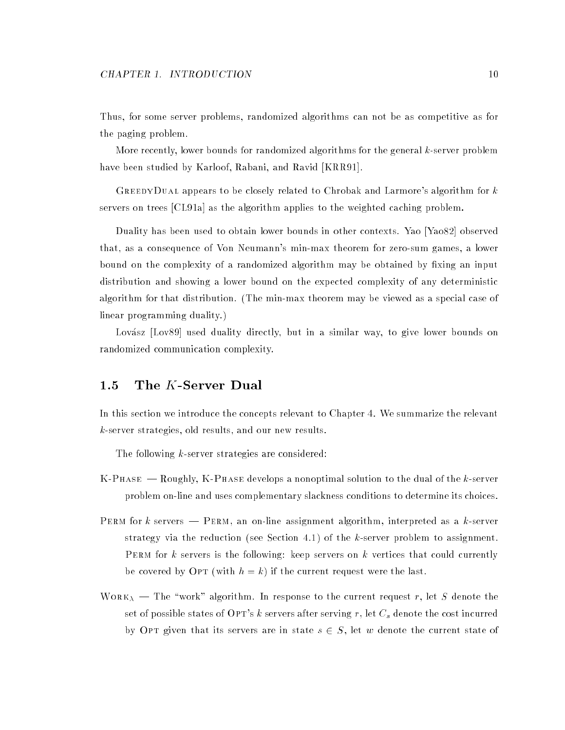Thus, for some server problems, randomized algorithms can not be as competitive as for the paging problem.

More recently, lower bounds for randomized algorithms for the general  $k$ -server problem have been studied by Karloof, Rabani, and Ravid [KRR91].

GREEDYDUAL appears to be closely related to Chrobak and Larmore's algorithm for  $k$ servers on trees [CL91a] as the algorithm applies to the weighted caching problem.

Duality has been used to obtain lower bounds in other contexts. Yao [Yao82] observed that, as a consequence of Von Neumann's min-max theorem for zero-sum games, a lower bound on the complexity of a randomized algorithm may be obtained by fixing an input distribution and showing a lower bound on the expected complexity of any deterministic algorithm for that distribution. (The min-max theorem may be viewed as a special case of linear programming duality.)

Lovász [Lov89] used duality directly, but in a similar way, to give lower bounds on randomized communication complexity.

### 1.5 The  $K$ -Server Dual

In this section we introduce the concepts relevant to Chapter 4. We summarize the relevant k-server strategies, old results, and our new results.

The following  $k$ -server strategies are considered:

- $K-PHASE$  -Roughly,  $K-PHASE$  develops a nonoptimal solution to the dual of the k-server problem on-line and uses complementary slackness conditions to determine its choices.
- PERM for k servers PERM, an on-line assignment algorithm, interpreted as a k-server strategy via the reduction (see Section 4.1) of the  $k$ -server problem to assignment. PERM for k servers is the following: keep servers on k vertices that could currently be covered by OPT (with  $h = k$ ) if the current request were the last.
- $\text{Work}_\lambda$  The "work" algorithm. In response to the current request r, let S denote the set of possible states of OPT's k servers after serving r, let  $C_s$  denote the cost incurred by OPT given that its servers are in state  $s \in S$ , let w denote the current state of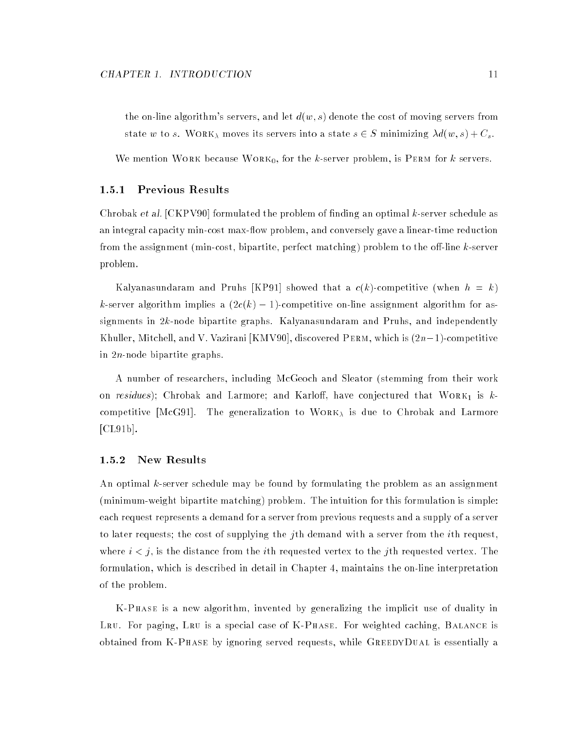the on-line algorithm's servers, and let  $d(w, s)$  denote the cost of moving servers from state w to s. WORK<sub> $\lambda$ </sub> moves its servers into a state  $s \in S$  minimizing  $\lambda d(w, s) + C_s$ .

We mention WORK because WORK<sub>0</sub>, for the k-server problem, is PERM for k servers.

#### Previous Results  $1.5.1$

Chrobak et al.  $[CHPV90]$  formulated the problem of finding an optimal k-server schedule as an integral capacity min-cost max-flow problem, and conversely gave a linear-time reduction from the assignment (min-cost, bipartite, perfect matching) problem to the off-line k-server problem.

Kalyanasundaram and Pruhs [KP91] showed that a  $c(k)$ -competitive (when  $h = k$ ) k-server algorithm implies a  $(2c(k) - 1)$ -competitive on-line assignment algorithm for assignments in 2k-node bipartite graphs. Kalyanasundaram and Pruhs, and independently Khuller, Mitchell, and V. Vazirani [KMV90], discovered PERM, which is  $(2n-1)$ -competitive in 2n-node bipartite graphs.

A number of researchers, including McGeoch and Sleator (stemming from their work on *residues*); Chrobak and Larmore; and Karloff, have conjectured that  $W$ ORK<sub>1</sub> is kcompetitive [McG91]. The generalization to  $WORK<sub>\lambda</sub>$  is due to Chrobak and Larmore [CL91b].

#### 1.5.2 New Results

An optimal k-server schedule may be found by formulating the problem as an assignment (minimum-weight bipartite matching) problem. The intuition for this formulation is simple: each request represents a demand for a server from previous requests and a supply of a server to later requests; the cost of supplying the jth demand with a server from the *i*th request. where  $i < j$ , is the distance from the *i*th requested vertex to the *j*th requested vertex. The formulation, which is described in detail in Chapter 4, maintains the on-line interpretation of the problem.

K-Phase is a new algorithm, invented by generalizing the implicit use of duality in LRU. For paging, LRU is a special case of K-PHASE. For weighted caching, BALANCE is obtained from K-Phase by ignoring served requests, while GreedyDual is essentially a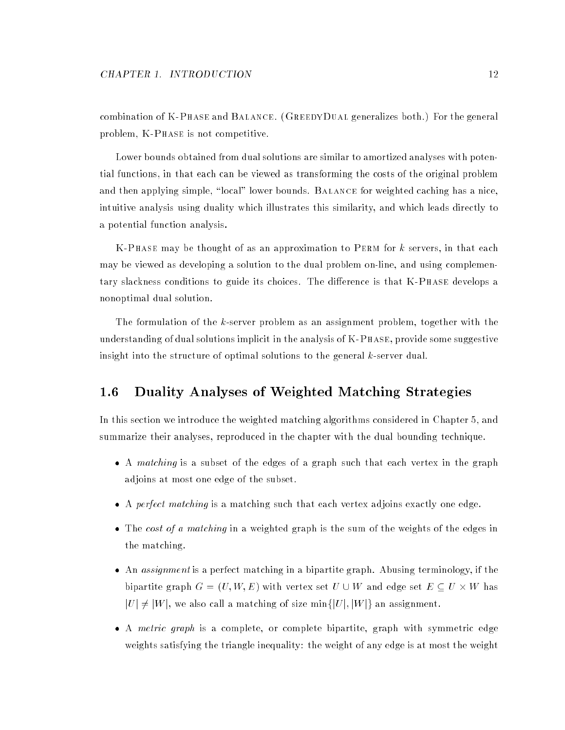combination of K-Phase and Balance. (GreedyDual generalizes both.) For the general problem, K-Phase is not competitive.

Lower bounds obtained from dual solutions are similar to amortized analyses with potential functions, in that each can be viewed as transforming the costs of the original problem and then applying simple, "local" lower bounds. BALANCE for weighted caching has a nice, intuitive analysis using duality which illustrates this similarity, and which leads directly to a potential function analysis.

K-Phase may be thought of as an approximation to Perm for k servers, in that each may be viewed as developing a solution to the dual problem on-line, and using complementary slackness conditions to guide its choices. The difference is that K-Phase develops a nonoptimal dual solution.

The formulation of the k-server problem as an assignment problem, together with the understanding of dual solutions implicit in the analysis of K-PHASE, provide some suggestive insight into the structure of optimal solutions to the general  $k$ -server dual.

## 1.6 Duality Analyses of Weighted Matching Strategies

In this section we introduce the weighted matching algorithms considered in Chapter 5, and summarize their analyses, reproduced in the chapter with the dual bounding technique.

- A matching is a subset of the edges of a graph such that each vertex in the graph adjoins at most one edge of the subset.
- A perfect matching is a matching such that each vertex adjoins exactly one edge.
- The cost of a matching in a weighted graph is the sum of the weights of the edges in the matching.
- An assignment is a perfect matching in a bipartite graph. Abusing terminology, if the bipartite graph  $G = (U, W, E)$  with vertex set  $U \cup W$  and edge set  $E \subseteq U \times W$  has  $|U| \neq |W|$ , we also call a matching of size min $\{|U|, |W|\}$  an assignment.
- A metric graph is a complete, or complete bipartite, graph with symmetric edge weights satisfying the triangle inequality: the weight of any edge is at most the weight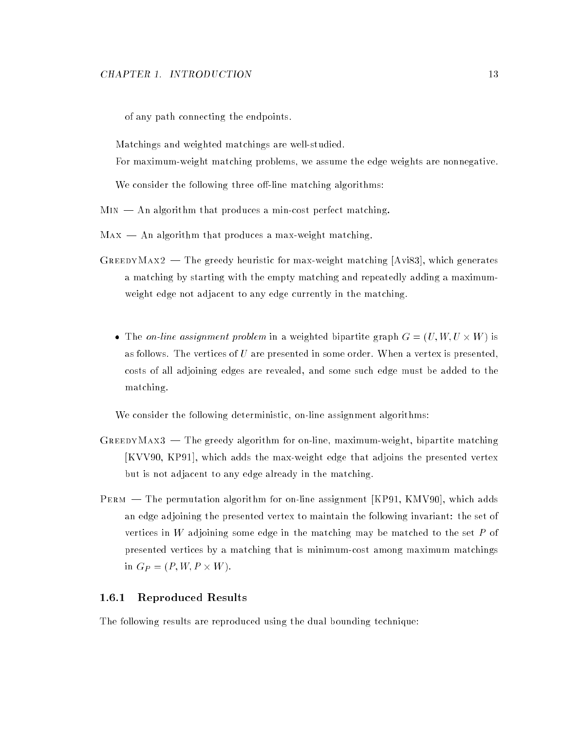of any path connecting the endpoints.

Matchings and weighted matchings are well-studied.

For maximum-weight matching problems, we assume the edge weights are nonnegative.

We consider the following three off-line matching algorithms:

 $MIN$   $-$  An algorithm that produces a min-cost perfect matching.

- $Max An algorithm that produces a max-weight matching.$
- GREEDYMAX2 The greedy heuristic for max-weight matching [Avi83], which generates a matching by starting with the empty matching and repeatedly adding a maximumweight edge not adjacent to any edge currently in the matching.
	- The on-line assignment problem in a weighted bipartite graph  $G = (U, W, U \times W)$  is as follows. The vertices of  $U$  are presented in some order. When a vertex is presented, costs of all adjoining edges are revealed, and some such edge must be added to the matching.

We consider the following deterministic, on-line assignment algorithms:

- $G$ REEDYMAX3  $-$  The greedy algorithm for on-line, maximum-weight, bipartite matching [KVV90, KP91], which adds the max-weight edge that adjoins the presented vertex but is not adjacent to any edge already in the matching.
- PERM The permutation algorithm for on-line assignment [KP91, KMV90], which adds an edge adjoining the presented vertex to maintain the following invariant: the set of vertices in W adjoining some edge in the matching may be matched to the set  $P$  of presented vertices by a matching that is minimum-cost among maximum matchings in  $G_P = (P, W, P \times W)$ .

#### 1.6.1 Reproduced Results

The following results are reproduced using the dual bounding technique: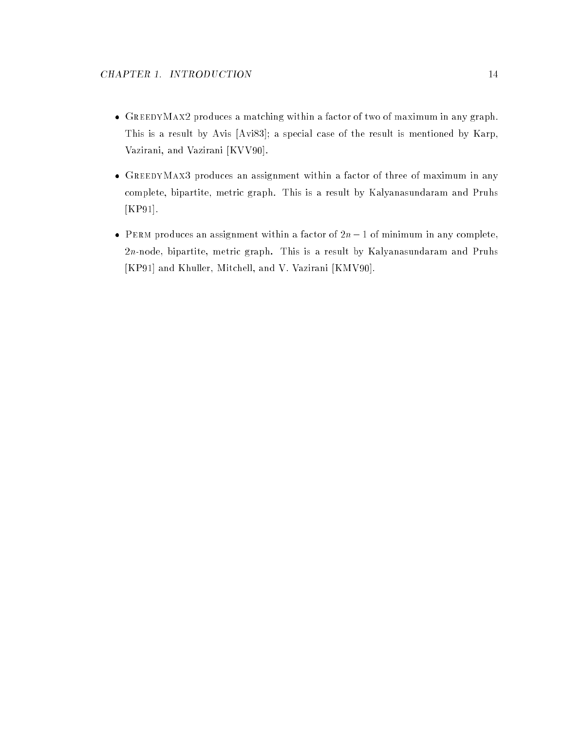- GreedyMax2 produces a matching within a factor of two of maximum in any graph. This is a result by Avis [Avi83]; a special case of the result is mentioned by Karp, Vazirani, and Vazirani [KVV90].
- GREEDYMAX3 produces an assignment within a factor of three of maximum in any complete, bipartite, metric graph. This is a result by Kalyanasundaram and Pruhs [KP91].
- PERM produces an assignment within a factor of  $2n 1$  of minimum in any complete, 2n-node, bipartite, metric graph. This is a result by Kalyanasundaram and Pruhs [KP91] and Khuller, Mitchell, and V. Vazirani [KMV90].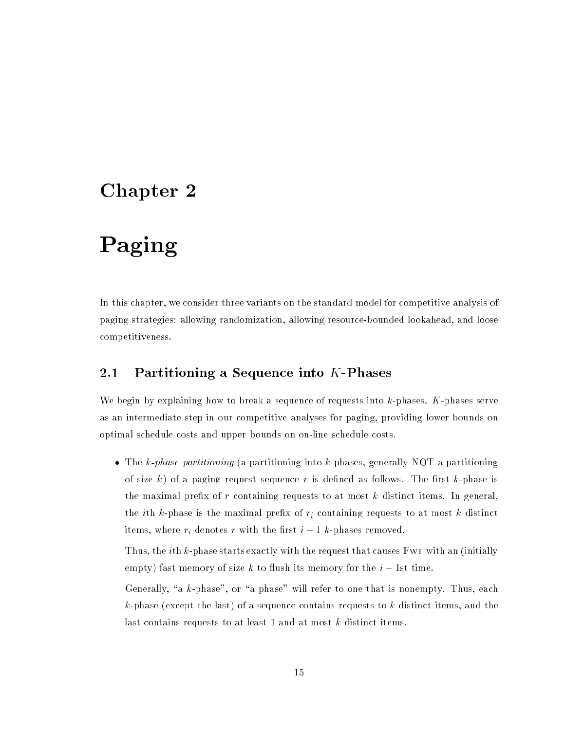## Chapter <sup>2</sup>

# Paging

In this chapter, we consider three variants on the standard model for competitive analysis of paging strategies: allowing randomization, allowing resource-bounded lookahead, and loose competitiveness.

## 2.1 Partitioning a Sequence into  $K$ -Phases

We begin by explaining how to break a sequence of requests into  $k$ -phases.  $K$ -phases serve as an intermediate step in our competitive analyses for paging, providing lower bounds on optimal schedule costs and upper bounds on on-line schedule costs.

• The k-phase partitioning (a partitioning into k-phases, generally NOT a partitioning of size k) of a paging request sequence r is defined as follows. The first k-phase is the maximal prefix of  $r$  containing requests to at most  $k$  distinct items. In general, the *i*th k-phase is the maximal prefix of  $r_i$  containing requests to at most k distinct items, where  $r_i$  denotes r with the first  $i-1$  k-phases removed.

Thus, the *i*th  $k$ -phase starts exactly with the request that causes FWF with an (initially empty) fast memory of size k to flush its memory for the  $i-1$ st time.

Generally, "a  $k$ -phase", or "a phase" will refer to one that is nonempty. Thus, each  $k$ -phase (except the last) of a sequence contains requests to k distinct items, and the last contains requests to at least 1 and at most k distinct items.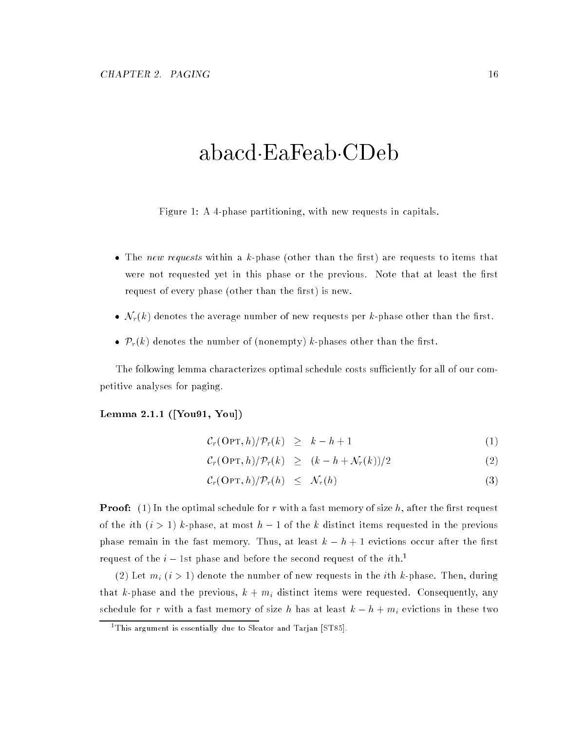## abacd EaFeab CDeb

Figure 1: A 4-phase partitioning, with new requests in capitals.

- The *new requests* within a k-phase (other than the first) are requests to items that were not requested yet in this phase or the previous. Note that at least the first request of every phase (other than the first) is new.
- $\mathcal{N}_r(k)$  denotes the average number of new requests per k-phase other than the first.
- $\mathcal{P}_r(k)$  denotes the number of (nonempty) k-phases other than the first.

The following lemma characterizes optimal schedule costs sufficiently for all of our competitive analyses for paging.

#### Lemma 2.1.1 ([You91, You])

$$
\mathcal{C}_r(\text{OPT}, h) / \mathcal{P}_r(k) \geq k - h + 1 \tag{1}
$$

$$
\mathcal{C}_r(\text{OPT}, h) / \mathcal{P}_r(k) \ge (k - h + \mathcal{N}_r(k)) / 2 \tag{2}
$$

$$
\mathcal{C}_r(\text{OPT},h)/\mathcal{P}_r(h) \leq \mathcal{N}_r(h) \tag{3}
$$

**Proof:** (1) In the optimal schedule for r with a fast memory of size h, after the first request of the *i*th  $(i > 1)$  k-phase, at most  $h - 1$  of the k distinct items requested in the previous phase remain in the fast memory. Thus, at least  $k-h+1$  evictions occur after the first request of the  $i-1$ st phase and before the second request of the *i*th.<sup>1</sup>

(2) Let  $m_i$   $(i > 1)$  denote the number of new requests in the *i*th k-phase. Then, during that k-phase and the previous,  $k + m_i$  distinct items were requested. Consequently, any schedule for r with a fast memory of size h has at least  $k - h + m_i$  evictions in these two

<sup>1</sup> This argument is essentially due to Sleator and Tarjan [ST85].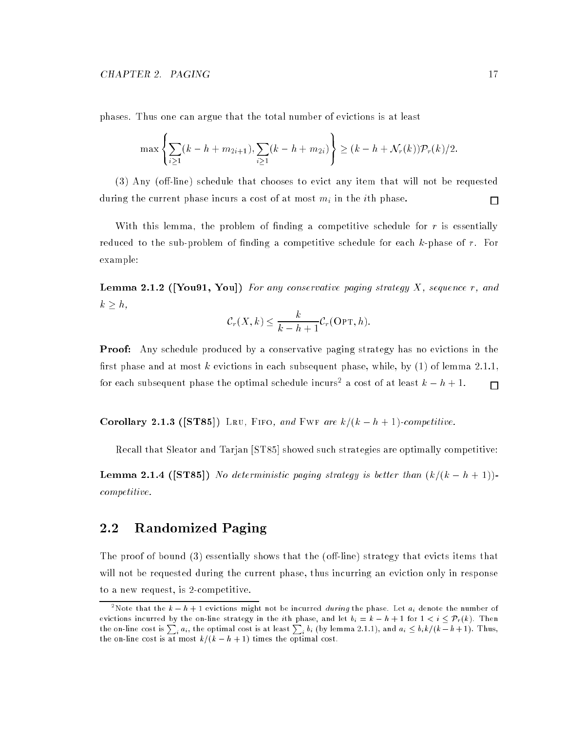**8.12 Street** 

phases. Thus one can argue that the total number of evictions is at least

$$
\max\left\{\sum_{i\geq 1}(k-h+m_{2i+1}),\sum_{i\geq 1}(k-h+m_{2i})\right\}\geq (k-h+\mathcal{N}_r(k))\mathcal{P}_r(k)/2.
$$

99.99

 $(3)$  Any (off-line) schedule that chooses to evict any item that will not be requested during the current phase incurs a cost of at most  $m_i$  in the *i*th phase.  $\Box$ 

With this lemma, the problem of finding a competitive schedule for  $r$  is essentially reduced to the sub-problem of finding a competitive schedule for each  $k$ -phase of  $r$ . For example:

**Lemma 2.1.2** ([You91, You]) For any conservative paging strategy X, sequence r, and  $k \geq h$ ,

$$
\mathcal{C}_r(X,k) \leq \frac{k}{k-h+1} \mathcal{C}_r(\text{OPT},h).
$$

**Proof:** Any schedule produced by a conservative paging strategy has no evictions in the first phase and at most k evictions in each subsequent phase, while, by  $(1)$  of lemma 2.1.1, for each subsequent phase the optimal schedule incurs<sup>2</sup> a cost of at least  $k-h+1$ .  $\Box$ 

Corollary 2.1.3 ([ST85]) LRU, FIFO, and FWF are  $k/(k - h + 1)$ -competitive.

Recall that Sleator and Tarjan [ST85] showed such strategies are optimally competitive:

**Lemma 2.1.4** ([ST85]) No deterministic paging strategy is better than  $(k/(k - h + 1))$ competitive.

## 2.2 Randomized Paging

The proof of bound  $(3)$  essentially shows that the (off-line) strategy that evicts items that will not be requested during the current phase, thus incurring an eviction only in response to a new request, is 2-competitive.

<sup>&</sup>quot;Note that the  $k - h + 1$  evictions might not be incurred *during* the phase. Let  $a_i$  denote the number of the on-line cost is  $\sum_i a_i$ , the optimal cost is at least  $\sum_i b_i$  (by lemma 2.1.1), and  $a_i \leq b_i k/(k-h+1)$ . Thus, the on-line cost is at most  $k/(k - h + 1)$  times the optimal cost.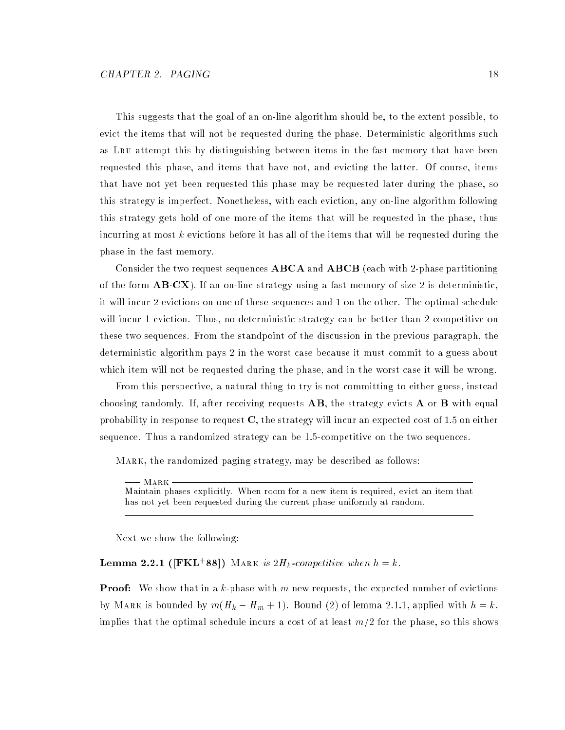This suggests that the goal of an on-line algorithm should be, to the extent possible, to evict the items that will not be requested during the phase. Deterministic algorithms such as Lru attempt this by distinguishing between items in the fast memory that have been requested this phase, and items that have not, and evicting the latter. Of course, items that have not yet been requested this phase may be requested later during the phase, so this strategy is imperfect. Nonetheless, with each eviction, any on-line algorithm following this strategy gets hold of one more of the items that will be requested in the phase, thus incurring at most  $k$  evictions before it has all of the items that will be requested during the phase in the fast memory.

Consider the two request sequences ABCA and ABCB (each with 2-phase partitioning of the form  $\mathbf{AB}\mathbf{C}\mathbf{X}$ ). If an on-line strategy using a fast memory of size 2 is deterministic, it will incur 2 evictions on one of these sequences and 1 on the other. The optimal schedule will incur 1 eviction. Thus, no deterministic strategy can be better than 2-competitive on these two sequences. From the standpoint of the discussion in the previous paragraph, the deterministic algorithm pays 2 in the worst case because it must commit to a guess about which item will not be requested during the phase, and in the worst case it will be wrong.

From this perspective, a natural thing to try is not committing to either guess, instead choosing randomly. If, after receiving requests  $\mathbf{AB}$ , the strategy evicts  $\mathbf{A}$  or  $\mathbf{B}$  with equal probability in response to request  $C$ , the strategy will incur an expected cost of 1.5 on either sequence. Thus a randomized strategy can be 1.5-competitive on the two sequences.

Mark, the randomized paging strategy, may be described as follows:

Mark Maintain phases explicitly. When room for a new item is required, evict an item that has not yet been requested during the current phase uniformly at random.

Next we show the following:

**Lemma 2.2.1** ([FKL+88]) MARK is  $2H_k$ -competitive when  $h = k$ .

**Proof:** We show that in a k-phase with m new requests, the expected number of evictions by MARK is bounded by  $m(H_k - H_m + 1)$ . Bound (2) of lemma 2.1.1, applied with  $h = k$ , implies that the optimal schedule incurs a cost of at least  $m/2$  for the phase, so this shows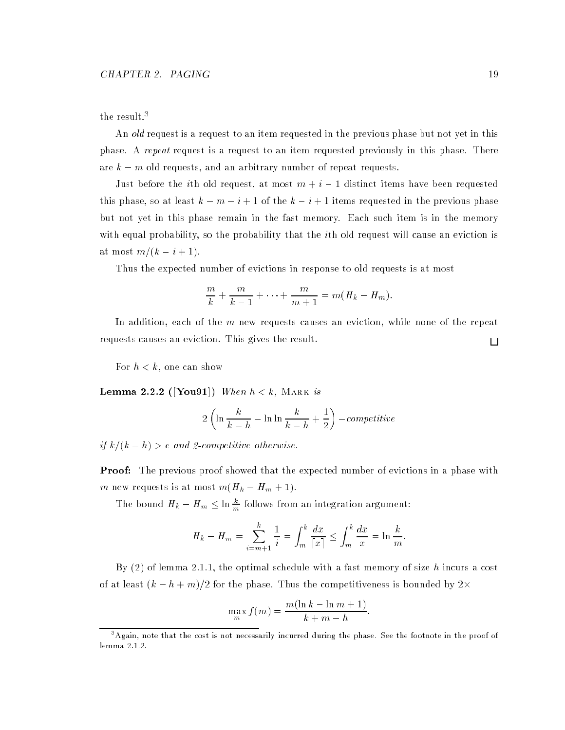#### the result.<sup>3</sup>

An old request is a request to an item requested in the previous phase but not yet in this phase. A repeat request is a request to an item requested previously in this phase. There are  $k - m$  old requests, and an arbitrary number of repeat requests.

Just before the *i*th old request, at most  $m + i - 1$  distinct items have been requested this phase, so at least  $k - m - i + 1$  of the  $k - i + 1$  items requested in the previous phase but not yet in this phase remain in the fast memory. Each such item is in the memory with equal probability, so the probability that the *i*th old request will cause an eviction is at most  $m/(k - i + 1)$ .

Thus the expected number of evictions in response to old requests is at most

$$
\frac{m}{k} + \frac{m}{k-1} + \cdots + \frac{m}{m+1} = m(H_k - H_m).
$$

In addition, each of the m new requests causes an eviction, while none of the repeat requests causes an eviction. This gives the result.

For  $h < k$ , one can show

Lemma 2.2.2 ([You91]) When  $h < k$ , MARK is

$$
2\left(\ln\frac{k}{k-h} - \ln\ln\frac{k}{k-h} + \frac{1}{2}\right) - competitive
$$

if  $k/(k - h) > e$  and 2-competitive otherwise.

**Proof:** The previous proof showed that the expected number of evictions in a phase with m new requests is at most  $m(H_k - H_m + 1)$ .

The bound  $H_k - H_m \leq \ln \frac{\kappa}{m}$  follows from an integration argument:

$$
H_k - H_m = \sum_{i=m+1}^k \frac{1}{i} = \int_m^k \frac{dx}{|x|} \le \int_m^k \frac{dx}{x} = \ln \frac{k}{m}
$$

:

:

By  $(2)$  of lemma 2.1.1, the optimal schedule with a fast memory of size h incurs a cost of at least  $(k-h+m)/2$  for the phase. Thus the competitiveness is bounded by 2 $\times$ 

$$
\max_{m} f(m) = \frac{m(\ln k - \ln m + 1)}{k + m - h}
$$

 $\Box$ 

 $^\circ$ Again, note that the cost is not necessarily incurred during the phase. See the footnote in the proof of lemma 2.1.2.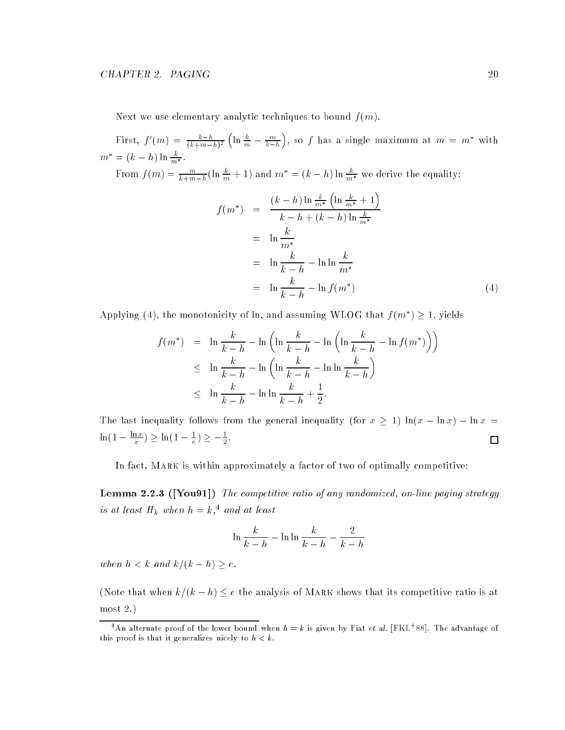Next we use elementary analytic techniques to bound  $f(m)$ .

First,  $f'(m) = \frac{\kappa - n}{(k+m-h)^2}$  $\left(\ln \frac{k}{m} - \frac{m}{k-h}\right)$ ), so f has a single maximum at  $m = m^*$  with  $m^* = (k - h) \ln \frac{k}{m^*}.$ 

From  $f(m) = \frac{m}{k+m-h}(\ln \frac{\kappa}{m} + 1)$  and  $m^* = (k-h)\ln \frac{\kappa}{m^*}$  we derive the equality:

$$
f(m^*) = \frac{(k-h)\ln\frac{k}{m^*}\left(\ln\frac{k}{m^*}+1\right)}{k-h+(k-h)\ln\frac{k}{m^*}}
$$
  
=  $\ln\frac{k}{m^*}$   
=  $\ln\frac{k}{k-h} - \ln\ln\frac{k}{m^*}$   
=  $\ln\frac{k}{k-h} - \ln f(m^*)$  (4)

Applying (4), the monotonicity of ln, and assuming WLOG that  $f(m^*) \geq 1$ , yields

$$
f(m^*) = \ln \frac{k}{k-h} - \ln \left( \ln \frac{k}{k-h} - \ln \left( \ln \frac{k}{k-h} - \ln f(m^*) \right) \right)
$$
  
\n
$$
\leq \ln \frac{k}{k-h} - \ln \left( \ln \frac{k}{k-h} - \ln \ln \frac{k}{k-h} \right)
$$
  
\n
$$
\leq \ln \frac{k}{k-h} - \ln \ln \frac{k}{k-h} + \frac{1}{2}.
$$

The last inequality follows from the general inequality (for  $x \ge 1$ )  $\ln(x - \ln x) - \ln x =$  $\Box$  $\ln(1 - \frac{m}{x}) \leq \ln(1 - \frac{1}{e}) \leq -\frac{1}{2}.$ 

In fact, Mark is within approximately a factor of two of optimally competitive:

**Lemma 2.2.3 ([You91])** The competitive ratio of any randomized, on-line paging strategy is at least  $H_k$  when  $h = k, 4$  and at least

$$
\ln\frac{k}{k-h} - \ln\ln\frac{k}{k-h} - \frac{2}{k-h}
$$

when  $h < k$  and  $k/(k - h) \geq e$ .

(Note that when  $k/(k - h) \leq e$  the analysis of MARK shows that its competitive ratio is at most 2.)

<sup>-</sup>An alternate proof of the lower bound when  $h = k$  is given by Fiat et al. [FKL+88]. The advantage of this proof is that it generalizes nicely to  $h < k$ .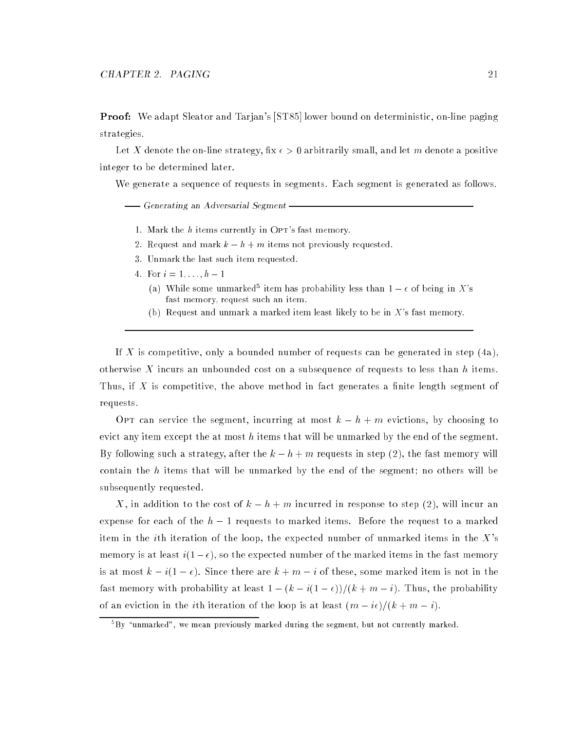**Proof:** We adapt Sleator and Tarjan's [ST85] lower bound on deterministic, on-line paging strategies.

Let X denote the on-line strategy, fix  $\epsilon > 0$  arbitrarily small, and let m denote a positive integer to be determined later.

We generate a sequence of requests in segments. Each segment is generated as follows.

-Generating an Adversarial Segment-

- 1. Mark the  $h$  items currently in OPT's fast memory.
- 2. Request and mark  $k h + m$  items not previously requested.
- 3. Unmark the last such item requested.
- 4. For  $i = 1, ..., h 1$ 
	- (a) While some unmarked<sup>5</sup> item has probability less than  $1-\epsilon$  of being in X's fast memory, request such an item.
	- (b) Request and unmark a marked item least likely to be in  $X$ 's fast memory.

If X is competitive, only a bounded number of requests can be generated in step  $(4a)$ otherwise X incurs an unbounded cost on a subsequence of requests to less than h items. Thus, if X is competitive, the above method in fact generates a finite length segment of requests.

OPT can service the segment, incurring at most  $k - h + m$  evictions, by choosing to evict any item except the at most  $h$  items that will be unmarked by the end of the segment. By following such a strategy, after the  $k - h + m$  requests in step (2), the fast memory will contain the  $h$  items that will be unmarked by the end of the segment; no others will be subsequently requested.

X, in addition to the cost of  $k - h + m$  incurred in response to step (2), will incur an expense for each of the  $h-1$  requests to marked items. Before the request to a marked item in the *i*th iteration of the loop, the expected number of unmarked items in the  $X$ 's memory is at least  $i(1 - \epsilon)$ , so the expected number of the marked items in the fast memory is at most  $k - i(1 - \epsilon)$ . Since there are  $k + m - i$  of these, some marked item is not in the fast memory with probability at least  $1 - (k - i(1 - \epsilon))/(k + m - i)$ . Thus, the probability of an eviction in the *i*th iteration of the loop is at least  $(m - i\epsilon)/(k + m - i)$ .

<sup>-</sup>by -unmarked , we mean previously marked during the segment, but not currently marked.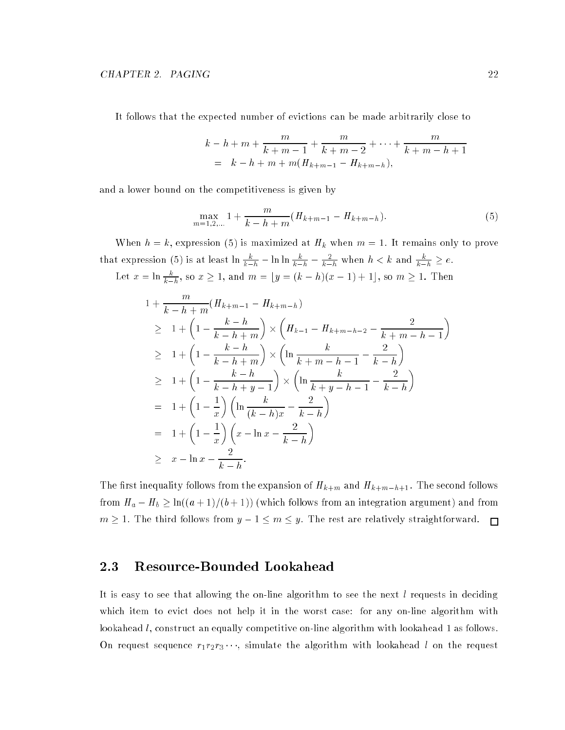It follows that the expected number of evictions can be made arbitrarily close to

$$
k - h + m + \frac{m}{k + m - 1} + \frac{m}{k + m - 2} + \dots + \frac{m}{k + m - h + 1}
$$
  
=  $k - h + m + m(H_{k + m - 1} - H_{k + m - h}),$ 

and a lower bound on the competitiveness is given by

$$
\max_{m=1,2,...} 1 + \frac{m}{k - h + m} (H_{k+m-1} - H_{k+m-h}). \tag{5}
$$

When  $h = k$ , expression (5) is maximized at  $H_k$  when  $m = 1$ . It remains only to prove that expression (5) is at least  $\ln \frac{k}{k-h} - \ln \ln \frac{k}{k-h} - \frac{2}{k-h}$  when  $h < k$  and  $\frac{k}{k-h} \geq e$ . Let  $x = \ln \frac{k}{k-h}$ , so  $x \ge 1$ , and  $m = \lfloor y = (k-h)(x-1)+1 \rfloor$ , so  $m \ge 1$ . Then

$$
1 + \frac{m}{k - h + m}(H_{k+m-1} - H_{k+m-h})
$$
  
\n
$$
\geq 1 + \left(1 - \frac{k - h}{k - h + m}\right) \times \left(H_{k-1} - H_{k+m-h-2} - \frac{2}{k + m - h - 1}\right)
$$
  
\n
$$
\geq 1 + \left(1 - \frac{k - h}{k - h + m}\right) \times \left(\ln \frac{k}{k + m - h - 1} - \frac{2}{k - h}\right)
$$
  
\n
$$
\geq 1 + \left(1 - \frac{k - h}{k - h + y - 1}\right) \times \left(\ln \frac{k}{k + y - h - 1} - \frac{2}{k - h}\right)
$$
  
\n
$$
= 1 + \left(1 - \frac{1}{x}\right) \left(\ln \frac{k}{(k - h)x} - \frac{2}{k - h}\right)
$$
  
\n
$$
= 1 + \left(1 - \frac{1}{x}\right) \left(x - \ln x - \frac{2}{k - h}\right)
$$
  
\n
$$
\geq x - \ln x - \frac{2}{k - h}.
$$

The first inequality follows from the expansion of  $H_{k+m}$  and  $H_{k+m-h+1}$ . The second follows from  $H_a - H_b \geq \ln((a + 1)/(b + 1))$  (which follows from an integration argument) and from  $m \ge 1$ . The third follows from  $y - 1 \le m \le y$ . The rest are relatively straightforward.  $\Box$ 

### 2.3 Resource-Bounded Lookahead

It is easy to see that allowing the on-line algorithm to see the next  $l$  requests in deciding which item to evict does not help it in the worst case: for any on-line algorithm with lookahead *l*, construct an equally competitive on-line algorithm with lookahead 1 as follows. On request sequence  $r_1r_2r_3\cdots$ , simulate the algorithm with lookahead l on the request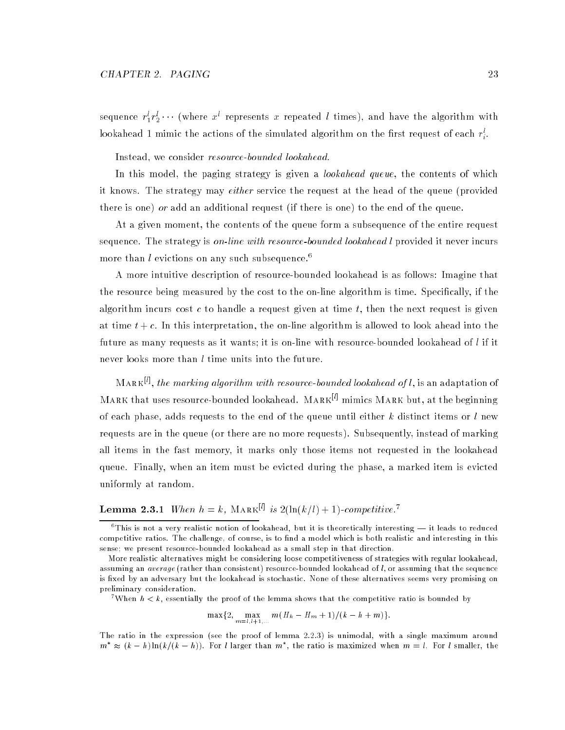sequence  $r_1^{\iota} r_2^{\iota} \cdots$  (where  $x^{\iota}$  represents  $x$  repeated  $l$  times), and have the algorithm with lookahead 1 mimic the actions of the simulated algorithm on the first request of each  $r_{\ast}$ .

Instead, we consider resource-bounded lookahead.

In this model, the paging strategy is given a *lookahead queue*, the contents of which it knows. The strategy may either service the request at the head of the queue (provided there is one) or add an additional request (if there is one) to the end of the queue.

At a given moment, the contents of the queue form a subsequence of the entire request sequence. The strategy is *on-line with resource-bounded lookahead l* provided it never incurs more than l evictions on any such subsequence.<sup>6</sup>

A more intuitive description of resource-bounded lookahead is as follows: Imagine that the resource being measured by the cost to the on-line algorithm is time. Specically, if the algorithm incurs cost c to handle a request given at time  $t$ , then the next request is given at time  $t + c$ . In this interpretation, the on-line algorithm is allowed to look ahead into the future as many requests as it wants; it is on-line with resource-bounded lookahead of  $l$  if it never looks more than l time units into the future.

 $MARK<sup>[1]</sup>$ , the marking algorithm with resource-bounded lookahead of l, is an adaptation of MARK that uses resource-bounded lookahead. MARK<sup>[*l*]</sup> mimics MARK but, at the beginning of each phase, adds requests to the end of the queue until either  $k$  distinct items or  $l$  new requests are in the queue (or there are no more requests). Subsequently, instead of marking all items in the fast memory, it marks only those items not requested in the lookahead queue. Finally, when an item must be evicted during the phase, a marked item is evicted uniformly at random.

### **Lemma 2.3.1** When  $h = k$ , MARK<sup>[*l*]</sup> is  $2(\ln(k/l) + 1)$ -competitive.<sup>7</sup>

When  $h < k$ , essentially the proof of the lemma shows that the competitive ratio is bounded by

$$
\max\{2, \max_{m=l, l+1, \ldots} m(H_k - H_m + 1)/(k - h + m)\}.
$$

The ratio in the expression (see the proof of lemma 2.2.3) is unimodal, with a single maximum around  $m$   $\approx$  (k  $-$  h) ln(k/(k  $-$  h)). For l larger than  $m$  , the ratio is maximized when  $m =$  l. For l smaller, the

<sup>i</sup>

 $^\circ$  1 his is not a very realistic notion of lookahead, but it is theoretically interesting — it leads to reduced competitive ratios. The challenge, of course, is to find a model which is both realistic and interesting in this sense; we present resource-bounded lookahead as a small step in that direction.

More realistic alternatives might be considering loose competitiveness of strategies with regular lookahead, assuming an *average* (rather than consistent) resource-bounded lookahead of  $l$ , or assuming that the sequence is fixed by an adversary but the lookahead is stochastic. None of these alternatives seems very promising on preliminary consideration.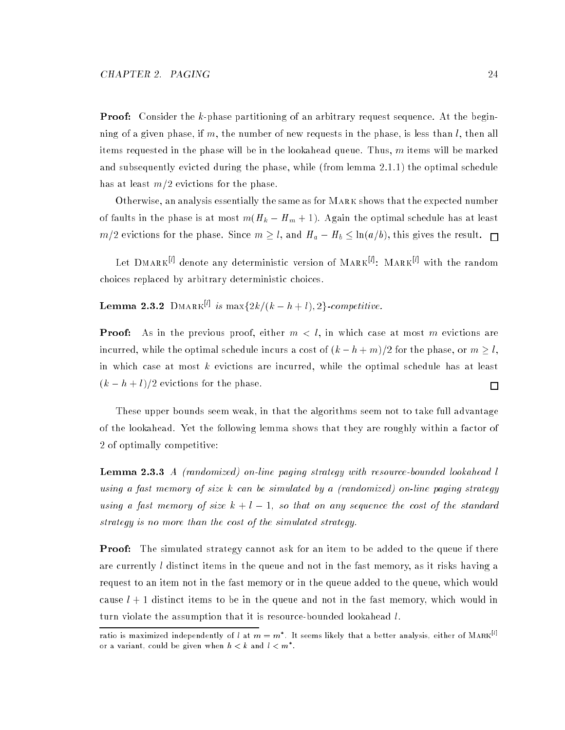**Proof:** Consider the k-phase partitioning of an arbitrary request sequence. At the beginning of a given phase, if m, the number of new requests in the phase, is less than  $l$ , then all items requested in the phase will be in the lookahead queue. Thus,  $m$  items will be marked and subsequently evicted during the phase, while (from lemma 2.1.1) the optimal schedule has at least  $m/2$  evictions for the phase.

Otherwise, an analysis essentially the same as for Mark shows that the expected number of faults in the phase is at most  $m(H_k - H_m + 1)$ . Again the optimal schedule has at least  $m/2$  evictions for the phase. Since  $m \geq l$ , and  $H_a - H_b \leq \ln(a/b)$ , this gives the result.  $\Box$ 

Let  $\text{DMARK}^{[l]}$  denote any deterministic version of  $\text{MARK}^{[l]}$ :  $\text{MARK}^{[l]}$  with the random choices replaced by arbitrary deterministic choices.

**Lemma 2.3.2** DMARK<sup>[1]</sup> is max $\{2k/(k-h+l), 2\}$ -competitive.

**Proof:** As in the previous proof, either  $m < l$ , in which case at most m evictions are incurred, while the optimal schedule incurs a cost of  $(k - h + m)/2$  for the phase, or  $m \geq l$ , in which case at most  $k$  evictions are incurred, while the optimal schedule has at least  $(k - h + l)/2$  evictions for the phase.

These upper bounds seem weak, in that the algorithms seem not to take full advantage of the lookahead. Yet the following lemma shows that they are roughly within a factor of 2 of optimally competitive:

**Lemma 2.3.3** A (randomized) on-line paging strategy with resource-bounded lookahead l using a fast memory of size k can be simulated by a (randomized) on-line paging strategy using a fast memory of size  $k + l - 1$ , so that on any sequence the cost of the standard strategy is no more than the cost of the simulated strategy.

**Proof:** The simulated strategy cannot ask for an item to be added to the queue if there are currently l distinct items in the queue and not in the fast memory, as it risks having a request to an item not in the fast memory or in the queue added to the queue, which would cause  $l + 1$  distinct items to be in the queue and not in the fast memory, which would in turn violate the assumption that it is resource-bounded lookahead l.

 $\Box$ 

ratio is maximized independently of  $l$  at  $m=m$  . It seems likely that a better analysis, either of MARK $^{\rm eq}$ or a variant, could be given when  $n < \kappa$  and  $\iota < m$  .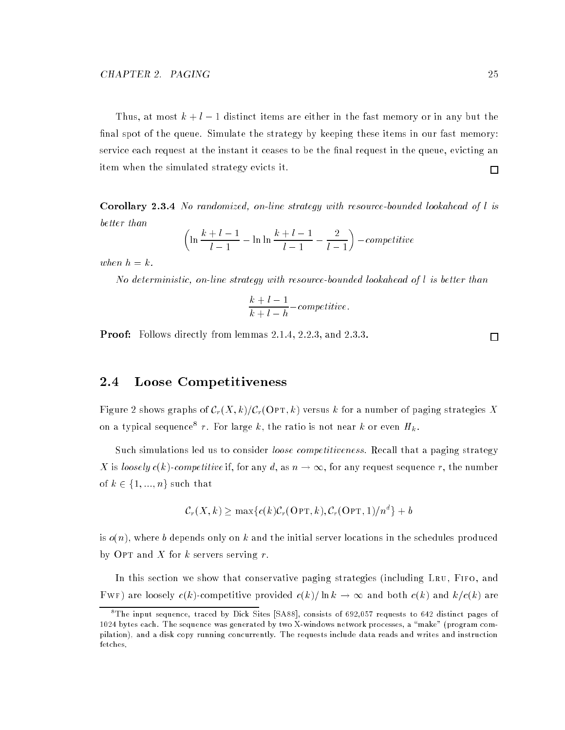Thus, at most  $k + l - 1$  distinct items are either in the fast memory or in any but the final spot of the queue. Simulate the strategy by keeping these items in our fast memory: service each request at the instant it ceases to be the final request in the queue, evicting an item when the simulated strategy evicts it.  $\Box$ 

Corollary 2.3.4 No randomized, on-line strategy with resource-bounded lookahead of l is better than

$$
\left(\ln\frac{k+l-1}{l-1} - \ln\ln\frac{k+l-1}{l-1} - \frac{2}{l-1}\right) - competitive
$$

when  $h = k$ .

No deterministic, on-line strategy with resource-bounded lookahead of l is better than

$$
\frac{k+l-1}{k+l-h}-competitive.
$$

Proof: Follows directly from lemmas 2.1.4, 2.2.3, and 2.3.3.

#### 2.4 Loose Competitiveness

Figure 2 shows graphs of  $C_r(X, k)/C_r(\text{OPT}, k)$  versus k for a number of paging strategies X on a typical sequence<sup>8</sup> r. For large k, the ratio is not near k or even  $H_k$ .

Such simulations led us to consider *loose competitiveness*. Recall that a paging strategy X is loosely  $c(k)$ -competitive if, for any d, as  $n \to \infty$ , for any request sequence r, the number of  $k \in \{1, ..., n\}$  such that

$$
C_r(X,k) \ge \max\{c(k)\mathcal{C}_r(\text{OPT},k), \mathcal{C}_r(\text{OPT},1)/n^d\} + b
$$

is  $o(n)$ , where b depends only on k and the initial server locations in the schedules produced by OPT and X for k servers serving  $r$ .

In this section we show that conservative paging strategies (including Lru, Fifo, and FWF) are loosely  $c(k)$ -competitive provided  $c(k)/\ln k \to \infty$  and both  $c(k)$  and  $k/c(k)$  are

 $\Box$ 

The input sequence, traced by Dick Sites  $\ket{SAS8}$ , consists of 692,057 requests to 642 distinct pages of 1024 bytes each. The sequence was generated by two X-windows network processes, a \make" (program compilation), and a disk copy running concurrently. The requests include data reads and writes and instruction fetches.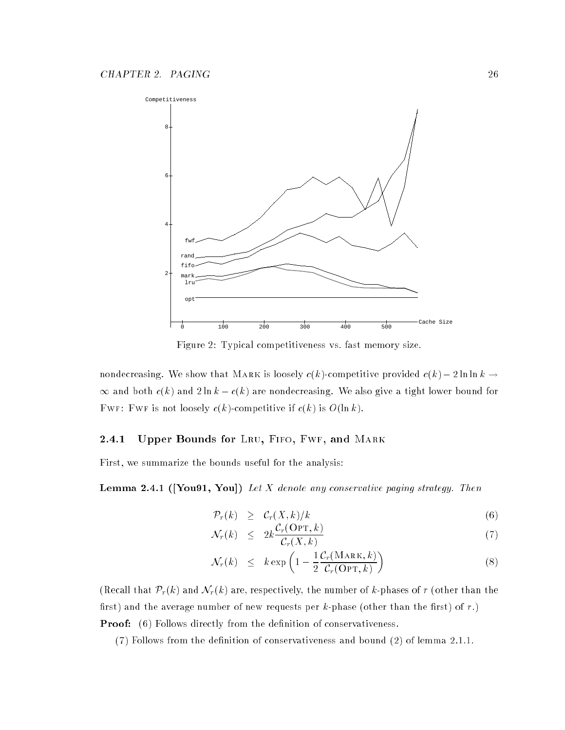

Figure 2: Typical competitiveness vs. fast memory size.

nondecreasing. We show that MARK is loosely  $c(k)$ -competitive provided  $c(k) - 2 \ln \ln k \rightarrow$  $\infty$  and both  $c(k)$  and  $2 \ln k - c(k)$  are nondecreasing. We also give a tight lower bound for FWF: FWF is not loosely  $c(k)$ -competitive if  $c(k)$  is  $O(\ln k)$ .

### 2.4.1 Upper Bounds for LRU, FIFO, FWF, and MARK

First, we summarize the bounds useful for the analysis:

**Lemma 2.4.1 ([You91, You])** Let X denote any conservative paging strategy. Then

$$
\mathcal{P}_r(k) \geq \mathcal{C}_r(X,k)/k \tag{6}
$$

$$
\mathcal{N}_r(k) \leq 2k \frac{\mathcal{C}_r(\text{OPT}, k)}{\mathcal{C}_r(X, k)} \tag{7}
$$

$$
\mathcal{N}_r(k) \leq k \exp\left(1 - \frac{1}{2} \frac{\mathcal{C}_r(\text{MARK}, k)}{\mathcal{C}_r(\text{OPT}, k)}\right) \tag{8}
$$

(Recall that  $\mathcal{P}_r(k)$  and  $\mathcal{N}_r(k)$  are, respectively, the number of k-phases of r (other than the first) and the average number of new requests per  $k$ -phase (other than the first) of  $r$ .) **Proof:** (6) Follows directly from the definition of conservativeness.

 $(7)$  Follows from the definition of conservativeness and bound  $(2)$  of lemma 2.1.1.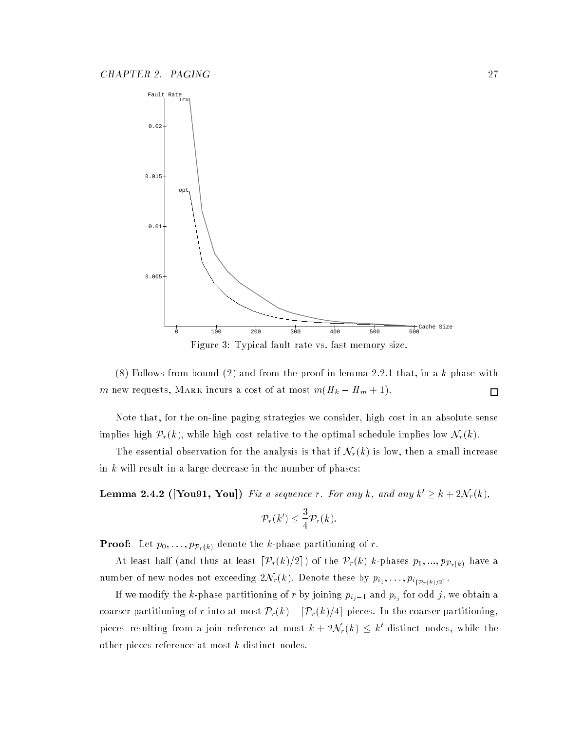

Figure 3: Typical fault rate vs. fast memory size.

 $(8)$  Follows from bound  $(2)$  and from the proof in lemma 2.2.1 that, in a k-phase with m new requests, MARK incurs a cost of at most  $m(H_k - H_m + 1)$ .  $\Box$ 

Note that, for the on-line paging strategies we consider, high cost in an absolute sense implies high  $\mathcal{P}_r(k)$ , while high cost relative to the optimal schedule implies low  $\mathcal{N}_r(k)$ .

The essential observation for the analysis is that if  $\mathcal{N}_r(k)$  is low, then a small increase in  $k$  will result in a large decrease in the number of phases:

**Lemma 2.4.2** ([You91, You]) Fix a sequence r. For any k, and any  $k' \geq k + 2\mathcal{N}_r(k)$ ,

$$
\mathcal{P}_r(k') \leq \frac{3}{4} \mathcal{P}_r(k).
$$

**Proof:** Let  $p_0, \ldots, p_{\mathcal{P}_r(k)}$  denote the k-phase partitioning of r.

At least half (and thus at least  $\lceil \mathcal{P}_r (k)/2 \rceil$ ) of the  $\mathcal{P}_r (k)$  k-phases  $p_1, ..., p_{\mathcal{P}_r(k)}$  have a number of new nodes not exceeding  $2\mathcal{N}_r(k).$  Denote these by  $p_{i_1},\ldots,p_{i_{\lceil\mathcal{P}_r(k)/2\rceil}}.$ 

If we modify the k-phase partitioning of  $r$  by joining  $p_{i_j-1}$  and  $p_{i_j}$  for odd  $j$ , we obtain a coarser partitioning of r into at most  $\mathcal{P}_r(k)-[\mathcal{P}_r(k)/4]$  pieces. In the coarser partitioning, pieces resulting from a join reference at most  $k + 2\mathcal{N}_r(k) \leq k'$  distinct nodes, while the other pieces reference at most k distinct nodes.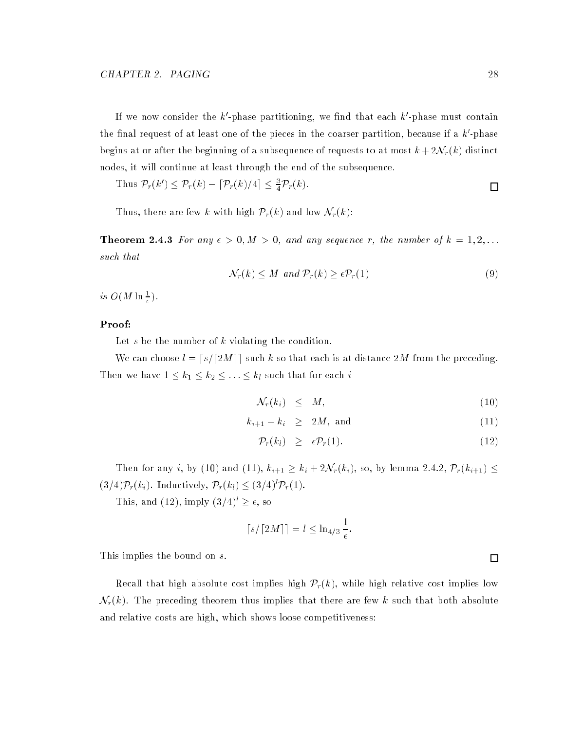If we now consider the k'-phase partitioning, we find that each  $k'$ -phase must contain the final request of at least one of the pieces in the coarser partition, because if a  $k'$ -phase begins at or after the beginning of a subsequence of requests to at most  $k + 2\mathcal{N}_r(k)$  distinct nodes, it will continue at least through the end of the subsequence.

Thus 
$$
\mathcal{P}_r(k') \leq \mathcal{P}_r(k) - \left[\mathcal{P}_r(k)/4\right] \leq \frac{3}{4}\mathcal{P}_r(k).
$$

Thus, there are few k with high  $\mathcal{P}_r(k)$  and low  $\mathcal{N}_r(k)$ :

**Theorem 2.4.3** For any  $\epsilon > 0, M > 0$ , and any sequence r, the number of  $k = 1, 2, \ldots$ such that

$$
\mathcal{N}_r(k) \le M \ \text{and} \ \mathcal{P}_r(k) \ge \epsilon \mathcal{P}_r(1) \tag{9}
$$

is  $O(M \ln \frac{1}{\epsilon}).$ 

### Proof:

Let  $s$  be the number of  $k$  violating the condition.

We can choose  $l = \lfloor s/[2M]\rfloor$  such k so that each is at distance 2M from the preceding. Then we have  $1 \leq k_1 \leq k_2 \leq \ldots \leq k_l$  such that for each  $i$ 

$$
\mathcal{N}_r(k_i) \leq M,\tag{10}
$$

$$
k_{i+1} - k_i \geq 2M, \text{ and } \tag{11}
$$

$$
\mathcal{P}_r(k_l) \geq \epsilon \mathcal{P}_r(1). \tag{12}
$$

Then for any *i*, by (10) and (11),  $k_{i+1} \geq k_i + 2\mathcal{N}_r(k_i)$ , so, by lemma 2.4.2,  $\mathcal{P}_r(k_{i+1}) \leq$  $(3/4)\mathcal{P}_r(k_i)$ . Inductively,  $\mathcal{P}_r(k_l) \leq (3/4)^l \mathcal{P}_r(1)$ .

This, and (12), imply  $(3/4)^l \ge \epsilon$ , so

$$
\lceil s/\lceil 2M\rceil \rceil = l \leq \ln_{4/3} \frac{1}{\epsilon}.
$$

This implies the bound on s.

Recall that high absolute cost implies high  $\mathcal{P}_r(k)$ , while high relative cost implies low  $\mathcal{N}_r(k)$ . The preceding theorem thus implies that there are few k such that both absolute and relative costs are high, which shows loose competitiveness:

 $\Box$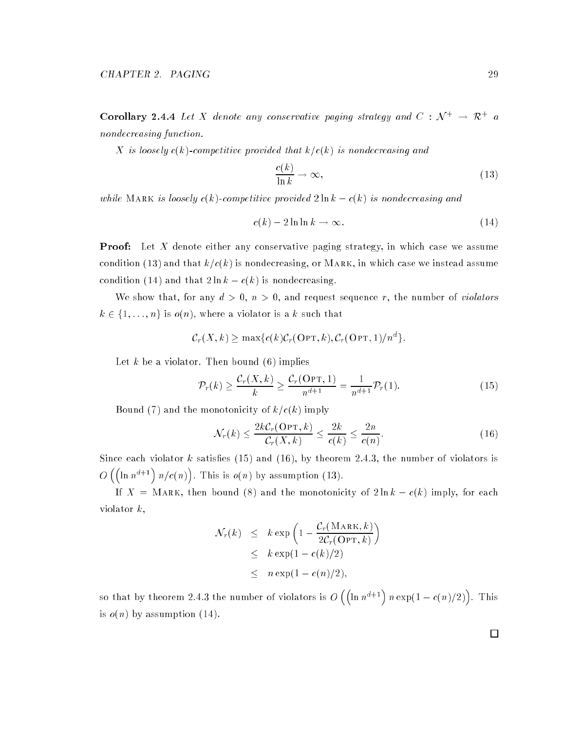**Corollary 2.4.4** Let X denote any conservative paging strategy and  $C : \mathcal{N}^+ \to \mathbb{R}^+$  a nondecreasing function.

X is loosely  $c(k)$ -competitive provided that  $k/c(k)$  is nondecreasing and

$$
\frac{c(k)}{\ln k} \to \infty,\tag{13}
$$

while MARK is loosely  $c(k)$ -competitive provided  $2 \ln k - c(k)$  is nondecreasing and

$$
c(k) - 2\ln\ln k \to \infty. \tag{14}
$$

**Proof:** Let X denote either any conservative paging strategy, in which case we assume condition (13) and that  $k/c(k)$  is nondecreasing, or MARK, in which case we instead assume condition (14) and that  $2 \ln k - c(k)$  is nondecreasing.

We show that, for any  $d > 0$ ,  $n > 0$ , and request sequence r, the number of *violators*  $k \in \{1, \ldots, n\}$  is  $o(n)$ , where a violator is a k such that

$$
\mathcal{C}_r(X,k) \geq \max\{c(k)\mathcal{C}_r(\text{OPT},k), \mathcal{C}_r(\text{OPT},1)/n^d\}.
$$

Let k be a violator. Then bound  $(6)$  implies

$$
\mathcal{P}_r(k) \ge \frac{\mathcal{C}_r(X,k)}{k} \ge \frac{\mathcal{C}_r(\text{OPT},1)}{n^{d+1}} = \frac{1}{n^{d+1}} \mathcal{P}_r(1). \tag{15}
$$

Bound (7) and the monotonicity of  $k/c(k)$  imply

$$
\mathcal{N}_r(k) \le \frac{2k\mathcal{C}_r(\text{OPT}, k)}{\mathcal{C}_r(X, k)} \le \frac{2k}{c(k)} \le \frac{2n}{c(n)}.\tag{16}
$$

Since each violator k satisfies  $(15)$  and  $(16)$ , by theorem 2.4.3, the number of violators is  $O\left(\left(\ln n^{d+1}\right)n/c(n)\right)$ . This is  $o(n)$  by assumption (13).

If  $X = \text{MARK}$ , then bound (8) and the monotonicity of  $2 \ln k - c(k)$  imply, for each violator  $k$ ,

$$
\mathcal{N}_r(k) \leq k \exp\left(1 - \frac{\mathcal{C}_r(\text{MARK}, k)}{2\mathcal{C}_r(\text{OPT}, k)}\right)
$$
  
\n
$$
\leq k \exp(1 - c(k)/2)
$$
  
\n
$$
\leq n \exp(1 - c(n)/2),
$$

so that by theorem 2.4.3 the number of violators is  $O\left(\left(\ln n^{d+1}\right)n\exp(1-c(n)/2)\right)$ . This is  $o(n)$  by assumption (14).

 $\Box$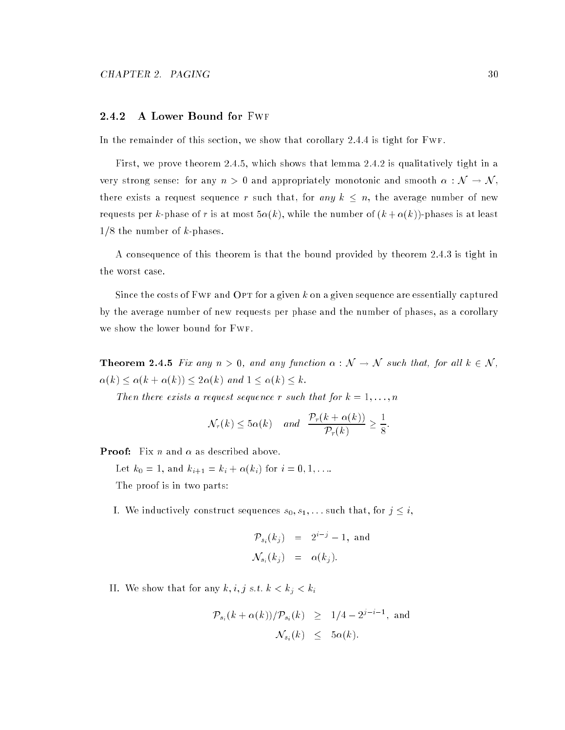#### 2.4.2 A Lower Bound for Fwf

In the remainder of this section, we show that corollary 2.4.4 is tight for Fwf.

First, we prove theorem 2.4.5, which shows that lemma 2.4.2 is qualitatively tight in a very strong sense: for any  $n > 0$  and appropriately monotonic and smooth  $\alpha : \mathcal{N} \to \mathcal{N}$ , there exists a request sequence r such that, for any  $k \leq n$ , the average number of new requests per k-phase of r is at most  $5\alpha(k)$ , while the number of  $(k + \alpha(k))$ -phases is at least  $1/8$  the number of k-phases.

A consequence of this theorem is that the bound provided by theorem 2.4.3 is tight in the worst case.

Since the costs of FWF and OPT for a given  $k$  on a given sequence are essentially captured by the average number of new requests per phase and the number of phases, as a corollary we show the lower bound for Fwf.

**Theorem 2.4.5** Fix any  $n > 0$ , and any function  $\alpha : \mathcal{N} \to \mathcal{N}$  such that, for all  $k \in \mathcal{N}$ ,  $\alpha(k) \leq \alpha(k + \alpha(k)) \leq 2\alpha(k)$  and  $1 \leq \alpha(k) \leq k$ .

Then there exists a request sequence r such that for  $k = 1, \ldots, n$ 

$$
\mathcal{N}_r(k) \leq 5\alpha(k)
$$
 and  $\frac{\mathcal{P}_r(k+\alpha(k))}{\mathcal{P}_r(k)} \geq \frac{1}{8}$ .

**Proof:** Fix *n* and  $\alpha$  as described above.

Let  $k_0 = 1$ , and  $k_{i+1} = k_i + \alpha(k_i)$  for  $i = 0, 1, ...$ 

The proof is in two parts:

I. We inductively construct sequences  $s_0, s_1, \ldots$  such that, for  $j \leq i$ ,

$$
\mathcal{P}_{s_i}(k_j) = 2^{i-j} - 1, \text{ and}
$$
  

$$
\mathcal{N}_{s_i}(k_j) = \alpha(k_j).
$$

II. We show that for any  $k, i, j \text{ s.t. } k < k_j < k_i$ 

$$
\mathcal{P}_{s_i}(k+\alpha(k))/\mathcal{P}_{s_i}(k) \geq 1/4 - 2^{j-i-1}, \text{ and}
$$
  

$$
\mathcal{N}_{s_i}(k) \leq 5\alpha(k).
$$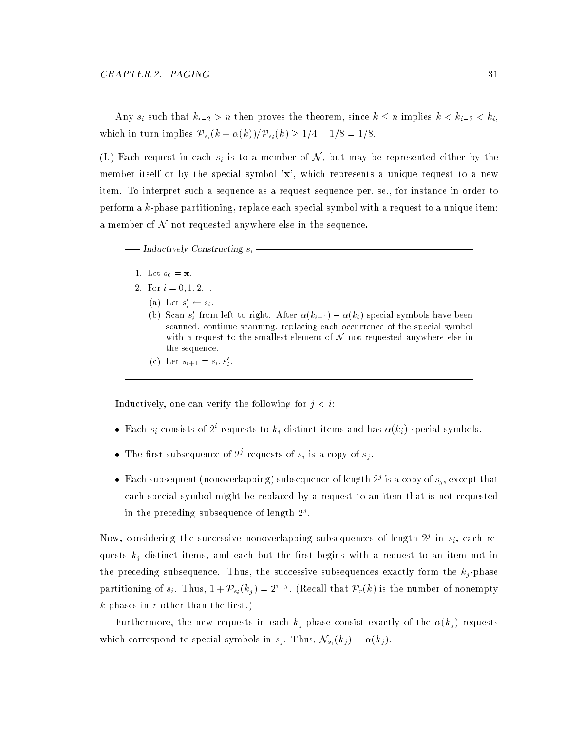Any  $s_i$  such that  $k_{i-2} > n$  then proves the theorem, since  $k \leq n$  implies  $k < k_{i-2} < k_i$ , which in turn implies  $P_{s_i}(k + \alpha(k))/P_{s_i}(k) \geq 1/4 - 1/8 = 1/8$ .

(I.) Each request in each  $s_i$  is to a member of N, but may be represented either by the member itself or by the special symbol 'x', which represents a unique request to a new item. To interpret such a sequence as a request sequence per. se., for instance in order to perform a k-phase partitioning, replace each special symbol with a request to a unique item: a member of  $\mathcal N$  not requested anywhere else in the sequence.

 $-$  Inductively Constructing  $s_i$  -

- 1. Let  $s_0 = \mathbf{x}$ .
- 2. For  $i = 0, 1, 2, \ldots$ 
	- (a) Let  $s_i \leftarrow s_i$ .
	- (b) Scan s' from left to right. After  $\alpha(k_{i+1}) \alpha(k_i)$  special symbols have been scanned, continue scanning, replacing each occurrence of the special symbol with a request to the smallest element of  $N$  not requested anywhere else in the sequence.
	- (c) Let  $s_{i+1} = s_i, s_i$ .

Inductively, one can verify the following for  $j < i$ :

- Each  $s_i$  consists of  $2^i$  requests to  $k_i$  distinct items and has  $\alpha(k_i)$  special symbols.
- $\bullet$  The first subsequence of 2<sup>1</sup> requests of  $s_i$  is a copy of  $s_j$ .
- $\bullet$  -Each subsequent (nonoverlapping) subsequence of length  $2^j$  is a copy of  $s_j,$  except that each special symbol might be replaced by a request to an item that is not requested in the preceding subsequence of length  $2^\circ$ .

Now, considering the successive nonoverlapping subsequences of length  $2^j$  in  $s_i$ , each requests  $k_i$  distinct items, and each but the first begins with a request to an item not in the preceding subsequence. Thus, the successive subsequences exactly form the  $k_j$ -phase partitioning of  $s_i$ . Thus,  $1 + \mathcal{P}_{s_i}(k_j) = 2^{i-j}$ . (Recall that  $\mathcal{P}_r(k)$  is the number of nonempty  $k$ -phases in  $r$  other than the first.)

Furthermore, the new requests in each  $k_j$ -phase consist exactly of the  $\alpha(k_j)$  requests which correspond to special symbols in  $s_j$ . Thus,  $\mathcal{N}_{s_i}(k_j) = \alpha(k_j)$ .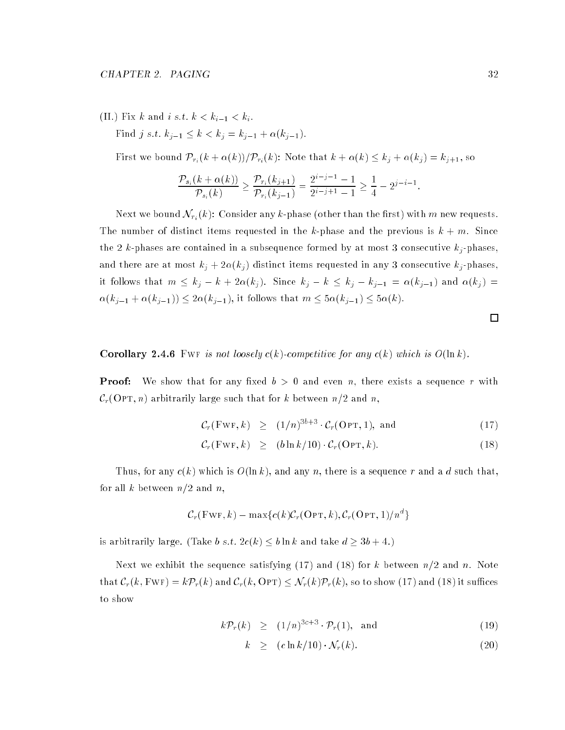(II.) Fix k and i s.t.  $k < k_{i-1} < k_i$ . Find j s.t.  $k_{j-1} \leq k < k_j = k_{j-1} + \alpha(k_{j-1}).$ 

First we bound  $\mathcal{P}_{r_i}(k + \alpha(k))/\mathcal{P}_{r_i}(k)$ : Note that  $k + \alpha(k) \leq k_j + \alpha(k_j) = k_{j+1}$ , so

$$
\frac{\mathcal{P}_{s_i}(k+\alpha(k))}{\mathcal{P}_{s_i}(k)} \ge \frac{\mathcal{P}_{r_i}(k_{j+1})}{\mathcal{P}_{r_i}(k_{j-1})} = \frac{2^{i-j-1}-1}{2^{i-j+1}-1} \ge \frac{1}{4} - 2^{j-i-1}.
$$

Next we bound  $\mathcal{N}_{r_i}(k)$ : Consider any k-phase (other than the first) with m new requests. The number of distinct items requested in the k-phase and the previous is  $k + m$ . Since the 2 k-phases are contained in a subsequence formed by at most 3 consecutive  $k_j$ -phases. and there are at most  $k_j + 2\alpha(k_j)$  distinct items requested in any 3 consecutive  $k_j$ -phases, it follows that  $m \leq k_j - k + 2\alpha(k_j)$ . Since  $k_j - k \leq k_j - k_{j-1} = \alpha(k_{j-1})$  and  $\alpha(k_j)$  =  $\alpha(k_{j-1} + \alpha(k_{j-1})) \leq 2\alpha(k_{j-1}),$  it follows that  $m \leq 5\alpha(k_{j-1}) \leq 5\alpha(k).$ 

 $\Box$ 

**Corollary 2.4.6** FWF is not loosely  $c(k)$ -competitive for any  $c(k)$  which is  $O(\ln k)$ .

**Proof:** We show that for any fixed  $b > 0$  and even n, there exists a sequence r with  $\mathcal{C}_r$ (Opt, n) arbitrarily large such that for k between  $n/2$  and n,

$$
\mathcal{C}_r(\text{FWF}, k) \geq (1/n)^{3b+3} \cdot \mathcal{C}_r(\text{OPT}, 1), \text{ and } (17)
$$

$$
\mathcal{C}_r(\text{FWF}, k) \geq (b \ln k / 10) \cdot \mathcal{C}_r(\text{OPT}, k). \tag{18}
$$

Thus, for any  $c(k)$  which is  $O(\ln k)$ , and any n, there is a sequence r and a d such that, for all k between  $n/2$  and n,

$$
C_r(\text{FWF}, k) - \max\{c(k)C_r(\text{OPT}, k), C_r(\text{OPT}, 1)/n^d\}
$$

is arbitrarily large. (Take b s.t.  $2c(k) \leq b \ln k$  and take  $d \geq 3b + 4$ .)

Next we exhibit the sequence satisfying  $(17)$  and  $(18)$  for k between  $n/2$  and n. Note that  $C_r(k, FWF) = k \mathcal{P}_r(k)$  and  $C_r(k, OPT) \leq \mathcal{N}_r(k) \mathcal{P}_r(k)$ , so to show (17) and (18) it suffices to show

$$
k\mathcal{P}_r(k) \geq (1/n)^{3c+3} \cdot \mathcal{P}_r(1), \text{ and } (19)
$$

$$
k \ge (c \ln k / 10) \cdot \mathcal{N}_r(k). \tag{20}
$$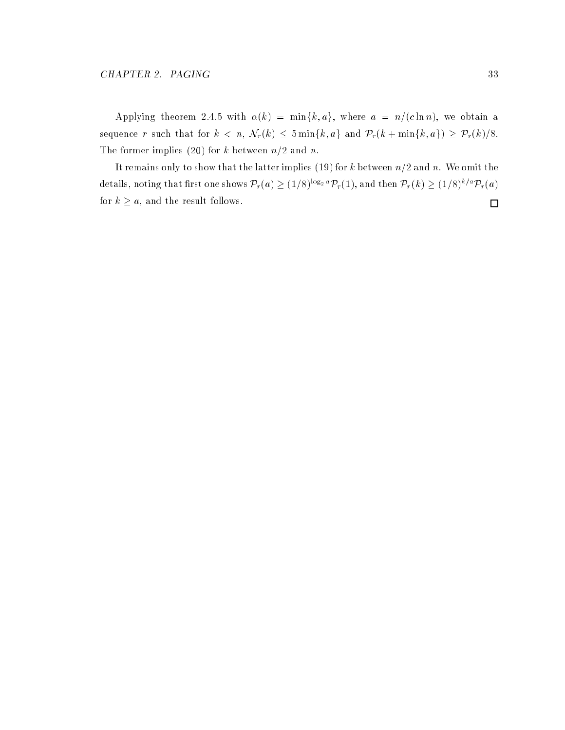Applying theorem 2.4.5 with  $\alpha(k) = \min\{k, a\}$ , where  $a = n/(c \ln n)$ , we obtain a sequence r such that for  $k < n$ ,  $\mathcal{N}_r(k) \leq 5 \min\{k,a\}$  and  $\mathcal{P}_r(k+\min\{k,a\}) \geq \mathcal{P}_r(k)/8$ . The former implies (20) for k between  $n/2$  and n.

It remains only to show that the latter implies (19) for k between  $n/2$  and n. We omit the details, noting that first one shows  $\mathcal{P}_r(a)\geq (1/8)^{\log_2 a}\mathcal{P}_r(1)$ , and then  $\mathcal{P}_r(k)\geq (1/8)^{k/a}\mathcal{P}_r(a)$ for  $k \geq a$ , and the result follows.  $\Box$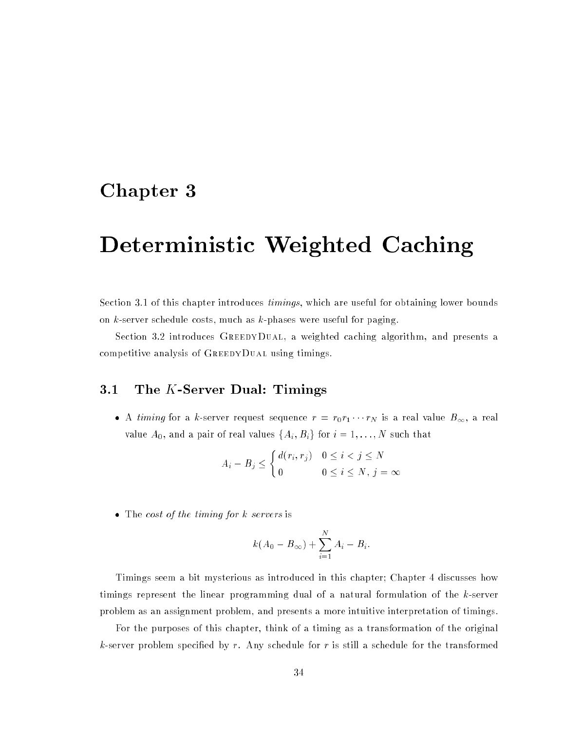# Chapter <sup>3</sup>

# Deterministic Weighted Caching

Section 3.1 of this chapter introduces *timings*, which are useful for obtaining lower bounds on  $k$ -server schedule costs, much as  $k$ -phases were useful for paging.

Section 3.2 introduces GreedyDual, a weighted caching algorithm, and presents a competitive analysis of GreedyDual using timings.

## 3.1 The K-Server Dual: Timings

• A timing for a k-server request sequence  $r = r_0r_1 \cdots r_N$  is a real value  $B_{\infty}$ , a real value  $A_0$ , and a pair of real values  $\{A_i, B_i\}$  for  $i = 1, \ldots, N$  such that

$$
A_i - B_j \le \begin{cases} d(r_i, r_j) & 0 \le i < j \le N \\ 0 & 0 \le i \le N, j = \infty \end{cases}
$$

• The cost of the timing for k servers is

$$
k(A_0 - B_{\infty}) + \sum_{i=1}^{N} A_i - B_i.
$$

Timings seem a bit mysterious as introduced in this chapter; Chapter 4 discusses how timings represent the linear programming dual of a natural formulation of the k-server problem as an assignment problem, and presents a more intuitive interpretation of timings.

For the purposes of this chapter, think of a timing as a transformation of the original k-server problem specified by r. Any schedule for r is still a schedule for the transformed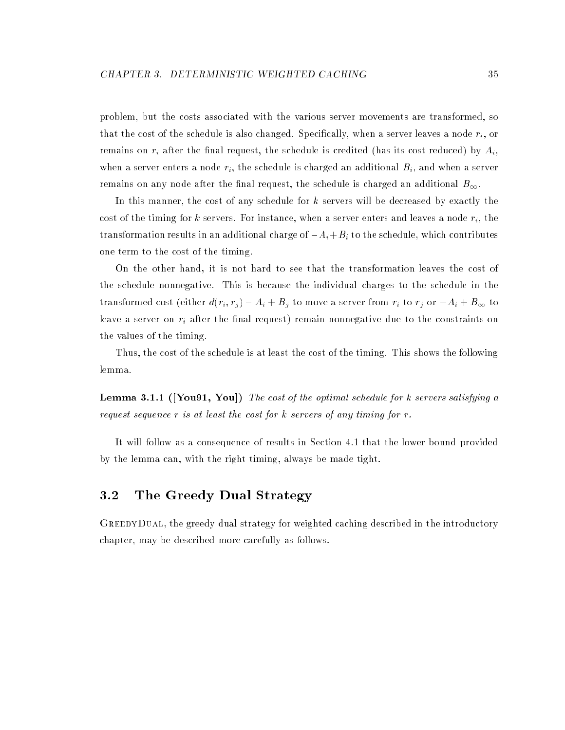problem, but the costs associated with the various server movements are transformed, so that the cost of the schedule is also changed. Specifically, when a server leaves a node  $r_i$ , or remains on  $r_i$  after the final request, the schedule is credited (has its cost reduced) by  $A_i$ , when a server enters a node  $r_i$ , the schedule is charged an additional  $B_i$ , and when a server remains on any node after the final request, the schedule is charged an additional  $B_{\infty}$ .

In this manner, the cost of any schedule for k servers will be decreased by exactly the cost of the timing for k servers. For instance, when a server enters and leaves a node  $r_i$ , the transformation results in an additional charge of  $-A_i+B_i$  to the schedule, which contributes one term to the cost of the timing.

On the other hand, it is not hard to see that the transformation leaves the cost of the schedule nonnegative. This is because the individual charges to the schedule in the transformed cost (either  $d(r_i, r_j) - A_i + B_j$  to move a server from  $r_i$  to  $r_j$  or  $-A_i + B_{\infty}$  to leave a server on  $r_i$  after the final request) remain nonnegative due to the constraints on the values of the timing.

Thus, the cost of the schedule is at least the cost of the timing. This shows the following lemma.

**Lemma 3.1.1 ([You91, You])** The cost of the optimal schedule for k servers satisfying a request sequence <sup>r</sup> is at least the cost for k servers of any timing for r.

It will follow as a consequence of results in Section 4.1 that the lower bound provided by the lemma can, with the right timing, always be made tight.

## 3.2 The Greedy Dual Strategy

GREEDYDUAL, the greedy dual strategy for weighted caching described in the introductory chapter, may be described more carefully as follows.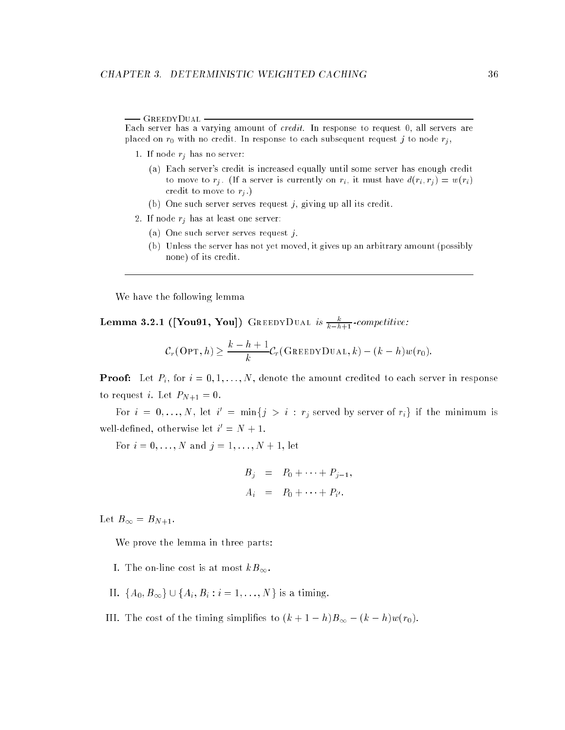- GreedyDual -Each server has a varying amount of  $credit$ . In response to request  $0$ , all servers are

1. If node  $r_j$  has no server:

(a) Each server's credit is increased equally until some server has enough credit to move to  $r_j$ . (If a server is currently on  $r_i$ , it must have  $d(r_i, r_j) = w(r_i)$ credit to move to  $r_i$ .)

placed on  $r_0$  with no credit. In response to each subsequent request j to node  $r_j$ ,

- (b) One such server serves request  $j$ , giving up all its credit.
- 2. If node  $r_j$  has at least one server:
	- (a) One such server serves request j.
	- (b) Unless the server has not yet moved, it gives up an arbitrary amount (possibly none) of its credit.

We have the following lemma

 ${\rm \bf Lemma~3.2.1~([You91, You])}$   ${\rm \bf GREEDYDUAL}$  is  $\frac{\kappa}{k-h+1}$  -competitive:

$$
C_r(\text{OPT}, h) \geq \frac{k-h+1}{k} C_r(\text{GreedyDual}, k) - (k-h)w(r_0).
$$

**Proof:** Let  $P_i$ , for  $i = 0, 1, ..., N$ , denote the amount credited to each server in response to request *i*. Let  $P_{N+1} = 0$ .

For  $i = 0, \ldots, N$ , let  $i' = \min\{j > i : r_j \text{ served by server of } r_i\}$  if the minimum is well-defined, otherwise let  $i' = N + 1$ .

For  $i = 0, ..., N$  and  $j = 1, ..., N + 1$ , let

$$
B_j = P_0 + \cdots + P_{j-1},
$$
  

$$
A_i = P_0 + \cdots + P_{i'}.
$$

Let  $B_{\infty} = B_{N+1}$ .

We prove the lemma in three parts:

- I. The on-line cost is at most  $kB_{\infty}$ .
- II.  $\{A_0, B_{\infty}\} \cup \{A_i, B_i : i = 1, ..., N\}$  is a timing.
- III. The cost of the timing simplifies to  $(k + 1 h)B_{\infty} (k h)w(r_0)$ .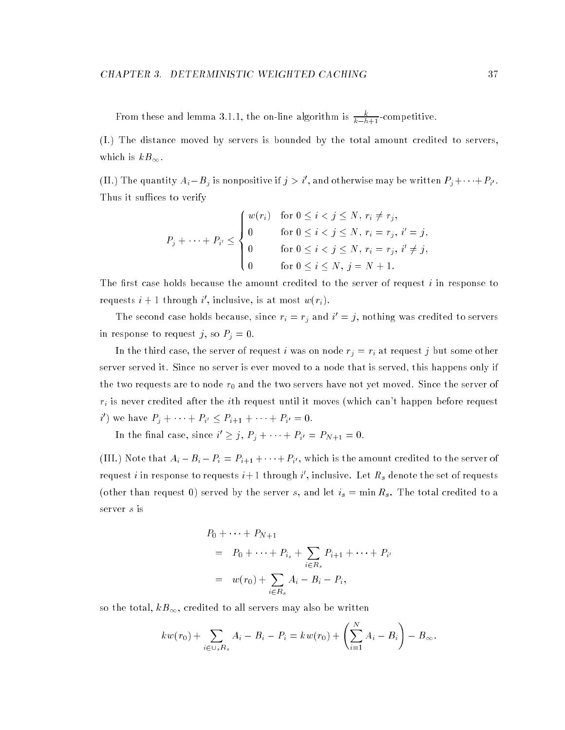From these and lemma 3.1.1, the on-line algorithm is  $\frac{k-h+1}{k-h+1}$ -competitive.

(I.) The distance moved by servers is bounded by the total amount credited to servers, which is  $kB_{\infty}$ .

(II.) The quantity  $A_i - B_j$  is nonpositive if  $j > i'$ , and otherwise may be written  $P_i + \cdots + P_{i'}$ . Thus it suffices to verify

$$
P_j + \cdots + P_{i'} \leq \begin{cases} w(r_i) & \text{for } 0 \leq i < j \leq N, \ r_i \neq r_j, \\ 0 & \text{for } 0 \leq i < j \leq N, \ r_i = r_j, \ i' = j, \\ 0 & \text{for } 0 \leq i < j \leq N, \ r_i = r_j, \ i' \neq j, \\ 0 & \text{for } 0 \leq i \leq N, \ j = N + 1. \end{cases}
$$

The first case holds because the amount credited to the server of request  $i$  in response to requests  $i+1$  through i', inclusive, is at most  $w(r_i)$ .

The second case holds because, since  $r_i = r_j$  and  $i' = j$ , nothing was credited to servers in response to request j, so  $P_j = 0$ .

In the third case, the server of request i was on node  $r_j = r_i$  at request j but some other server served it. Since no server is ever moved to a node that is served, this happens only if the two requests are to node  $r_0$  and the two servers have not yet moved. Since the server of  $r_i$  is never credited after the *i*th request until it moves (which can't happen before request i') we have  $P_i + \cdots + P_{i'} \leq P_{i+1} + \cdots + P_{i'} = 0$ .

In the final case, since  $i' \geq j$ ,  $P_i + \cdots + P_{i'} = P_{N+1} = 0$ .

(III.) Note that  $A_i - B_i - P_i = P_{i+1} + \cdots + P_{i'}$ , which is the amount credited to the server of request i in response to requests  $i+1$  through i', inclusive. Let  $R_s$  denote the set of requests (other than request 0) served by the server s, and let  $i_s = \min R_s$ . The total credited to a server s is

$$
P_0 + \dots + P_{N+1}
$$
  
=  $P_0 + \dots + P_{i_s} + \sum_{i \in R_s} P_{i+1} + \dots + P_{i'}$   
=  $w(r_0) + \sum_{i \in R_s} A_i - B_i - P_i$ ,

so the total,  $kB_{\infty},$  credited to all servers may also be written

$$
kw(r_0) + \sum_{i \in \cup_s R_s} A_i - B_i - P_i = kw(r_0) + \left(\sum_{i=1}^N A_i - B_i\right) - B_{\infty}.
$$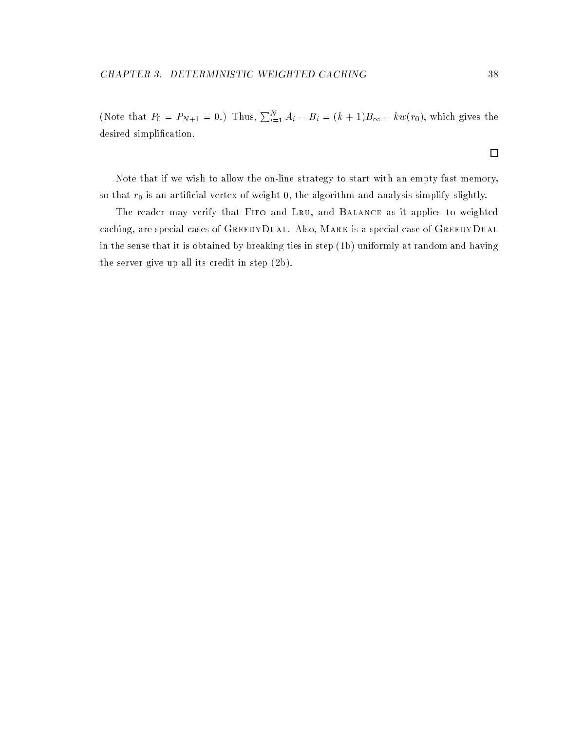Note that if we wish to allow the on-line strategy to start with an empty fast memory, so that  $r_0$  is an artincial vertex of weight  ${\tt u},$  the algorithm and analysis simplify slightly.

The reader may verify that Fifo and Lru, and Balance as it applies to weighted caching, are special cases of GREEDYDUAL. Also, MARK is a special case of GREEDYDUAL in the sense that it is obtained by breaking ties in step (1b) uniformly at random and having the server give up all its credit in step (2b).

 $\Box$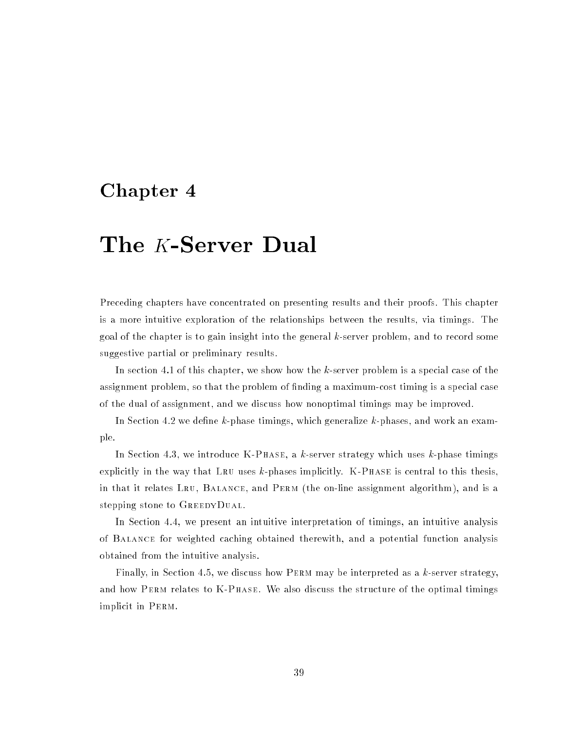# Chapter <sup>4</sup>

# The K-Server Dual

Preceding chapters have concentrated on presenting results and their proofs. This chapter is a more intuitive exploration of the relationships between the results, via timings. The goal of the chapter is to gain insight into the general k-server problem, and to record some suggestive partial or preliminary results.

In section 4.1 of this chapter, we show how the k-server problem is a special case of the assignment problem, so that the problem of finding a maximum-cost timing is a special case of the dual of assignment, and we discuss how nonoptimal timings may be improved.

In Section 4.2 we define  $k$ -phase timings, which generalize  $k$ -phases, and work an example.

In Section 4.3, we introduce  $K-PHASE$ , a k-server strategy which uses k-phase timings explicitly in the way that LRU uses  $k$ -phases implicitly. K-PHASE is central to this thesis, in that it relates Lru, Balance, and Perm (the on-line assignment algorithm), and is a stepping stone to GREEDYDUAL.

In Section 4.4, we present an intuitive interpretation of timings, an intuitive analysis of Balance for weighted caching obtained therewith, and a potential function analysis obtained from the intuitive analysis.

Finally, in Section 4.5, we discuss how PERM may be interpreted as a  $k$ -server strategy, and how PERM relates to K-PHASE. We also discuss the structure of the optimal timings implicit in Perm.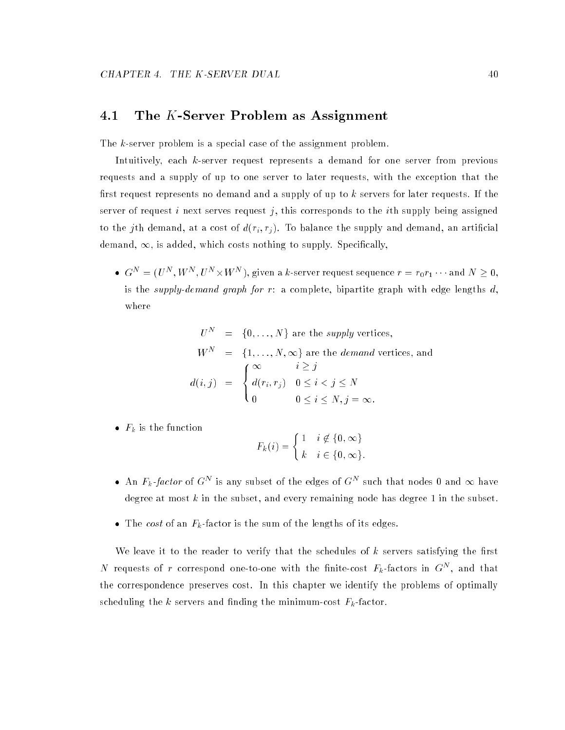## 4.1 The K-Server Problem as Assignment

The k-server problem is a special case of the assignment problem.

Intuitively, each k-server request represents a demand for one server from previous requests and a supply of up to one server to later requests, with the exception that the first request represents no demand and a supply of up to k servers for later requests. If the server of request i next serves request j, this corresponds to the ith supply being assigned to the jth demand, at a cost of  $d(r_i, r_j)$ . To balance the supply and demand, an artificial demand,  $\infty$ , is added, which costs nothing to supply. Specifically,

 $G^N=(U^N,W^N,U^N\times W^N)$ , given a k-server request sequence  $r=r_0r_1\cdots$  and  $N\geq 0,$ is the supply-demand graph for  $r$ : a complete, bipartite graph with edge lengths  $d$ , where

$$
U^N = \{0, ..., N\}
$$
 are the *supply* vertices,  

$$
W^N = \{1, ..., N, \infty\}
$$
 are the *demand* vertices, and  

$$
d(i, j) = \begin{cases} \infty & i \geq j \\ d(r_i, r_j) & 0 \leq i < j \leq N \\ 0 & 0 \leq i \leq N, j = \infty. \end{cases}
$$

•  $F_k$  is the function

$$
F_k(i) = \begin{cases} 1 & i \notin \{0, \infty\} \\ k & i \in \{0, \infty\}. \end{cases}
$$

- An  $F_k$ -factor of  $G^N$  is any subset of the edges of  $G^N$  such that nodes 0 and  $\infty$  have degree at most k in the subset, and every remaining node has degree 1 in the subset.
- The cost of an  $F_k$ -factor is the sum of the lengths of its edges.

We leave it to the reader to verify that the schedules of  $k$  servers satisfying the first N requests of r correspond one-to-one with the finite-cost  $F_k$ -factors in  $G^N$ , and that the correspondence preserves cost. In this chapter we identify the problems of optimally scheduling the k servers and finding the minimum-cost  $F_k$ -factor.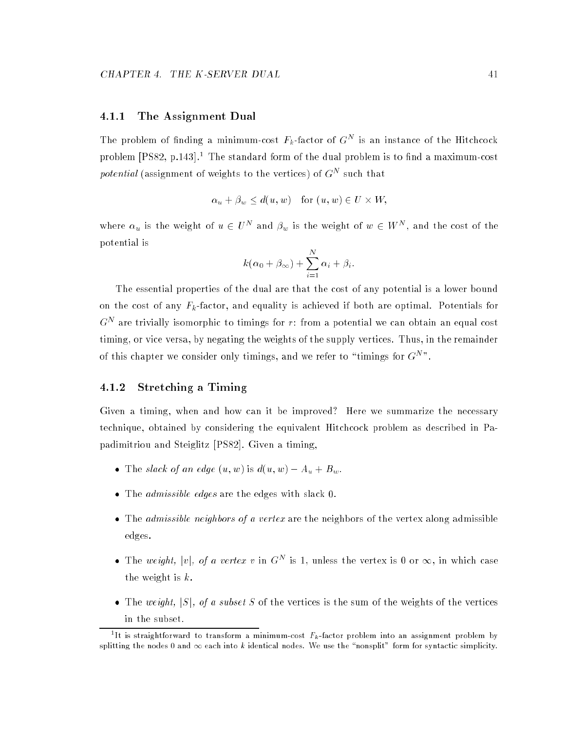#### 4.1.1 The Assignment Dual

The problem of finding a minimum-cost  $F_k$ -factor of  $G^N$  is an instance of the Hitchcock problem  $[PS82, p.143]$ <sup>1</sup> The standard form of the dual problem is to find a maximum-cost *potential* (assignment of weights to the vertices) of  $G<sup>N</sup>$  such that

$$
\alpha_u + \beta_w \le d(u, w) \quad \text{for } (u, w) \in U \times W,
$$

where  $\alpha_u$  is the weight of  $u \in U^N$  and  $\beta_w$  is the weight of  $w \in W^N$ , and the cost of the potential is

$$
k(\alpha_0 + \beta_{\infty}) + \sum_{i=1}^{N} \alpha_i + \beta_i.
$$

The essential properties of the dual are that the cost of any potential is a lower bound on the cost of any  $F_k$ -factor, and equality is achieved if both are optimal. Potentials for  $G<sup>N</sup>$  are trivially isomorphic to timings for r: from a potential we can obtain an equal cost timing, or vice versa, by negating the weights of the supply vertices. Thus, in the remainder of this chapter we consider only timings, and we refer to "timings for  $G<sup>N</sup>$ ".

#### 4.1.2 Stretching a Timing

Given a timing, when and how can it be improved? Here we summarize the necessary technique, obtained by considering the equivalent Hitchcock problem as described in Papadimitriou and Steiglitz [PS82]. Given a timing,

- The slack of an edge  $(u, w)$  is  $d(u, w) A_u + B_w$ .
- The admissible edges are the edges with slack 0.
- The admissible neighbors of a vertex are the neighbors of the vertex along admissible edges.
- The weight, |v|, of a vertex v in  $G<sup>N</sup>$  is 1, unless the vertex is 0 or  $\infty$ , in which case the weight is k.
- The weight,  $|S|$ , of a subset S of the vertices is the sum of the weights of the vertices in the subset.

<sup>&</sup>quot;It is straightforward to transform a minimum-cost  $F_k$ -factor problem into an assignment problem by splitting the nodes 0 and  $\infty$  each into k identical nodes. We use the "nonsplit" form for syntactic simplicity.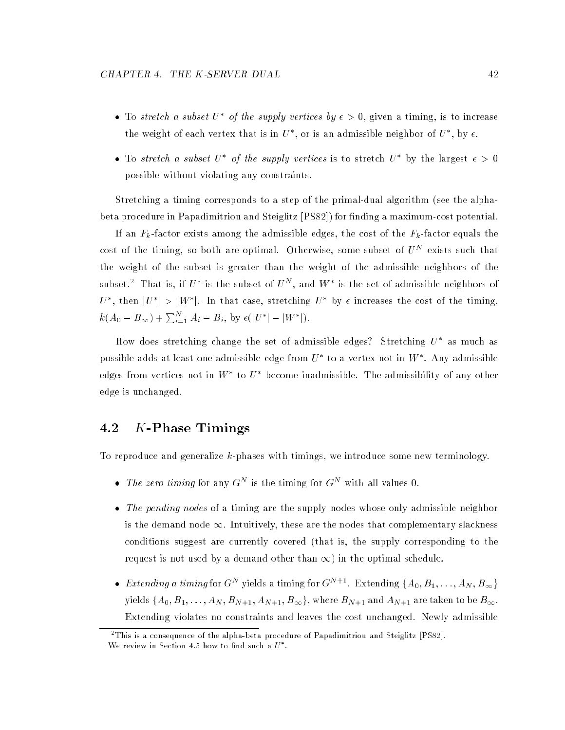- To stretch a subset  $U^*$  of the supply vertices by  $\epsilon > 0$ , given a timing, is to increase the weight of each vertex that is in  $U^*$ , or is an admissible neighbor of  $U^*$ , by  $\epsilon$ .
- To stretch a subset U<sup>\*</sup> of the supply vertices is to stretch U<sup>\*</sup> by the largest  $\epsilon > 0$ possible without violating any constraints.

Stretching a timing corresponds to a step of the primal-dual algorithm (see the alphabeta procedure in Papadimitriou and Steiglitz [PS82]) for finding a maximum-cost potential.

If an  $F_k$ -factor exists among the admissible edges, the cost of the  $F_k$ -factor equals the cost of the timing, so both are optimal. Otherwise, some subset of  $U^N$  exists such that the weight of the subset is greater than the weight of the admissible neighbors of the subset.<sup>2</sup> That is, if  $U^*$  is the subset of  $U^N$ , and  $W^*$  is the set of admissible neighbors of U<sup>\*</sup>, then  $|U^*| > |W^*|$ . In that case, stretching  $U^*$  by  $\epsilon$  increases the cost of the timing,  $k(A_0 - B_{\infty}) + \sum_{i=1}^N A_i - B_i$ , by  $\epsilon(|U^*| - |W^*|)$ .

How does stretching change the set of admissible edges? Stretching  $U^*$  as much as possible adds at least one admissible edge from  $U^*$  to a vertex not in  $W^*$ . Any admissible edges from vertices not in  $W^*$  to  $U^*$  become inadmissible. The admissibility of any other edge is unchanged.

# 4.2 K-Phase Timings

To reproduce and generalize  $k$ -phases with timings, we introduce some new terminology.

- The zero timing for any  $G^N$  is the timing for  $G^N$  with all values 0.
- The pending nodes of a timing are the supply nodes whose only admissible neighbor is the demand node  $\infty$ . Intuitively, these are the nodes that complementary slackness conditions suggest are currently covered (that is, the supply corresponding to the request is not used by a demand other than  $\infty$ ) in the optimal schedule.
- Extending a timing for  $G^N$  yields a timing for  $G^{N+1}$ . Extending  $\{A_0, B_1, \ldots, A_N, B_\infty\}$ yields  $\{A_0, B_1, \ldots, A_N, B_{N+1}, A_{N+1}, B_\infty\}$ , where  $B_{N+1}$  and  $A_{N+1}$  are taken to be  $B_\infty$ . Extending violates no constraints and leaves the cost unchanged. Newly admissible

<sup>2</sup> This is a consequence of the alpha-beta procedure of Papadimitriou and Steiglitz [PS82]. We review in Section 4.5 how to find such a  $U$  .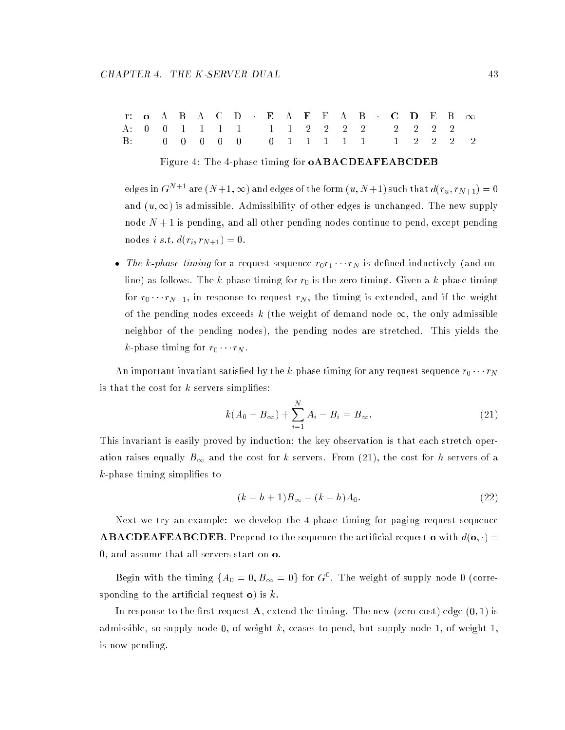|  |  |  |  |  |  |  |  | r: o A B A C D E A F E A B C D E B $\infty$ |  |  |
|--|--|--|--|--|--|--|--|---------------------------------------------|--|--|
|  |  |  |  |  |  |  |  | A: 0 0 1 1 1 1 1 1 2 2 2 2 2 2 2 2 2        |  |  |
|  |  |  |  |  |  |  |  | B: 0 0 0 0 0 0 0 1 1 1 1 1 1 1 2 2 2 2      |  |  |

#### Figure 4: The 4-phase timing for oABACDEAFEABCDEB

edges in  $G^{N+1}$  are  $(N+1,\infty)$  and edges of the form  $(u, N+1)$  such that  $d(r_u, r_{N+1}) = 0$ and  $(u, \infty)$  is admissible. Admissibility of other edges is unchanged. The new supply node  $N + 1$  is pending, and all other pending nodes continue to pend, except pending nodes *i s.t.*  $d(r_i, r_{N+1}) = 0$ .

• The k-phase timing for a request sequence  $r_0r_1 \cdots r_N$  is defined inductively (and online) as follows. The k-phase timing for  $r_0$  is the zero timing. Given a k-phase timing for  $r_0 \cdots r_{N-1},$  in response to request  $r_N,$  the timing is extended, and if the weight of the pending nodes exceeds k (the weight of demand node  $\infty$ , the only admissible neighbor of the pending nodes), the pending nodes are stretched. This yields the k-phase timing for  $r_0 \cdots r_N$ .

An important invariant satisfied by the k-phase timing for any request sequence  $r_0 \cdots r_N$ is that the cost for  $k$  servers simplifies:

$$
k(A_0 - B_{\infty}) + \sum_{i=1}^{N} A_i - B_i = B_{\infty}.
$$
 (21)

This invariant is easily proved by induction; the key observation is that each stretch operation raises equally  $B_{\infty}$  and the cost for k servers. From (21), the cost for h servers of a  $k$ -phase timing simplifies to

$$
(k - h + 1)B_{\infty} - (k - h)A_0.
$$
 (22)

Next we try an example: we develop the 4-phase timing for paging request sequence **ABACDEAFEABCDEB**. Prepend to the sequence the artificial request **o** with  $d(\mathbf{o}, \cdot) \equiv$ 0, and assume that all servers start on o.

Begin with the timing  ${A_0 = 0, B_{\infty} = 0}$  for  $G^0$ . The weight of supply node 0 (corresponding to the artificial request  $\boldsymbol{o}$ ) is k.

In response to the first request  $\bf{A}$ , extend the timing. The new (zero-cost) edge  $(0,1)$  is admissible, so supply node 0, of weight k, ceases to pend, but supply node 1, of weight 1, is now pending.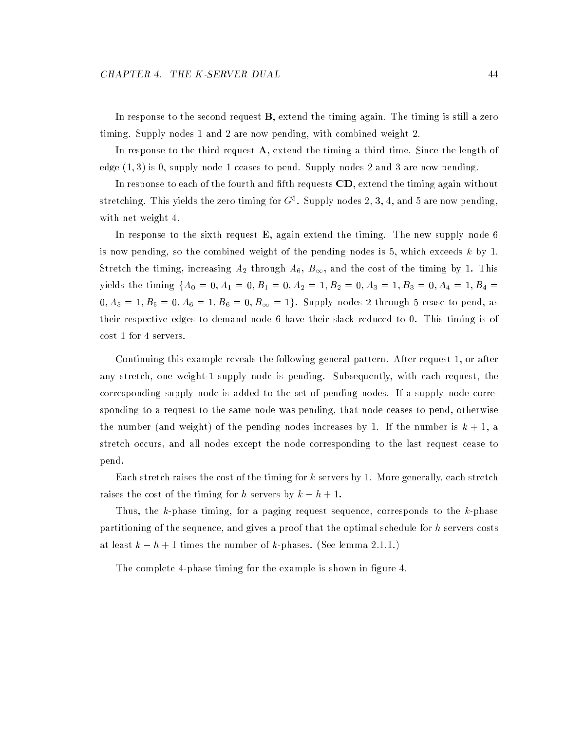In response to the second request **B**, extend the timing again. The timing is still a zero timing. Supply nodes 1 and 2 are now pending, with combined weight 2.

In response to the third request  $A$ , extend the timing a third time. Since the length of edge  $(1,3)$  is 0, supply node 1 ceases to pend. Supply nodes 2 and 3 are now pending.

In response to each of the fourth and fifth requests  $CD$ , extend the timing again without stretching. This yields the zero timing for  $G<sup>5</sup>$ . Supply nodes 2, 3, 4, and 5 are now pending, with net weight 4.

In response to the sixth request  $E$ , again extend the timing. The new supply node 6 is now pending, so the combined weight of the pending nodes is 5, which exceeds  $k$  by 1. Stretch the timing, increasing  $A_2$  through  $A_6$ ,  $B_{\infty}$ , and the cost of the timing by 1. This yields the timing  ${A_0 = 0, A_1 = 0, B_1 = 0, A_2 = 1, B_2 = 0, A_3 = 1, B_3 = 0, A_4 = 1, B_4 = 1, B_5 = 1, B_6 = 1, B_7 = 1, B_8 = 1, B_9 = 1, B_{10} = 1, B_{11} = 1, B_{12} = 1, B_{13} = 1, B_{14} = 1, B_{15} = 1, B_{16} = 1, B_{17} = 1, B_{18} = 1, B_{19} = 1, B_{10} = 1, B_{11$  $0, A_5 = 1, B_5 = 0, A_6 = 1, B_6 = 0, B_{\infty} = 1$ . Supply nodes 2 through 5 cease to pend, as their respective edges to demand node 6 have their slack reduced to 0. This timing is of cost 1 for 4 servers.

Continuing this example reveals the following general pattern. After request 1, or after any stretch, one weight-1 supply node is pending. Subsequently, with each request, the corresponding supply node is added to the set of pending nodes. If a supply node corresponding to a request to the same node was pending, that node ceases to pend, otherwise the number (and weight) of the pending nodes increases by 1. If the number is  $k + 1$ , a stretch occurs, and all nodes except the node corresponding to the last request cease to pend.

Each stretch raises the cost of the timing for k servers by 1. More generally, each stretch raises the cost of the timing for h servers by  $k - h + 1$ .

Thus, the k-phase timing, for a paging request sequence, corresponds to the k-phase partitioning of the sequence, and gives a proof that the optimal schedule for h servers costs at least  $k - h + 1$  times the number of k-phases. (See lemma 2.1.1.)

The complete 4-phase timing for the example is shown in figure 4.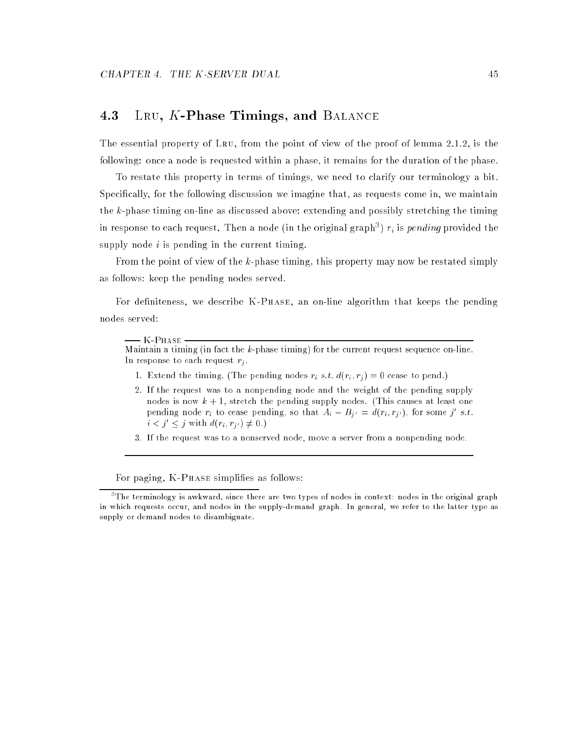## 4.3 LRU, K-Phase Timings, and BALANCE

The essential property of Lru, from the point of view of the proof of lemma 2.1.2, is the following: once a node is requested within a phase, it remains for the duration of the phase.

To restate this property in terms of timings, we need to clarify our terminology a bit. Specically, for the following discussion we imagine that, as requests come in, we maintain the k-phase timing on-line as discussed above: extending and possibly stretching the timing in response to each request. Then a node (in the original graph")  $r_i$  is  $\emph{penang}$  provided the supply node  $i$  is pending in the current timing.

From the point of view of the k-phase timing, this property may now be restated simply as follows: keep the pending nodes served.

For definiteness, we describe K-Phase, an on-line algorithm that keeps the pending nodes served:

#### - K-Phase -

Maintain a timing (in fact the  $k$ -phase timing) for the current request sequence on-line. In response to each request  $r_j$ ,

- 1. Extend the timing. (The pending nodes  $r_i$  s.t.  $d(r_i, r_j) = 0$  cease to pend.)
- 2. If the request was to a nonpending node and the weight of the pending supply nodes is now  $k + 1$ , stretch the pending supply nodes. (This causes at least one pending node  $r_i$  to cease pending, so that  $A_i - B_{i'} = d(r_i, r_{i'})$ , for some j' s.t.  $i < j' < j$  with  $d(r_i, r_{j'}) \neq 0$ .)
- 3. If the request was to a nonserved node, move a server from a nonpending node.

For paging, K-PHASE simplifies as follows:

The terminology is awkward, since there are two types of nodes in context: nodes in the original graph " in which requests occur, and nodes in the supply-demand graph. In general, we refer to the latter type as supply or demand nodes to disambiguate.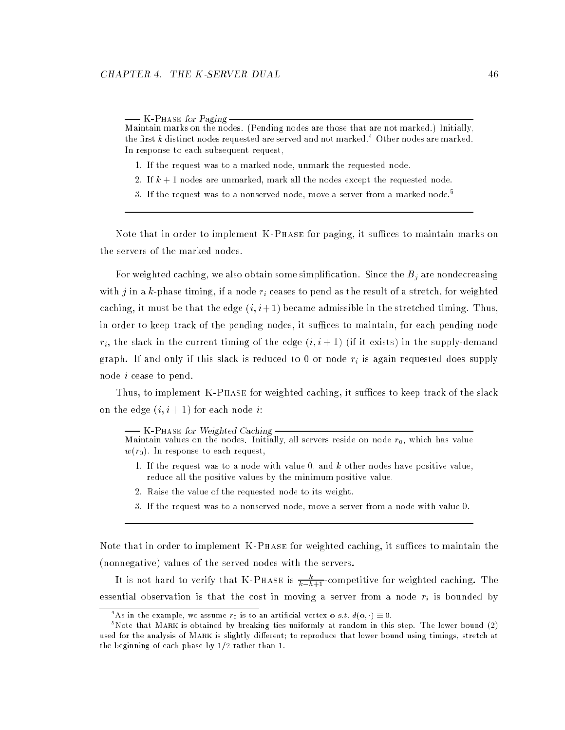K-Phase for Paging Maintain marks on the nodes. (Pending nodes are those that are not marked.) Initially, the first  $k$  distinct nodes requested are served and not marked.<sup>4</sup> Other nodes are marked. In response to each subsequent request,

- 1. If the request was to a marked node, unmark the requested node.
- 2. If  $k + 1$  nodes are unmarked, mark all the nodes except the requested node.
- 3. If the request was to a nonserved node, move a server from a marked node.<sup>5</sup>

Note that in order to implement  $K-PHASE$  for paging, it suffices to maintain marks on the servers of the marked nodes.

For weighted caching, we also obtain some simplification. Since the  $B_j$  are nondecreasing with j in a k-phase timing, if a node  $r_i$  ceases to pend as the result of a stretch, for weighted caching, it must be that the edge  $(i, i+1)$  became admissible in the stretched timing. Thus, in order to keep track of the pending nodes, it suffices to maintain, for each pending node  $r_i$ , the slack in the current timing of the edge  $(i, i + 1)$  (if it exists) in the supply-demand graph. If and only if this slack is reduced to 0 or node  $r_i$  is again requested does supply node i cease to pend.

Thus, to implement K-PHASE for weighted caching, it suffices to keep track of the slack on the edge  $(i, i + 1)$  for each node *i*:

K-Phase for Weighted Caching Maintain values on the nodes. Initially, all servers reside on node  $r_0$ , which has value

 $w(r_0)$ . In response to each request,

- 1. If the request was to a node with value  $0$ , and  $k$  other nodes have positive value, reduce all the positive values by the minimum positive value.
- 2. Raise the value of the requested node to its weight.
- 3. If the request was to a nonserved node, move a server from a node with value 0.

Note that in order to implement  $K-PHASE$  for weighted caching, it suffices to maintain the (nonnegative) values of the served nodes with the servers.

It is not hard to verify that K-P<code>HASE</code> is  $\frac{\kappa}{k-h+1}$ -competitive for weighted caching. The essential observation is that the cost in moving a server from a node  $r_i$  is bounded by

<sup>&</sup>quot;As in the example, we assume  $r_0$  is to an artificial vertex  $\mathbf{o}$  s.t.  $d(\mathbf{o},\cdot)\equiv 0$ .

<sup>5</sup> Note that Mark is obtained by breaking ties uniformly at random in this step. The lower bound (2) used for the analysis of MARK is slightly different; to reproduce that lower bound using timings, stretch at the beginning of each phase by  $1/2$  rather than 1.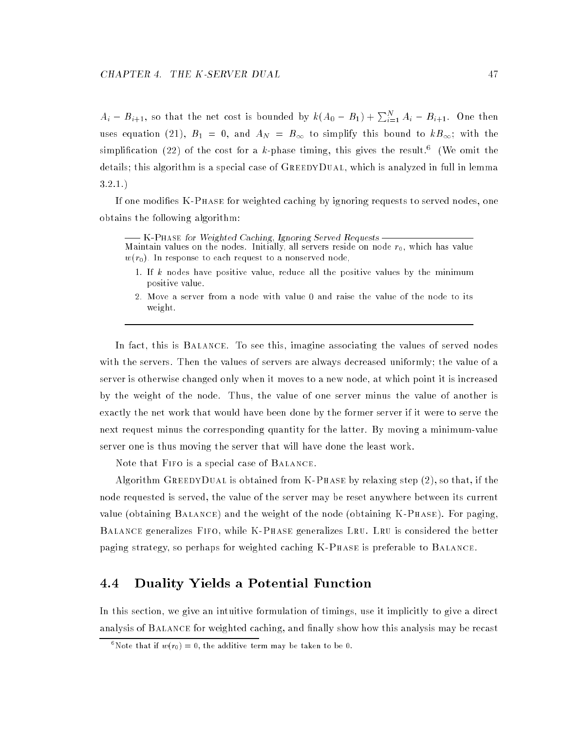$A_i - B_{i+1}$ , so that the net cost is bounded by  $k(A_0 - B_1) + \sum_{i=1}^N A_i - B_{i+1}$ . One then uses equation (21),  $B_1 = 0$ , and  $A_N = B_{\infty}$  to simplify this bound to  $kB_{\infty}$ ; with the simplification (22) of the cost for a k-phase timing, this gives the result.<sup>6</sup> (We omit the details; this algorithm is a special case of  $G$ REEDYDUAL, which is analyzed in full in lemma 3.2.1.)

If one modies K-Phase for weighted caching by ignoring requests to served nodes, one obtains the following algorithm:

K-Phase for Weighted Caching, Ignoring Served Requests Maintain values on the nodes. Initially, all servers reside on node  $r_0$ , which has value  $w(r_0)$ . In response to each request to a nonserved node,

- 1. If k nodes have positive value, reduce all the positive values by the minimum positive value.
- 2. Move a server from a node with value 0 and raise the value of the node to its weight.

In fact, this is Balance. To see this, imagine associating the values of served nodes with the servers. Then the values of servers are always decreased uniformly; the value of a server is otherwise changed only when it moves to a new node, at which point it is increased by the weight of the node. Thus, the value of one server minus the value of another is exactly the net work that would have been done by the former server if it were to serve the next request minus the corresponding quantity for the latter. By moving a minimum-value server one is thus moving the server that will have done the least work.

Note that Fifo is a special case of Balance.

Algorithm GREEDYDUAL is obtained from K-PHASE by relaxing step  $(2)$ , so that, if the node requested is served, the value of the server may be reset anywhere between its current value (obtaining Balance) and the weight of the node (obtaining K-Phase). For paging, Balance generalizes Fifo, while K-Phase generalizes Lru. Lru is considered the better paging strategy, so perhaps for weighted caching K-Phase is preferable to Balance.

## 4.4 Duality Yields a Potential Function

In this section, we give an intuitive formulation of timings, use it implicitly to give a direct analysis of BALANCE for weighted caching, and finally show how this analysis may be recast

Note that if  $w(r_0) = 0$ , the additive term may be taken to be  $0$ .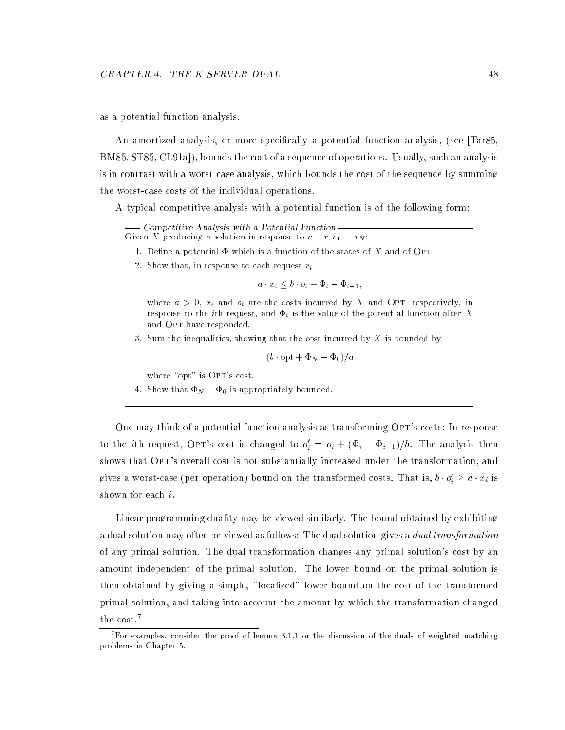as a potential function analysis.

An amortized analysis, or more specically a potential function analysis, (see [Tar85, BM85, ST85, CL91a]), bounds the cost of a sequence of operations. Usually, such an analysis is in contrast with a worst-case analysis, which bounds the cost of the sequence by summing the worst-case costs of the individual operations.

A typical competitive analysis with a potential function is of the following form:

Competitive Analysis with a Potential Function Given X producing a solution in response to  $r = r_0r_1 \cdots r_N$ :

- 1. Define a potential  $\Phi$  which is a function of the states of X and of OPT.
- 2. Show that, in response to each request  $r_i$ ,

$$
a \cdot x_i \leq b \cdot o_i + \Phi_i - \Phi_{i-1},
$$

where  $a > 0$ ,  $x_i$  and  $o_i$  are the costs incurred by X and OPT, respectively, in response to the *i*th request, and  $\Phi_i$  is the value of the potential function after X and OPT have responded.

3. Sum the inequalities, showing that the cost incurred by  $X$  is bounded by

$$
(b \cdot \mathrm{opt} + \Phi_N - \Phi_0)/a
$$

where "opt" is OPT's cost.

4. Show that  $\Phi_N - \Phi_0$  is appropriately bounded.

One may think of a potential function analysis as transforming OPT's costs: In response to the ith request, OPT's cost is changed to  $o_i' = o_i + (\Phi_i - \Phi_{i-1})/b$ . The analysis then shows that OPT's overall cost is not substantially increased under the transformation, and gives a worst-case (per operation) bound on the transformed costs. That is,  $b\cdot o_i'\geq a\cdot x_i$  is shown for each i.

Linear programming duality may be viewed similarly. The bound obtained by exhibiting a dual solution may often be viewed as follows: The dual solution gives a *dual transformation* of any primal solution. The dual transformation changes any primal solution's cost by an amount independent of the primal solution. The lower bound on the primal solution is then obtained by giving a simple, "localized" lower bound on the cost of the transformed primal solution, and taking into account the amount by which the transformation changed the cost.<sup>7</sup>

<sup>7</sup> For examples, consider the proof of lemma 3.1.1 or the discussion of the duals of weighted matching problems in Chapter 5.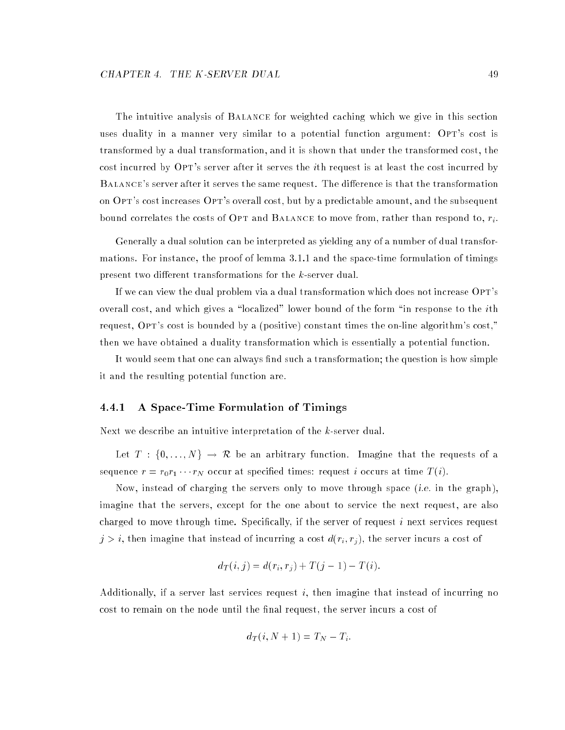The intuitive analysis of Balance for weighted caching which we give in this section uses duality in a manner very similar to a potential function argument: OPT's cost is transformed by a dual transformation, and it is shown that under the transformed cost, the cost incurred by OPT's server after it serves the *i*th request is at least the cost incurred by BALANCE's server after it serves the same request. The difference is that the transformation on Opt's cost increases Opt's overall cost, but by a predictable amount, and the subsequent bound correlates the costs of OPT and BALANCE to move from, rather than respond to,  $r_i$ .

Generally a dual solution can be interpreted as yielding any of a number of dual transformations. For instance, the proof of lemma 3.1.1 and the space-time formulation of timings present two different transformations for the k-server dual.

If we can view the dual problem via a dual transformation which does not increase OPT's overall cost, and which gives a "localized" lower bound of the form "in response to the *i*th request, OPT's cost is bounded by a (positive) constant times the on-line algorithm's cost," then we have obtained a duality transformation which is essentially a potential function.

It would seem that one can always find such a transformation; the question is how simple it and the resulting potential function are.

#### 4.4.1 A Space-Time Formulation of Timings

Next we describe an intuitive interpretation of the k-server dual.

Let  $T : \{0, ..., N\} \rightarrow \mathcal{R}$  be an arbitrary function. Imagine that the requests of a sequence  $r = r_0 r_1 \cdots r_N$  occur at specified times: request i occurs at time  $T(i)$ .

Now, instead of charging the servers only to move through space (i.e. in the graph), imagine that the servers, except for the one about to service the next request, are also charged to move through time. Specically, if the server of request i next services request  $j>i,$  then imagine that instead of incurring a cost  $d(r_i,r_j),$  the server incurs a cost of

$$
d_T(i, j) = d(r_i, r_j) + T(j - 1) - T(i).
$$

Additionally, if a server last services request  $i$ , then imagine that instead of incurring no cost to remain on the node until the final request, the server incurs a cost of

$$
d_T(i, N+1) = T_N - T_i.
$$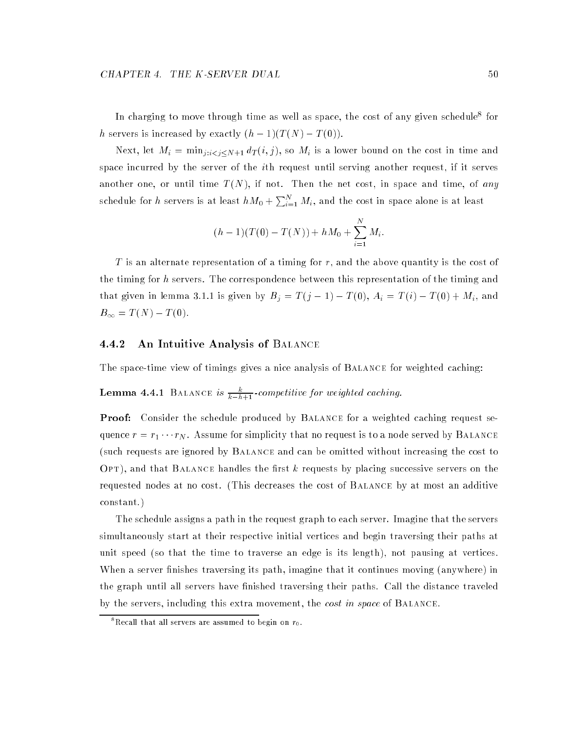In charging to move through time as well as space, the cost of any given schedule  $10\,\mathrm{r}$ h servers is increased by exactly  $(h-1)(T(N) - T(0)).$ 

Next, let  $M_i = \min_{j: i < j \le N+1} d_T(i, j)$ , so  $M_i$  is a lower bound on the cost in time and space incurred by the server of the ith request until serving another request, if it serves another one, or until time  $T(N)$ , if not. Then the net cost, in space and time, of any schedule for h servers is at least  $hM_0 + \sum_{i=1}^{N} M_i$ , and the cost in space alone is at least

$$
(h-1)(T(0) - T(N)) + hM_0 + \sum_{i=1}^{N} M_i.
$$

T is an alternate representation of a timing for  $r$ , and the above quantity is the cost of the timing for h servers. The correspondence between this representation of the timing and that given in lemma 3.1.1 is given by  $B_j = T(j - 1) - T(0), A_i = T(i) - T(0) + M_i$ , and  $B_{\infty} = T(N) - T(0).$ 

#### 4.4.2 An Intuitive Analysis of Balance

The space-time view of timings gives a nice analysis of Balance for weighted caching:

**Lemma 4.4.1** BALANCE is  $\frac{\kappa}{k-h+1}$ -competitive for weighted caching.

**Proof:** Consider the schedule produced by BALANCE for a weighted caching request sequence  $r = r_1 \cdots r_N$ . Assume for simplicity that no request is to a node served by BALANCE (such requests are ignored by Balance and can be omitted without increasing the cost to  $\text{OPT}$ , and that BALANCE handles the first k requests by placing successive servers on the requested nodes at no cost. (This decreases the cost of Balance by at most an additive constant.)

The schedule assigns a path in the request graph to each server. Imagine that the servers simultaneously start at their respective initial vertices and begin traversing their paths at unit speed (so that the time to traverse an edge is its length), not pausing at vertices. When a server finishes traversing its path, imagine that it continues moving (anywhere) in the graph until all servers have finished traversing their paths. Call the distance traveled by the servers, including this extra movement, the *cost in space* of BALANCE.

<sup>&</sup>quot;Kecall that all servers are assumed to begin on  $r_0$ .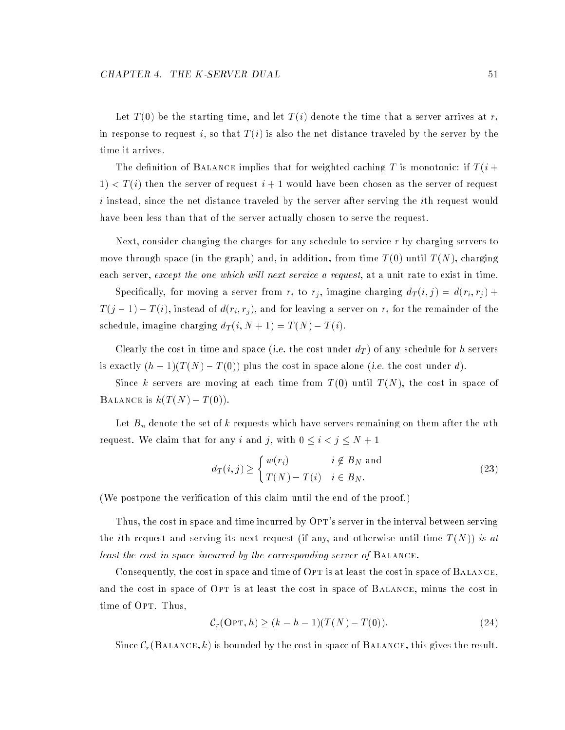Let  $T(0)$  be the starting time, and let  $T(i)$  denote the time that a server arrives at  $r_i$ in response to request i, so that  $T(i)$  is also the net distance traveled by the server by the time it arrives.

The definition of BALANCE implies that for weighted caching T is monotonic: if  $T(i +$  $1) < T(i)$  then the server of request  $i+1$  would have been chosen as the server of request i instead, since the net distance traveled by the server after serving the ith request would have been less than that of the server actually chosen to serve the request.

Next, consider changing the charges for any schedule to service  $r$  by charging servers to move through space (in the graph) and, in addition, from time  $T(0)$  until  $T(N)$ , charging each server, except the one which will next service a request, at a unit rate to exist in time.

Specifically, for moving a server from  $r_i$  to  $r_j$ , imagine charging  $d_T(i,j) = d(r_i, r_j) + d(r_i, r_j)$  $T(j-1) - T(i)$ , instead of  $d(r_i, r_j)$ , and for leaving a server on  $r_i$  for the remainder of the schedule, imagine charging  $d_T(i, N + 1) = T(N) - T(i)$ .

Clearly the cost in time and space (*i.e.* the cost under  $d_T)$  of any schedule for  $h$  servers is exactly  $(h-1)(T(N) - T(0))$  plus the cost in space alone (i.e. the cost under d).

Since k servers are moving at each time from  $T(0)$  until  $T(N)$ , the cost in space of BALANCE is  $k(T(N) - T(0))$ .

Let  $B_n$  denote the set of k requests which have servers remaining on them after the nth request. We claim that for any i and j, with  $0 \le i < j \le N + 1$ 

$$
d_T(i,j) \ge \begin{cases} w(r_i) & i \notin B_N \text{ and} \\ T(N) - T(i) & i \in B_N. \end{cases}
$$
 (23)

(We postpone the verification of this claim until the end of the proof.)

Thus, the cost in space and time incurred by OPT's server in the interval between serving the *i*th request and serving its next request (if any, and otherwise until time  $T(N)$ ) is at least the cost in space incurred by the corresponding server of Balance.

Consequently, the cost in space and time of OPT is at least the cost in space of BALANCE, and the cost in space of OPT is at least the cost in space of BALANCE, minus the cost in time of OPT. Thus,

$$
\mathcal{C}_r(\text{OPT}, h) \ge (k - h - 1)(T(N) - T(0)).\tag{24}
$$

Since  $\mathcal{C}_r(\text{BALANCE}, k)$  is bounded by the cost in space of BALANCE, this gives the result.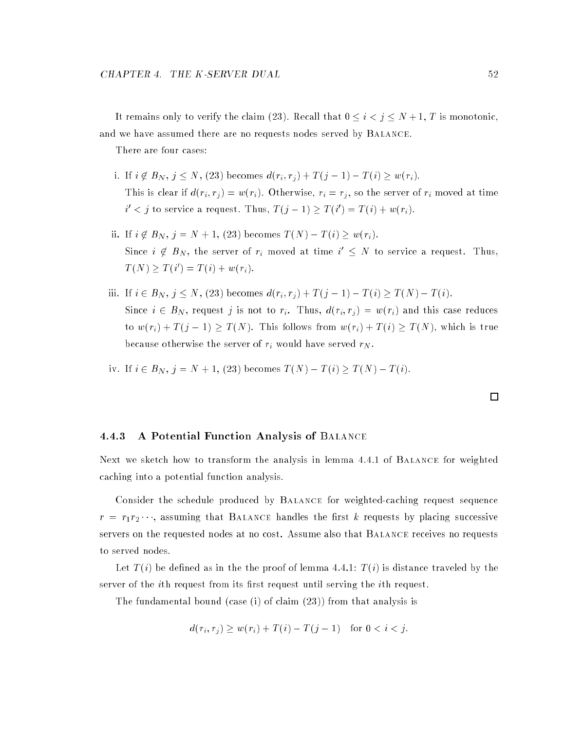It remains only to verify the claim (23). Recall that  $0 \le i < j \le N + 1$ , T is monotonic, and we have assumed there are no requests nodes served by Balance.

There are four cases:

- i. If  $i \notin B_N$ ,  $j \le N$ , (23) becomes  $d(r_i, r_j) + T(j 1) T(i) \ge w(r_i)$ . This is clear if  $d(r_i, r_j) = w(r_i)$ . Otherwise,  $r_i = r_j$ , so the server of  $r_i$  moved at time  $i' < j$  to service a request. Thus,  $T(j-1) \geq T(i') = T(i) + w(r_i)$ .
- ii. If  $i \notin B_N$ ,  $j = N + 1$ , (23) becomes  $T(N) T(i) \geq w(r_i)$ . Since  $i \notin B_N$ , the server of  $r_i$  moved at time  $i' \leq N$  to service a request. Thus,  $T(N) \geq T(i') = T(i) + w(r_i).$
- iii. If  $i \in B_N$ ,  $j \le N$ , (23) becomes  $d(r_i, r_j) + T(j 1) T(i) \ge T(N) T(i)$ . Since  $i \in B_N$ , request j is not to  $r_i$ . Thus,  $d(r_i, r_j) = w(r_i)$  and this case reduces to  $w(r_i) + T(j-1) \geq T(N)$ . This follows from  $w(r_i) + T(i) \geq T(N)$ , which is true because otherwise the server of  $r_i$  would have served  $r_N$ .

iv. If 
$$
i \in B_N
$$
,  $j = N + 1$ , (23) becomes  $T(N) - T(i) \ge T(N) - T(i)$ .

4.4.3 A Potential Function Analysis of Balance

Next we sketch how to transform the analysis in lemma 4.4.1 of Balance for weighted caching into a potential function analysis.

Consider the schedule produced by Balance for weighted-caching request sequence  $r = r_1 r_2 \cdots$ , assuming that BALANCE handles the first k requests by placing successive servers on the requested nodes at no cost. Assume also that Balance receives no requests to served nodes.

Let  $T(i)$  be defined as in the the proof of lemma 4.4.1:  $T(i)$  is distance traveled by the server of the *i*th request from its first request until serving the *i*th request.

The fundamental bound (case (i) of claim (23)) from that analysis is

$$
d(r_i, r_j) \ge w(r_i) + T(i) - T(j - 1) \text{ for } 0 < i < j.
$$

 $\Box$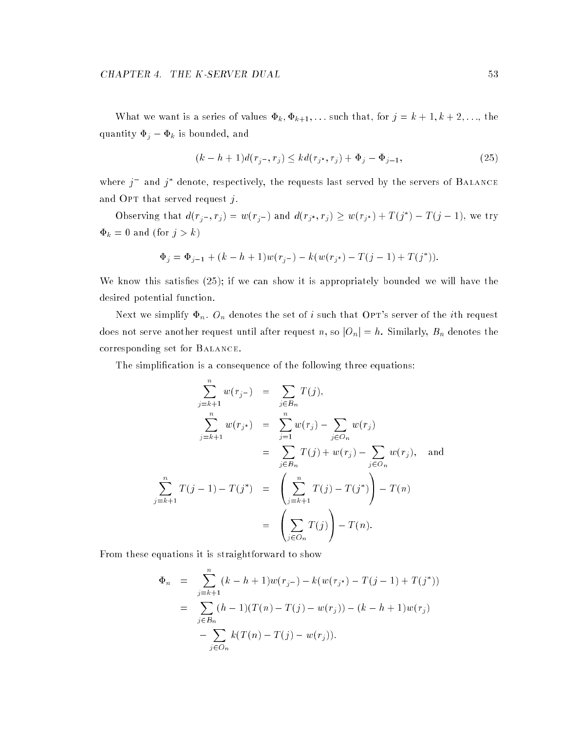What we want is a series of values  $\Phi_k, \Phi_{k+1}, \ldots$  such that, for  $j = k+1, k+2, \ldots$ , the quantity  $\Phi_j - \Phi_k$  is bounded, and

$$
(k - h + 1)d(rj-, rj) \leq kd(rj, rj) + \Phij - \Phij-1,
$$
\n(25)

where  $j^-$  and  $j^*$  denote, respectively, the requests last served by the servers of BALANCE and OPT that served request  $i$ .

Observing that  $d(r_i, r_j) = w(r_i)$  and  $d(r_{i^*}, r_j) \geq w(r_{i^*}) + T(j^*) - T(j-1)$ , we try  $\Phi_k = 0$  and (for  $j > k$ )

$$
\Phi_j = \Phi_{j-1} + (k - h + 1)w(r_{j-}) - k(w(r_{j^*}) - T(j - 1) + T(j^*)).
$$

We know this satisfies  $(25)$ ; if we can show it is appropriately bounded we will have the desired potential function.

Next we simplify  $\Phi_n$ .  $O_n$  denotes the set of *i* such that OPT's server of the *i*th request does not serve another request until after request n, so  $|O_n|=h$ . Similarly,  $B_n$  denotes the corresponding set for Balance.

The simplication is a consequence of the following three equations:

$$
\sum_{j=k+1}^{n} w(r_{j-}) = \sum_{j \in B_n} T(j),
$$
  

$$
\sum_{j=k+1}^{n} w(r_{j*}) = \sum_{j=1}^{n} w(r_{j}) - \sum_{j \in O_n} w(r_{j})
$$
  

$$
= \sum_{j \in B_n} T(j) + w(r_{j}) - \sum_{j \in O_n} w(r_{j}),
$$
 and  

$$
\sum_{j=k+1}^{n} T(j-1) - T(j^{*}) = \left(\sum_{j=k+1}^{n} T(j) - T(j^{*})\right) - T(n)
$$
  

$$
= \left(\sum_{j \in O_n} T(j)\right) - T(n).
$$

From these equations it is straightforward to show

$$
\Phi_n = \sum_{j=k+1}^n (k - h + 1) w(r_{j-}) - k(w(r_{j^*}) - T(j - 1) + T(j^*))
$$
  
= 
$$
\sum_{j \in B_n} (h - 1) (T(n) - T(j) - w(r_j)) - (k - h + 1) w(r_j)
$$
  
- 
$$
\sum_{j \in O_n} k(T(n) - T(j) - w(r_j)).
$$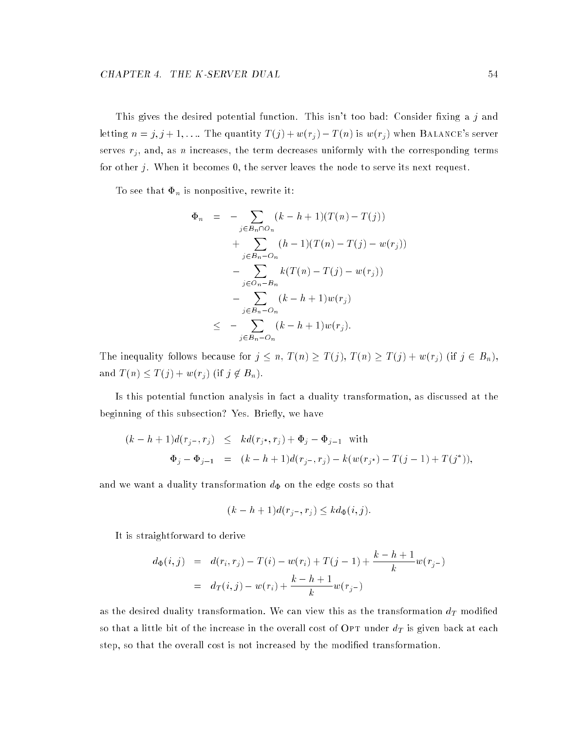This gives the desired potential function. This isn't too bad: Consider fixing a  $j$  and letting  $n = j, j + 1, \ldots$  The quantity  $T(j) + w(r_j) - T(n)$  is  $w(r_j)$  when BALANCE's server serves  $r_j$ , and, as n increases, the term decreases uniformly with the corresponding terms for other  $j$ . When it becomes  $0$ , the server leaves the node to serve its next request.

To see that  $\Phi_n$  is nonpositive, rewrite it:

$$
\Phi_n = - \sum_{j \in B_n \cap O_n} (k - h + 1)(T(n) - T(j)) \n+ \sum_{j \in B_n - O_n} (h - 1)(T(n) - T(j) - w(r_j)) \n- \sum_{j \in O_n - B_n} k(T(n) - T(j) - w(r_j)) \n- \sum_{j \in B_n - O_n} (k - h + 1)w(r_j) \n\le - \sum_{j \in B_n - O_n} (k - h + 1)w(r_j).
$$

The inequality follows because for  $j \leq n$ ,  $T(n) \geq T(j)$ ,  $T(n) \geq T(j) + w(r_j)$  (if  $j \in B_n$ ), and  $T(n) \leq T(j) + w(r_j)$  (if  $j \notin B_n$ ).

Is this potential function analysis in fact a duality transformation, as discussed at the beginning of this subsection? Yes. Briefly, we have

$$
(k - h + 1)d(r_{j-}, r_j) \leq kd(r_{j*}, r_j) + \Phi_j - \Phi_{j-1} \text{ with}
$$
  

$$
\Phi_j - \Phi_{j-1} = (k - h + 1)d(r_{j-}, r_j) - k(w(r_{j*}) - T(j-1) + T(j^*)),
$$

and we want a duality transformation  $d_{\Phi}$  on the edge costs so that

$$
(k-h+1)d(r_{i-},r_i) \leq kd_{\Phi}(i,j).
$$

It is straightforward to derive

$$
d_{\Phi}(i,j) = d(r_i, r_j) - T(i) - w(r_i) + T(j-1) + \frac{k-h+1}{k}w(r_{j-1})
$$
  
= 
$$
d_T(i,j) - w(r_i) + \frac{k-h+1}{k}w(r_{j-1})
$$

as the desired duality transformation. We can view this as the transformation  $d_T$  modified so that a little bit of the increase in the overall cost of OPT under  $d_T$  is given back at each step, so that the overall cost is not increased by the modified transformation.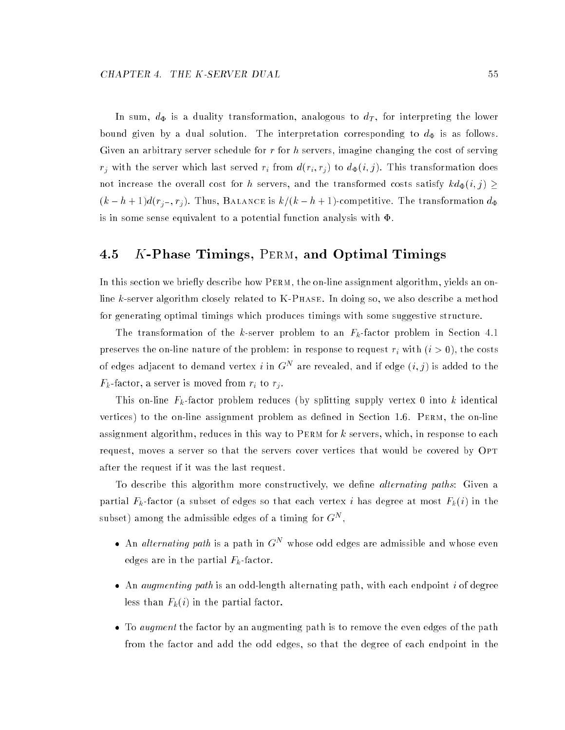In sum,  $d_{\Phi}$  is a duality transformation, analogous to  $d_T$ , for interpreting the lower bound given by a dual solution. The interpretation corresponding to  $d_{\Phi}$  is as follows. Given an arbitrary server schedule for  $r$  for  $h$  servers, imagine changing the cost of serving  $r_i$  with the server which last served  $r_i$  from  $d(r_i, r_j)$  to  $d_{\Phi}(i, j)$ . This transformation does not increase the overall cost for h servers, and the transformed costs satisfy  $k d_{\Phi}(i, j) \geq$  $(k - h + 1)d(r<sub>j</sub>-, r<sub>j</sub>)$ . Thus, BALANCE is  $k/(k - h + 1)$ -competitive. The transformation  $d_{\Phi}$ is in some sense equivalent to a potential function analysis with  $\Phi$ .

## 4.5 K-Phase Timings, PERM, and Optimal Timings

In this section we briefly describe how PERM, the on-line assignment algorithm, yields an online  $k$ -server algorithm closely related to  $K-PHASE$ . In doing so, we also describe a method for generating optimal timings which produces timings with some suggestive structure.

The transformation of the k-server problem to an  $F_k$ -factor problem in Section 4.1 preserves the on-line nature of the problem: in response to request  $r_i$  with  $(i > 0)$ , the costs of edges adjacent to demand vertex i in  $G^N$  are revealed, and if edge  $(i, j)$  is added to the  $F_k$ -factor, a server is moved from  $r_i$  to  $r_j$ .

This on-line  $F_k$ -factor problem reduces (by splitting supply vertex 0 into k identical vertices) to the on-line assignment problem as defined in Section 1.6. PERM, the on-line assignment algorithm, reduces in this way to PERM for k servers, which, in response to each request, moves a server so that the servers cover vertices that would be covered by Opt after the request if it was the last request.

To describe this algorithm more constructively, we define *alternating paths*: Given a partial  $F_k$ -factor (a subset of edges so that each vertex i has degree at most  $F_k(i)$  in the subset) among the admissible edges of a timing for  $G^N$ ,

- An *alternating path* is a path in  $G<sup>N</sup>$  whose odd edges are admissible and whose even edges are in the partial  $F_k$ -factor.
- An *augmenting path* is an odd-length alternating path, with each endpoint i of degree less than  $F_k(i)$  in the partial factor.
- To augment the factor by an augmenting path is to remove the even edges of the path from the factor and add the odd edges, so that the degree of each endpoint in the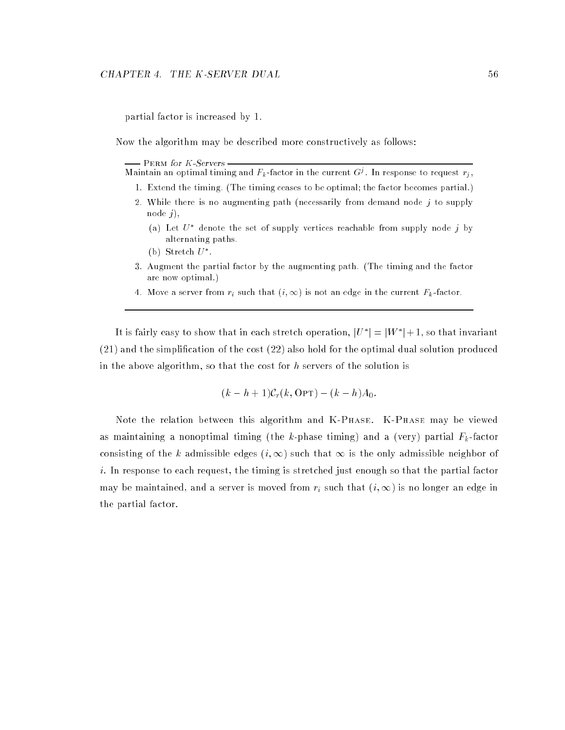partial factor is increased by 1.

Now the algorithm may be described more constructively as follows:

 $-$  PERM for  $K$ -Servers -

| Maintain an optimal timing and $F_k$ -factor in the current $G^{\jmath}$ . In response to request $r_j$ , |  |  |  |
|-----------------------------------------------------------------------------------------------------------|--|--|--|
|-----------------------------------------------------------------------------------------------------------|--|--|--|

- 1. Extend the timing. (The timing ceases to be optimal; the factor becomes partial.)
- 2. While there is no augmenting path (necessarily from demand node  $j$  to supply node  $j$ ,
	- (a) Let  $U^*$  denote the set of supply vertices reachable from supply node j by alternating paths.
	- (b) Stretch  $U^*$ .
- 3. Augment the partial factor by the augmenting path. (The timing and the factor are now optimal.)
- 4. Move a server from  $r_i$  such that  $(i,\infty)$  is not an edge in the current  $F_k$ -factor.

It is fairly easy to show that in each stretch operation,  $|U^*| = |W^*| + 1$ , so that invariant (21) and the simplication of the cost (22) also hold for the optimal dual solution produced in the above algorithm, so that the cost for  $h$  servers of the solution is

$$
(k - h + 1)\mathcal{C}_r(k, \text{OPT}) - (k - h)A_0
$$

Note the relation between this algorithm and K-Phase. K-Phase may be viewed as maintaining a nonoptimal timing (the k-phase timing) and a (very) partial  $F_k$ -factor consisting of the k admissible edges  $(i, \infty)$  such that  $\infty$  is the only admissible neighbor of  $i.$  In response to each request, the timing is stretched just enough so that the partial factor may be maintained, and a server is moved from  $r_i$  such that  $(i, \infty)$  is no longer an edge in the partial factor.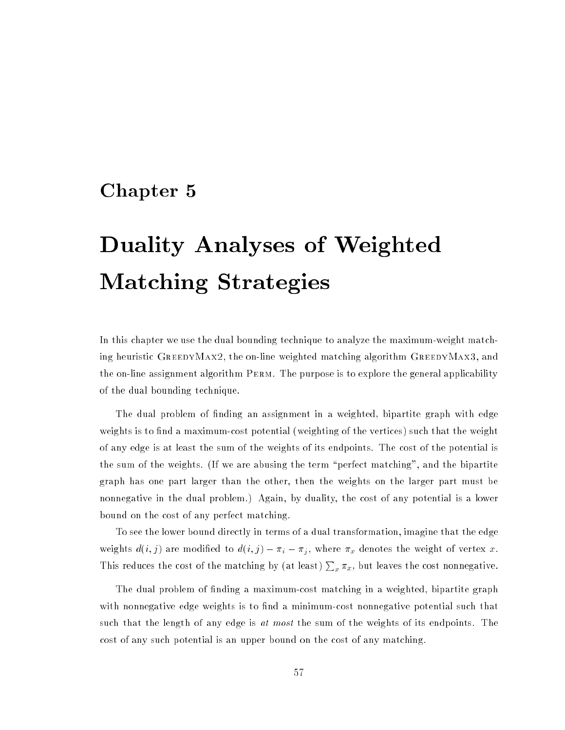# Chapter <sup>5</sup>

# Duality Analyses of Weighted Matching Strategies

In this chapter we use the dual bounding technique to analyze the maximum-weight matching heuristic GreedyMax2, the on-line weighted matching algorithm GreedyMax3, and the on-line assignment algorithm Perm. The purpose is to explore the general applicability of the dual bounding technique.

The dual problem of finding an assignment in a weighted, bipartite graph with edge weights is to find a maximum-cost potential (weighting of the vertices) such that the weight of any edge is at least the sum of the weights of its endpoints. The cost of the potential is the sum of the weights. (If we are abusing the term \perfect matching", and the bipartite graph has one part larger than the other, then the weights on the larger part must be nonnegative in the dual problem.) Again, by duality, the cost of any potential is a lower bound on the cost of any perfect matching.

To see the lower bound directly in terms of a dual transformation, imagine that the edge weights  $d(i, j)$  are modified to  $d(i, j) - \pi_i - \pi_j$ , where  $\pi_x$  denotes the weight of vertex x. This reduces the cost of the matching by (at least)  $\sum_x \pi_x,$  but leaves the cost nonnegative.

The dual problem of finding a maximum-cost matching in a weighted, bipartite graph with nonnegative edge weights is to find a minimum-cost nonnegative potential such that such that the length of any edge is at most the sum of the weights of its endpoints. The cost of any such potential is an upper bound on the cost of any matching.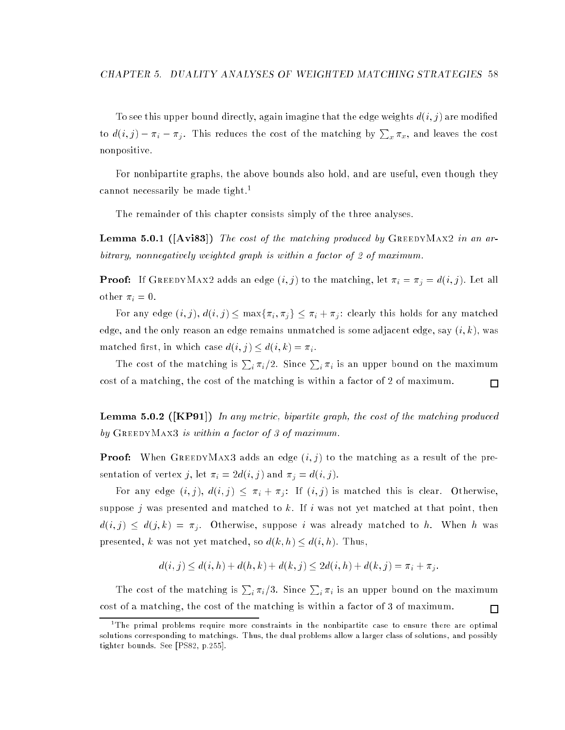To see this upper bound directly, again imagine that the edge weights  $d(i, j)$  are modified to  $d(i, j) - \pi_i - \pi_j$ . This reduces the cost of the matching by  $\sum_x \pi_x$ , and leaves the cost nonpositive.

For nonbipartite graphs, the above bounds also hold, and are useful, even though they cannot necessarily be made tight.<sup>1</sup>

The remainder of this chapter consists simply of the three analyses.

**Lemma 5.0.1** ( $[Avis3]$ ) The cost of the matching produced by GREEDYMAX2 in an arbitrary, nonnegatively weighted graph is within a factor of 2 of maximum.

**Proof:** If GREEDYMAX2 adds an edge  $(i, j)$  to the matching, let  $\pi_i = \pi_j = d(i, j)$ . Let all other  $\pi_i = 0$ .

For any edge  $(i, j)$ ,  $d(i, j) \leq \max\{\pi_i, \pi_j\} \leq \pi_i + \pi_j$ : clearly this holds for any matched edge, and the only reason an edge remains unmatched is some adjacent edge, say  $(i, k)$ , was matched first, in which case  $d(i, j) \leq d(i, k) = \pi_i$ .

The cost of the matching is  $\sum_i \pi_i/2$ . Since  $\sum_i \pi_i$  is an upper bound on the maximum cost of a matching, the cost of the matching is within a factor of 2 of maximum.  $\Box$ 

**Lemma 5.0.2** ([KP91]) In any metric, bipartite graph, the cost of the matching produced by GREEDYMAX3 is within a factor of 3 of maximum.

**Proof:** When GREEDYMAX3 adds an edge  $(i, j)$  to the matching as a result of the presentation of vertex j, let  $\pi_i = 2d(i, j)$  and  $\pi_j = d(i, j)$ .

For any edge  $(i, j)$ ,  $d(i, j) \leq \pi_i + \pi_j$ : If  $(i, j)$  is matched this is clear. Otherwise, suppose j was presented and matched to k. If i was not yet matched at that point, then  $d(i, j) \leq d(j, k) = \pi_j$ . Otherwise, suppose i was already matched to h. When h was presented, k was not yet matched, so  $d(k, h) \leq d(i, h)$ . Thus,

$$
d(i, j) \le d(i, h) + d(h, k) + d(k, j) \le 2d(i, h) + d(k, j) = \pi_i + \pi_j.
$$

The cost of the matching is  $\sum_i \pi_i/3$ . Since  $\sum_i \pi_i$  is an upper bound on the maximum cost of a matching, the cost of the matching is within a factor of 3 of maximum.  $\Box$ 

the primal problems require more constraints in the nonbipartite case to ensure there are optimal t solutions corresponding to matchings. Thus, the dual problems allow a larger class of solutions, and possibly tighter bounds. See [PS82, p.255].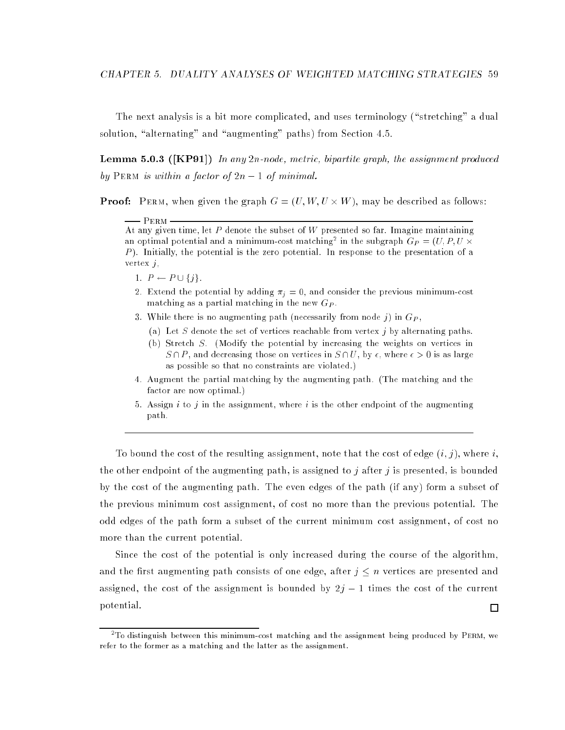The next analysis is a bit more complicated, and uses terminology ("stretching" a dual solution, "alternating" and "augmenting" paths) from Section 4.5.

**Lemma 5.0.3** ([KP91]) In any 2n-node, metric, bipartite graph, the assignment produced by PERM is within a factor of  $2n - 1$  of minimal.

**Proof:** PERM, when given the graph  $G = (U, W, U \times W)$ , may be described as follows:

PERM -At any given time, let P denote the subset of W presented so far. Imagine maintaining an optimal potential and a minimum-cost matching<sup>2</sup> in the subgraph  $G_P = (U, P, U \times$ P ). Initially, the potential is the zero potential. In response to the presentation of a vertex  $j$ ,

- 1.  $P \leftarrow P \cup \{j\}.$
- 2. Extend the potential by adding  $\pi_i = 0$ , and consider the previous minimum-cost matching as a partial matching in the new  $G_P$ .
- 3. While there is no augmenting path (necessarily from node j) in  $G_P$ ,
	- (a) Let S denote the set of vertices reachable from vertex  $j$  by alternating paths.
	- (b) Stretch S. (Modify the potential by increasing the weights on vertices in  $S \cap P$ , and decreasing those on vertices in  $S \cap U$ , by  $\epsilon$ , where  $\epsilon > 0$  is as large as possible so that no constraints are violated.)
- 4. Augment the partial matching by the augmenting path. (The matching and the factor are now optimal.)
- 5. Assign i to j in the assignment, where i is the other endpoint of the augmenting path.

To bound the cost of the resulting assignment, note that the cost of edge  $(i, j)$ , where i, the other endpoint of the augmenting path, is assigned to j after j is presented, is bounded by the cost of the augmenting path. The even edges of the path (if any) form a subset of the previous minimum cost assignment, of cost no more than the previous potential. The odd edges of the path form a subset of the current minimum cost assignment, of cost no more than the current potential.

Since the cost of the potential is only increased during the course of the algorithm, and the first augmenting path consists of one edge, after  $j \leq n$  vertices are presented and assigned, the cost of the assignment is bounded by  $2j - 1$  times the cost of the current potential.  $\Box$ 

<sup>2</sup> To distinguish between this minimum-cost matching and the assignment being produced by Perm, we refer to the former as a matching and the latter as the assignment.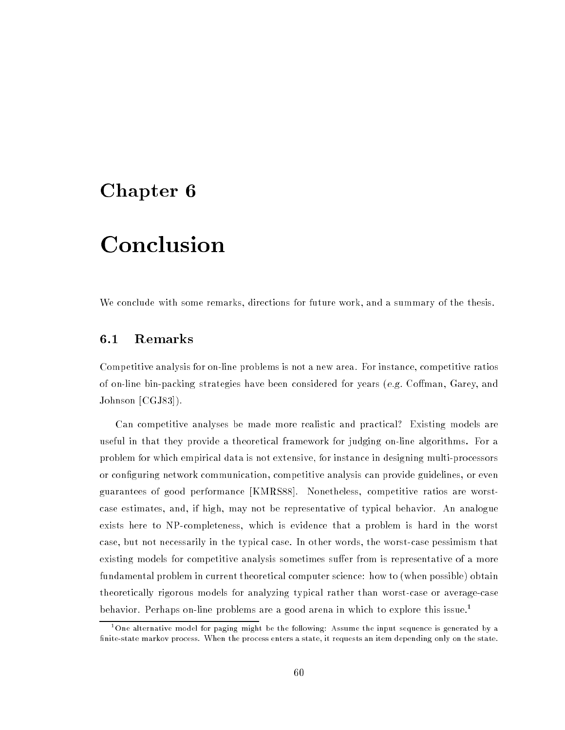# Chapter <sup>6</sup>

# Conclusion

We conclude with some remarks, directions for future work, and a summary of the thesis.

## 6.1 Remarks

Competitive analysis for on-line problems is not a new area. For instance, competitive ratios of on-line bin-packing strategies have been considered for years (e.g. Coffman, Garey, and Johnson [CGJ83]).

Can competitive analyses be made more realistic and practical? Existing models are useful in that they provide a theoretical framework for judging on-line algorithms. For a problem for which empirical data is not extensive, for instance in designing multi-processors or configuring network communication, competitive analysis can provide guidelines, or even guarantees of good performance [KMRS88]. Nonetheless, competitive ratios are worstcase estimates, and, if high, may not be representative of typical behavior. An analogue exists here to NP-completeness, which is evidence that a problem is hard in the worst case, but not necessarily in the typical case. In other words, the worst-case pessimism that existing models for competitive analysis sometimes suffer from is representative of a more fundamental problem in current theoretical computer science: how to (when possible) obtain theoretically rigorous models for analyzing typical rather than worst-case or average-case behavior. Perhaps on-line problems are a good arena in which to explore this issue.1

Une alternative model for paging might be the following: Assume the input sequence is generated by a " finite-state markov process. When the process enters a state, it requests an item depending only on the state.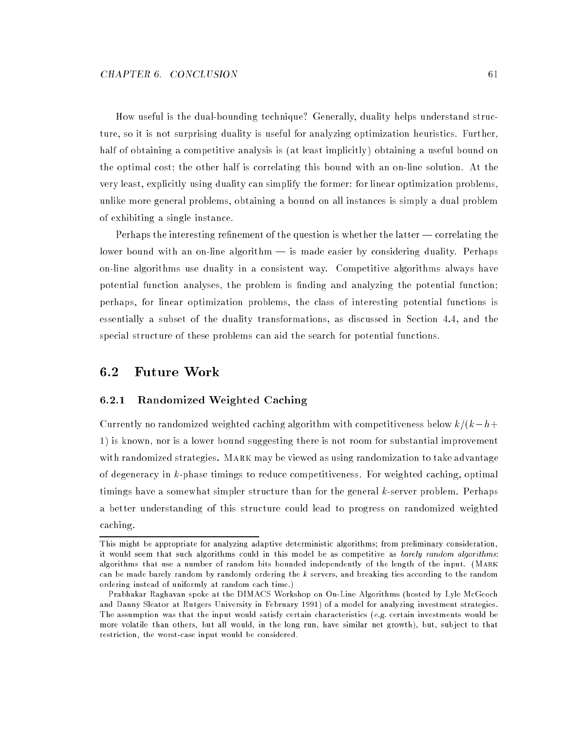How useful is the dual-bounding technique? Generally, duality helps understand structure, so it is not surprising duality is useful for analyzing optimization heuristics. Further, half of obtaining a competitive analysis is (at least implicitly) obtaining a useful bound on the optimal cost; the other half is correlating this bound with an on-line solution. At the very least, explicitly using duality can simplify the former: for linear optimization problems, unlike more general problems, obtaining a bound on all instances is simply a dual problem of exhibiting a single instance.

Perhaps the interesting refinement of the question is whether the latter  $-$  correlating the lower bound with an on-line algorithm  $-$  is made easier by considering duality. Perhaps on-line algorithms use duality in a consistent way. Competitive algorithms always have potential function analyses, the problem is finding and analyzing the potential function; perhaps, for linear optimization problems, the class of interesting potential functions is essentially a subset of the duality transformations, as discussed in Section 4.4, and the special structure of these problems can aid the search for potential functions.

#### $6.2$ Future Work

### 6.2.1 Randomized Weighted Caching

Currently no randomized weighted caching algorithm with competitiveness below  $k/(k-h+$ 1) is known, nor is a lower bound suggesting there is not room for substantial improvement with randomized strategies. Mark may be viewed as using randomization to take advantage of degeneracy in k-phase timings to reduce competitiveness. For weighted caching, optimal timings have a somewhat simpler structure than for the general k-server problem. Perhaps a better understanding of this structure could lead to progress on randomized weighted caching.

This might be appropriate for analyzing adaptive deterministic algorithms; from preliminary consideration, it would seem that such algorithms could in this model be as competitive as barely random algorithms: algorithms that use a number of random bits bounded independently of the length of the input. (Mark can be made barely random by randomly ordering the <sup>k</sup> servers, and breaking ties according to the random ordering instead of uniformly at random each time.)

Prabhakar Raghavan spoke at the DIMACS Workshop on On-Line Algorithms (hosted by Lyle McGeoch and Danny Sleator at Rutgers University in February 1991) of a model for analyzing investment strategies. The assumption was that the input would satisfy certain characteristics (e.g. certain investments would be more volatile than others, but all would, in the long run, have similar net growth), but, subject to that restriction, the worst-case input would be considered.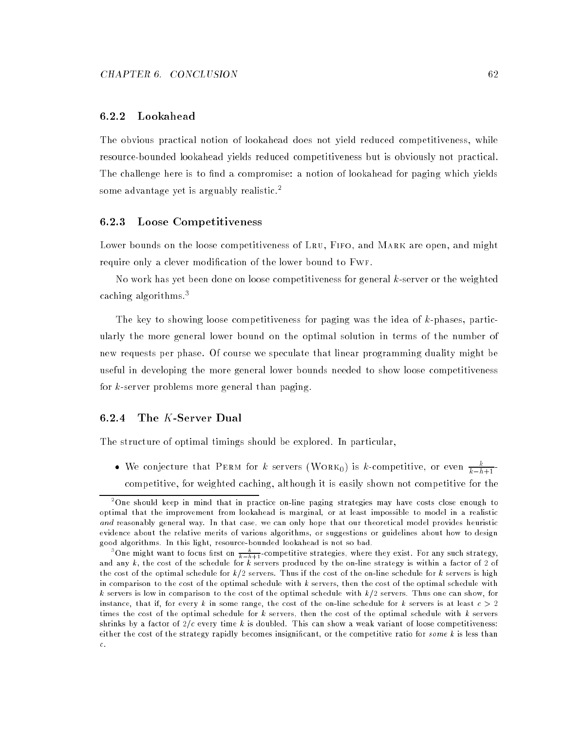#### 6.2.2 Lookahead

The obvious practical notion of lookahead does not yield reduced competitiveness, while resource-bounded lookahead yields reduced competitiveness but is obviously not practical. The challenge here is to find a compromise: a notion of lookahead for paging which yields some advantage yet is arguably realistic.<sup>2</sup>

#### 6.2.3 Loose Competitiveness

Lower bounds on the loose competitiveness of LRU, FIFO, and MARK are open, and might require only a clever modication of the lower bound to Fwf.

No work has yet been done on loose competitiveness for general  $k$ -server or the weighted caching algorithms.3

The key to showing loose competitiveness for paging was the idea of k-phases, particularly the more general lower bound on the optimal solution in terms of the number of new requests per phase. Of course we speculate that linear programming duality might be useful in developing the more general lower bounds needed to show loose competitiveness for k-server problems more general than paging.

#### 6.2.4  $\,$  The  $K$ -Server Dual

The structure of optimal timings should be explored. In particular,

• We conjecture that PERM for k servers (WORK<sub>0</sub>) is k-competitive, or even  $\frac{k}{k-h+1}$ competitive, for weighted caching, although it is easily shown not competitive for the

<sup>2</sup> One should keep in mind that in practice on-line paging strategies may have costs close enough to optimal that the improvement from lookahead is marginal, or at least impossible to model in a realistic and reasonably general way. In that case, we can only hope that our theoretical model provides heuristic evidence about the relative merits of various algorithms, or suggestions or guidelines about how to design good algorithms. In this light, resource-bounded lookahead is not so bad.

<sup>&</sup>quot;One might want to focus first on  $\frac{1}{k-h+1}$ -competitive strategies, where they exist. For any such strategy, and any k, the cost of the schedule for <sup>k</sup> servers produced by the on-line strategy is within a factor of 2 of the cost of the optimal schedule for  $k/2$  servers. Thus if the cost of the on-line schedule for k servers is high in comparison to the cost of the optimal schedule with <sup>k</sup> servers, then the cost of the optimal schedule with k servers is low in comparison to the cost of the optimal schedule with  $k/2$  servers. Thus one can show, for instance, that if, for every k in some range, the cost of the on-line schedule for k servers is at least  $c > 2$ times the cost of the optimal schedule for  $k$  servers, then the cost of the optimal schedule with  $k$  servers shrinks by a factor of  $2/c$  every time k is doubled. This can show a weak variant of loose competitiveness: either the cost of the strategy rapidly becomes insignificant, or the competitive ratio for some k is less than c.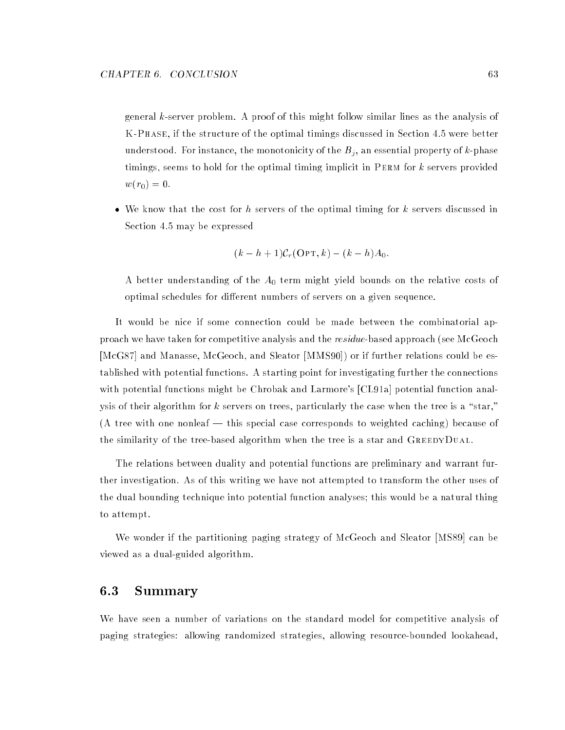general k-server problem. A proof of this might follow similar lines as the analysis of K-Phase, if the structure of the optimal timings discussed in Section 4.5 were better understood. For instance, the monotonicity of the  $B_j$ , an essential property of k-phase timings, seems to hold for the optimal timing implicit in Perm for k servers provided  $w(r_0) = 0.$ 

• We know that the cost for h servers of the optimal timing for k servers discussed in Section 4.5 may be expressed

$$
(k - h + 1)\mathcal{C}_r(\text{OPT}, k) - (k - h)A_0.
$$

A better understanding of the  $A_0$  term might yield bounds on the relative costs of optimal schedules for different numbers of servers on a given sequence.

It would be nice if some connection could be made between the combinatorial approach we have taken for competitive analysis and the *residue*-based approach (see McGeoch [McG87] and Manasse, McGeoch, and Sleator [MMS90]) or if further relations could be established with potential functions. A starting point for investigating further the connections with potential functions might be Chrobak and Larmore's [CL91a] potential function analysis of their algorithm for  $k$  servers on trees, particularly the case when the tree is a "star," (A tree with one nonleaf  $-$  this special case corresponds to weighted caching) because of the similarity of the tree-based algorithm when the tree is a star and GreedyDual.

The relations between duality and potential functions are preliminary and warrant further investigation. As of this writing we have not attempted to transform the other uses of the dual bounding technique into potential function analyses; this would be a natural thing to attempt.

We wonder if the partitioning paging strategy of McGeoch and Sleator [MS89] can be viewed as a dual-guided algorithm.

## 6.3 Summary

We have seen a number of variations on the standard model for competitive analysis of paging strategies: allowing randomized strategies, allowing resource-bounded lookahead,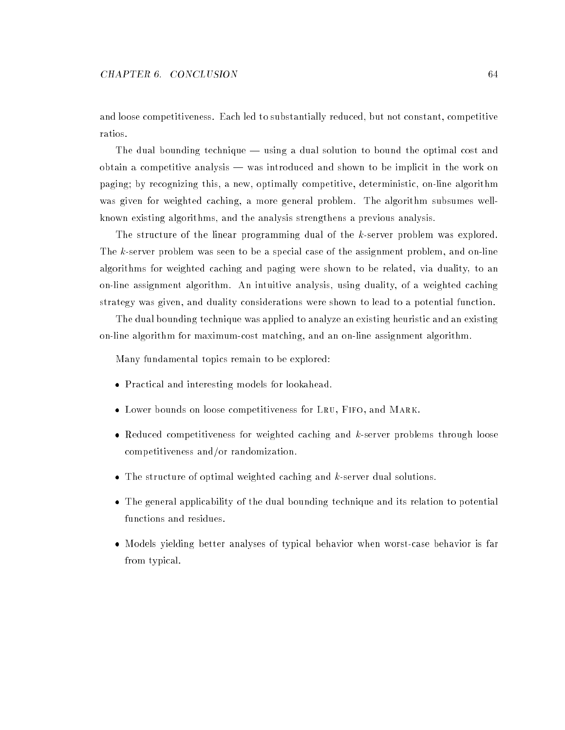and loose competitiveness. Each led to substantially reduced, but not constant, competitive ratios.

The dual bounding technique - using a dual solution to bound the optimal cost and obtain a competitive analysis  $-$  was introduced and shown to be implicit in the work on paging; by recognizing this, a new, optimally competitive, deterministic, on-line algorithm was given for weighted caching, a more general problem. The algorithm subsumes wellknown existing algorithms, and the analysis strengthens a previous analysis.

The structure of the linear programming dual of the k-server problem was explored. The k-server problem was seen to be a special case of the assignment problem, and on-line algorithms for weighted caching and paging were shown to be related, via duality, to an on-line assignment algorithm. An intuitive analysis, using duality, of a weighted caching strategy was given, and duality considerations were shown to lead to a potential function.

The dual bounding technique was applied to analyze an existing heuristic and an existing on-line algorithm for maximum-cost matching, and an on-line assignment algorithm.

Many fundamental topics remain to be explored:

- Practical and interesting models for lookahead.
- Lower bounds on loose competitiveness for LRU, FIFO, and MARK.
- Reduced competitiveness for weighted caching and k-server problems through loose competitiveness and/or randomization.
- $\bullet$  The structure of optimal weighted caching and k-server dual solutions.
- The general applicability of the dual bounding technique and its relation to potential functions and residues.
- Models yielding better analyses of typical behavior when worst-case behavior is far from typical.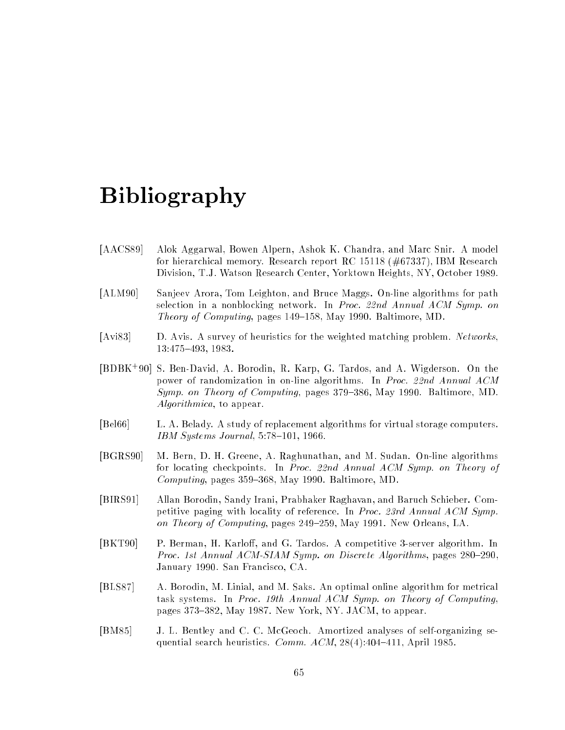# Bibliography

- [AACS89] Alok Aggarwal, Bowen Alpern, Ashok K. Chandra, and Marc Snir. A model for hierarchical memory. Research report RC 15118 (#67337), IBM Research Division, T.J. Watson Research Center, Yorktown Heights, NY, October 1989.
- [ALM90] Sanjeev Arora, Tom Leighton, and Bruce Maggs. On-line algorithms for path selection in a nonblocking network. In Proc. 22nd Annual ACM Symp. on Theory of Computing, pages  $149-158$ , May 1990. Baltimore, MD.
- [Avi83] D. Avis. A survey of heuristics for the weighted matching problem. Networks, 13:475-493, 1983.
- [BDBK<sup>+</sup> 90] S. Ben-David, A. Borodin, R. Karp, G. Tardos, and A. Wigderson. On the power of randomization in on-line algorithms. In Proc. 22nd Annual ACM Symp. on Theory of Computing, pages 379–386, May 1990. Baltimore, MD. Algorithmica, to appear.
- [Bel66] L. A. Belady. A study of replacement algorithms for virtual storage computers. IBM Systems Journal,  $5:78{\text -}101$ , 1966.
- [BGRS90] M. Bern, D. H. Greene, A. Raghunathan, and M. Sudan. On-line algorithms for locating checkpoints. In Proc. 22nd Annual ACM Symp. on Theory of Computing, pages  $359-368$ , May 1990. Baltimore, MD.
- [BIRS91] Allan Borodin, Sandy Irani, Prabhaker Raghavan, and Baruch Schieber. Competitive paging with locality of reference. In Proc. 23rd Annual ACM Symp. on Theory of Computing, pages  $249-259$ , May 1991. New Orleans, LA.
- [BKT90] P. Berman, H. Karloff, and G. Tardos. A competitive 3-server algorithm. In Proc. 1st Annual ACM-SIAM Symp. on Discrete Algorithms, pages  $280{-}290$ . January 1990. San Francisco, CA.
- [BLS87] A. Borodin, M. Linial, and M. Saks. An optimal online algorithm for metrical task systems. In Proc. 19th Annual ACM Symp. on Theory of Computing, pages 373–382, May 1987. New York, NY. JACM, to appear.
- [BM85] J. L. Bentley and C. C. McGeoch. Amortized analyses of self-organizing sequential search heuristics. Comm.  $ACM$ ,  $28(4)$ :404-411, April 1985.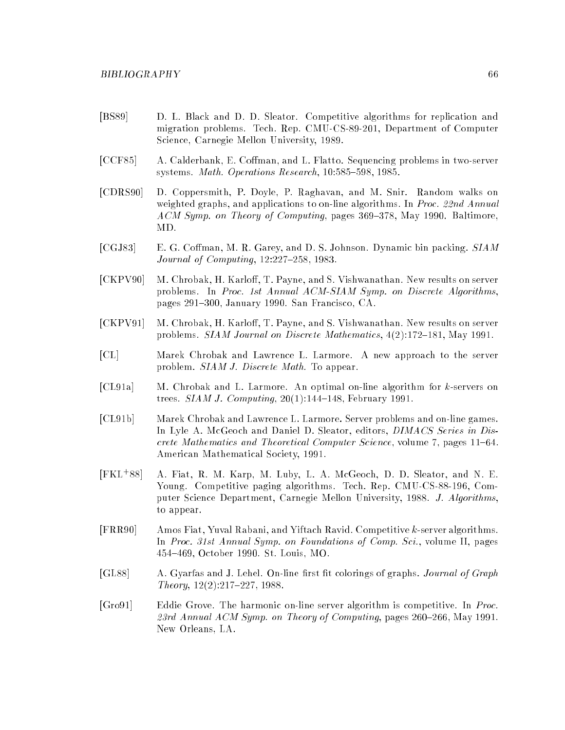- [BS89] D. L. Black and D. D. Sleator. Competitive algorithms for replication and migration problems. Tech. Rep. CMU-CS-89-201, Department of Computer Science, Carnegie Mellon University, 1989.
- [CCF85] A. Calderbank, E. Coffman, and L. Flatto. Sequencing problems in two-server systems. Math. Operations Research, 10:585-598, 1985.
- [CDRS90] D. Coppersmith, P. Doyle, P. Raghavan, and M. Snir. Random walks on weighted graphs, and applications to on-line algorithms. In Proc. 22nd Annual  $ACM$  Symp. on Theory of Computing, pages 369–378, May 1990. Baltimore, MD.
- [CGJ83] E. G. Coffman, M. R. Garey, and D. S. Johnson. Dynamic bin packing. SIAM Journal of Computing,  $12:227-258$ , 1983.
- [CKPV90] M. Chrobak, H. Karloff, T. Payne, and S. Vishwanathan. New results on server problems. In Proc. 1st Annual ACM-SIAM Symp. on Discrete Algorithms, pages 291-300, January 1990. San Francisco, CA.
- [CKPV91] M. Chrobak, H. Karloff, T. Payne, and S. Vishwanathan. New results on server problems. SIAM Journal on Discrete Mathematics,  $4(2):172-181$ , May 1991.
- [CL] Marek Chrobak and Lawrence L. Larmore. A new approach to the server problem. SIAM J. Discrete Math. To appear.
- [CL91a] M. Chrobak and L. Larmore. An optimal on-line algorithm for k-servers on trees. *SIAM J. Computing*,  $20(1)$ :144-148, February 1991.
- [CL91b] Marek Chrobak and Lawrence L. Larmore. Server problems and on-line games. In Lyle A. McGeoch and Daniel D. Sleator, editors, *DIMACS Series in Dis*crete Mathematics and Theoretical Computer Science, volume 7, pages  $11{-}64$ . American Mathematical Society, 1991.
- $[FKL+88]$ 88] A. Fiat, R. M. Karp, M. Luby, L. A. McGeoch, D. D. Sleator, and N. E. Young. Competitive paging algorithms. Tech. Rep. CMU-CS-88-196, Computer Science Department, Carnegie Mellon University, 1988. J. Algorithms, to appear.
- [FRR90] Amos Fiat, Yuval Rabani, and Yiftach Ravid. Competitive k-server algorithms. In Proc. 31st Annual Symp. on Foundations of Comp. Sci., volume II, pages 454{469, October 1990. St. Louis, MO.
- [GL88] A. Gyarfas and J. Lehel. On-line first fit colorings of graphs. *Journal of Graph*  $Theory, 12(2):217–227, 1988.$
- [Gro91] Eddie Grove. The harmonic on-line server algorithm is competitive. In Proc. 23rd Annual ACM Symp. on Theory of Computing, pages 260–266, May 1991. New Orleans, LA.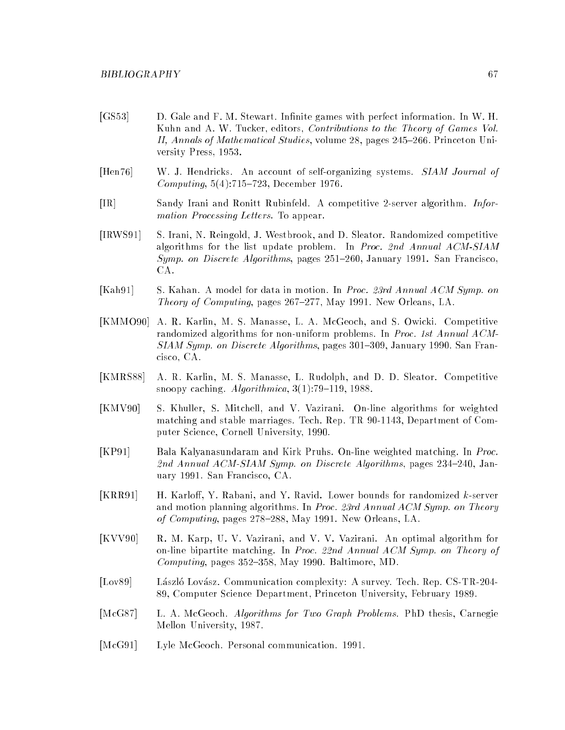- [GS53] D. Gale and F. M. Stewart. Infinite games with perfect information. In W. H. Kuhn and A. W. Tucker, editors, *Contributions to the Theory of Games Vol.* II, Annals of Mathematical Studies, volume 28, pages  $245-266$ . Princeton University Press, 1953.
- [Hen76] W. J. Hendricks. An account of self-organizing systems. SIAM Journal of Computing,  $5(4)$ :715-723, December 1976.
- [IR] Sandy Irani and Ronitt Rubinfeld. A competitive 2-server algorithm. Information Processing Letters. To appear.
- [IRWS91] S. Irani, N. Reingold, J. Westbrook, and D. Sleator. Randomized competitive algorithms for the list update problem. In Proc. 2nd Annual ACM-SIAM Symp. on Discrete Algorithms, pages 251-260, January 1991. San Francisco. CA.
- [Kah91] S. Kahan. A model for data in motion. In Proc. 23rd Annual ACM Symp. on Theory of Computing, pages  $267{=}277$ , May 1991. New Orleans, LA.
- [KMMO90] A. R. Karlin, M. S. Manasse, L. A. McGeoch, and S. Owicki. Competitive randomized algorithms for non-uniform problems. In Proc. 1st Annual ACM- $SIAM Symp.$  on Discrete Algorithms, pages 301–309, January 1990. San Francisco, CA.
- [KMRS88] A. R. Karlin, M. S. Manasse, L. Rudolph, and D. D. Sleator. Competitive snoopy caching.  $Algorithmica$ ,  $3(1):79{-}119$ , 1988.
- [KMV90] S. Khuller, S. Mitchell, and V. Vazirani. On-line algorithms for weighted matching and stable marriages. Tech. Rep. TR 90-1143, Department of Computer Science, Cornell University, 1990.
- [KP91] Bala Kalyanasundaram and Kirk Pruhs. On-line weighted matching. In Proc. 2nd Annual ACM-SIAM Symp. on Discrete Algorithms, pages  $234-240$ , January 1991. San Francisco, CA.
- [KRR91] H. Karloff, Y. Rabani, and Y. Ravid. Lower bounds for randomized k-server and motion planning algorithms. In Proc. 23rd Annual ACM Symp. on Theory of Computing, pages 278-288, May 1991. New Orleans, LA.
- [KVV90] R. M. Karp, U. V. Vazirani, and V. V. Vazirani. An optimal algorithm for on-line bipartite matching. In Proc. 22nd Annual ACM Symp. on Theory of Computing, pages  $352-358$ , May 1990. Baltimore, MD.
- [Lov89] László Lovász. Communication complexity: A survey. Tech. Rep. CS-TR-204-89, Computer Science Department, Princeton University, February 1989.
- [McG87] L. A. McGeoch. Algorithms for Two Graph Problems. PhD thesis, Carnegie Mellon University, 1987.
- [McG91] Lyle McGeoch. Personal communication. 1991.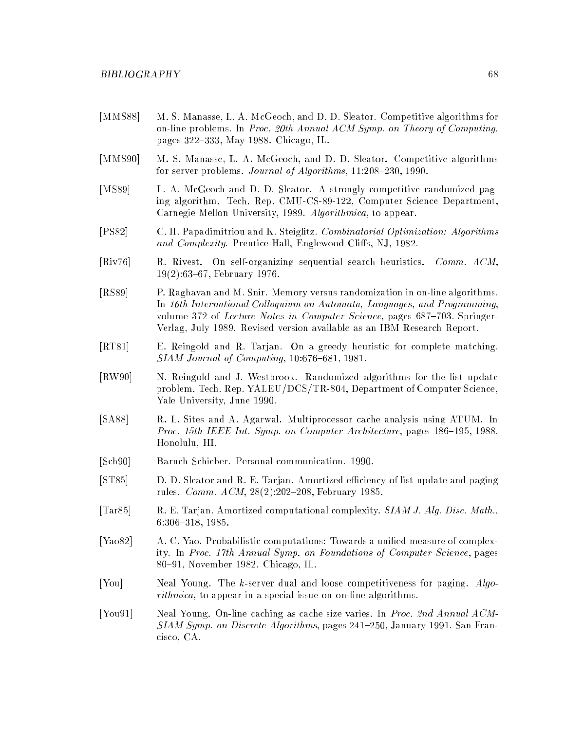- [MMS88] M. S. Manasse, L. A. McGeoch, and D. D. Sleator. Competitive algorithms for on-line problems. In Proc. 20th Annual ACM Symp. on Theory of Computing, pages 322-333, May 1988. Chicago, IL.
- [MMS90] M. S. Manasse, L. A. McGeoch, and D. D. Sleator. Competitive algorithms for server problems. *Journal of Algorithms*,  $11:208{-}230$ ,  $1990$ .
- [MS89] L. A. McGeoch and D. D. Sleator. A strongly competitive randomized paging algorithm. Tech. Rep. CMU-CS-89-122, Computer Science Department, Carnegie Mellon University, 1989. Algorithmica, to appear.
- [PS82] C. H. Papadimitriou and K. Steiglitz. Combinatorial Optimization: Algorithms and Complexity. Prentice-Hall, Englewood Cliffs, NJ, 1982.
- [Riv76] R. Rivest. On self-organizing sequential search heuristics. Comm. ACM, 19(2):63{67, February 1976.
- [RS89] P. Raghavan and M. Snir. Memory versus randomization in on-line algorithms. In 16th International Colloquium on Automata, Languages, and Programming, volume 372 of Lecture Notes in Computer Science, pages  $687-703$ . Springer-Verlag, July 1989. Revised version available as an IBM Research Report.
- [RT81] E. Reingold and R. Tarjan. On a greedy heuristic for complete matching.  $SIAM\ Journal\ of\ Computing,\ 10:676{-}681,\ 1981.$
- [RW90] N. Reingold and J. Westbrook. Randomized algorithms for the list update problem. Tech. Rep. YALEU/DCS/TR-804, Department of Computer Science, Yale University, June 1990.
- [SA88] R. L. Sites and A. Agarwal. Multiprocessor cache analysis using ATUM. In Proc. 15th IEEE Int. Symp. on Computer Architecture, pages 186-195, 1988. Honolulu, HI.
- [Sch90] Baruch Schieber. Personal communication. 1990.
- [ST85] D. D. Sleator and R. E. Tarjan. Amortized efficiency of list update and paging rules. *Comm.*  $ACM$ ,  $28(2):202{-}208$ , February 1985.
- [Tar85] R. E. Tarjan. Amortized computational complexity. SIAM J. Alg. Disc. Math., 6:306-318, 1985.
- [Yao82] A. C. Yao. Probabilistic computations: Towards a unified measure of complexity. In Proc. 17th Annual Symp. on Foundations of Computer Science, pages 80–91, November 1982. Chicago, IL.
- [You] Neal Young. The k-server dual and loose competitiveness for paging. Algorithmica, to appear in a special issue on on-line algorithms.
- [You91] Neal Young. On-line caching as cache size varies. In Proc. 2nd Annual ACM- $SIAM \; Symp.$  on Discrete Algorithms, pages 241–250, January 1991. San Francisco, CA.